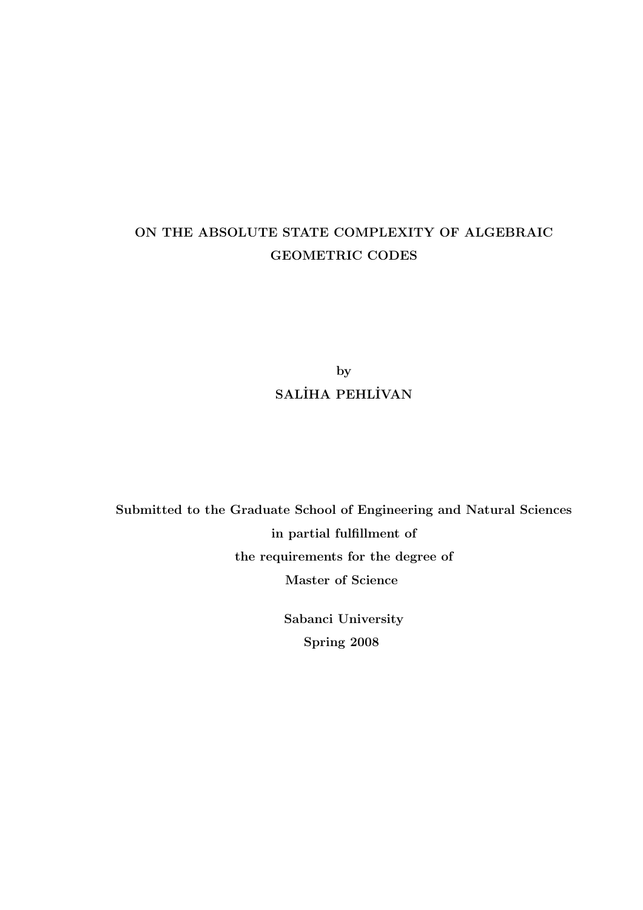## ON THE ABSOLUTE STATE COMPLEXITY OF ALGEBRAIC GEOMETRIC CODES

by SALİHA PEHLİVAN

Submitted to the Graduate School of Engineering and Natural Sciences in partial fulfillment of the requirements for the degree of Master of Science

> Sabanci University Spring 2008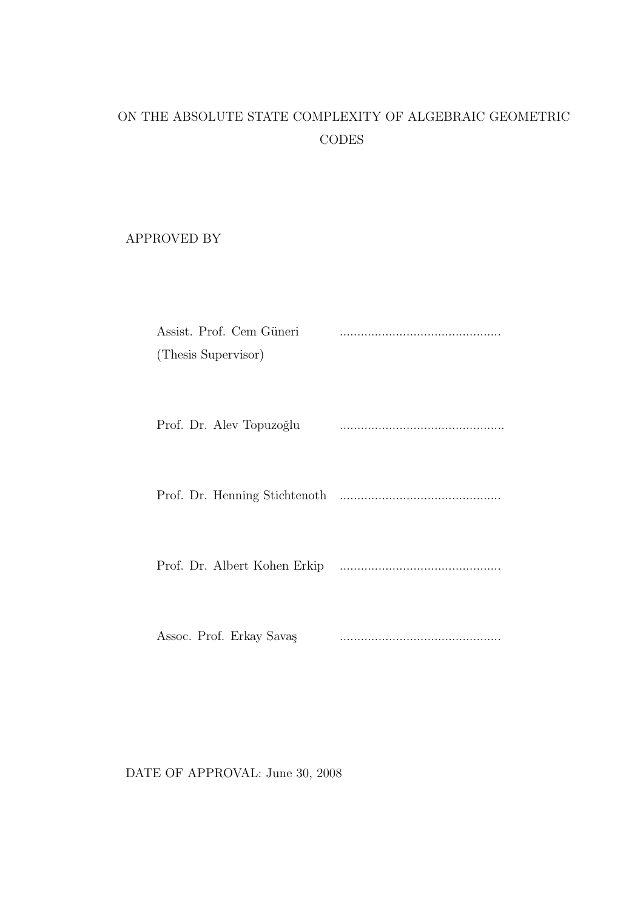# ON THE ABSOLUTE STATE COMPLEXITY OF ALGEBRAIC GEOMETRIC **CODES**

APPROVED BY

| Assist. Prof. Cem Güneri<br>(Thesis Supervisor) |  |
|-------------------------------------------------|--|
| Prof. Dr. Alev Topuzoğlu                        |  |
|                                                 |  |
|                                                 |  |
| Assoc. Prof. Erkay Savaş                        |  |

DATE OF APPROVAL: June 30, 2008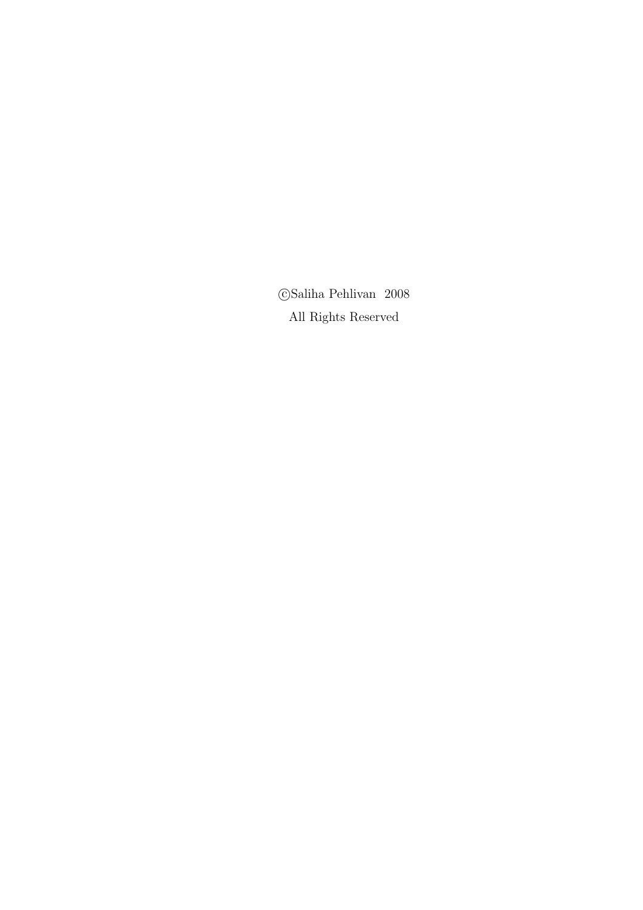$\bigodot$  Saliha Pehlivan $~2008$ All Rights Reserved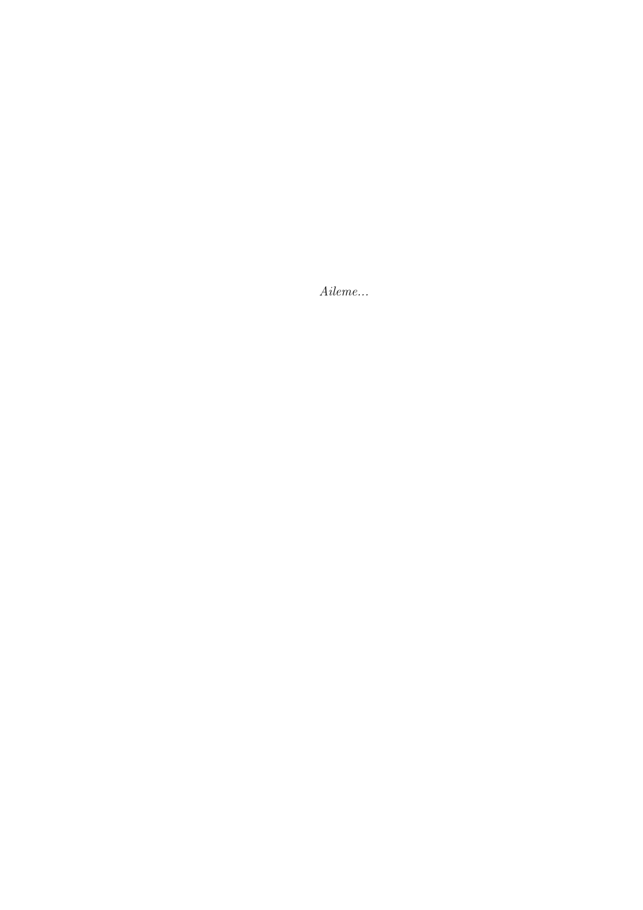Aileme...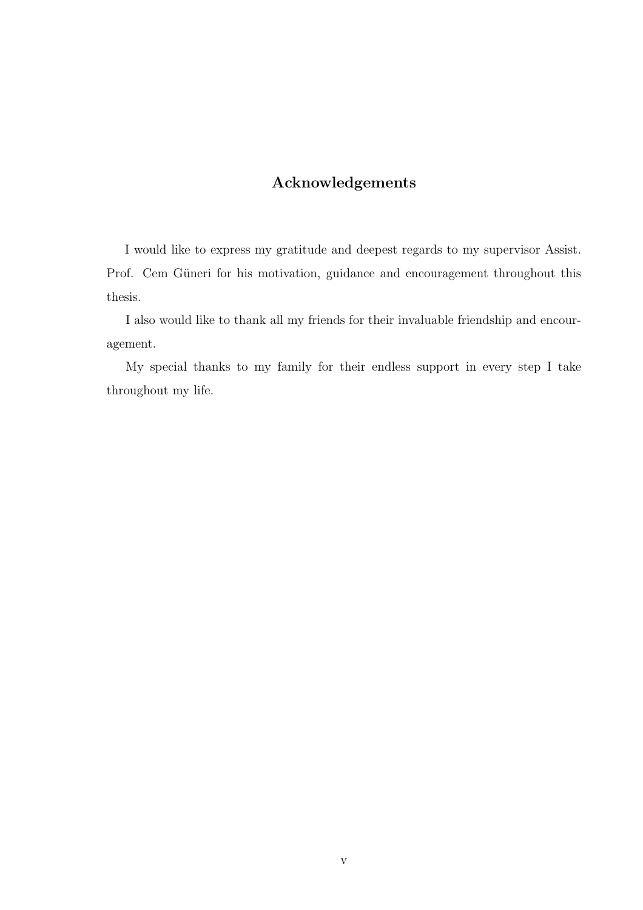## Acknowledgements

I would like to express my gratitude and deepest regards to my supervisor Assist. Prof. Cem Güneri for his motivation, guidance and encouragement throughout this thesis.

I also would like to thank all my friends for their invaluable friendship and encouragement.

My special thanks to my family for their endless support in every step I take throughout my life.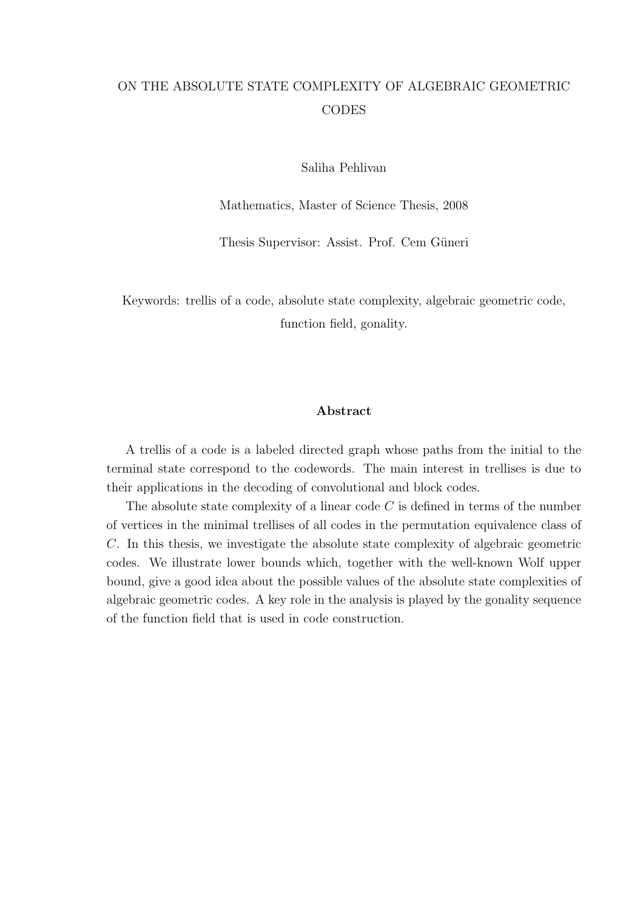## ON THE ABSOLUTE STATE COMPLEXITY OF ALGEBRAIC GEOMETRIC **CODES**

Saliha Pehlivan

Mathematics, Master of Science Thesis, 2008

Thesis Supervisor: Assist. Prof. Cem Güneri

Keywords: trellis of a code, absolute state complexity, algebraic geometric code, function field, gonality.

## Abstract

A trellis of a code is a labeled directed graph whose paths from the initial to the terminal state correspond to the codewords. The main interest in trellises is due to their applications in the decoding of convolutional and block codes.

The absolute state complexity of a linear code  $C$  is defined in terms of the number of vertices in the minimal trellises of all codes in the permutation equivalence class of C. In this thesis, we investigate the absolute state complexity of algebraic geometric codes. We illustrate lower bounds which, together with the well-known Wolf upper bound, give a good idea about the possible values of the absolute state complexities of algebraic geometric codes. A key role in the analysis is played by the gonality sequence of the function field that is used in code construction.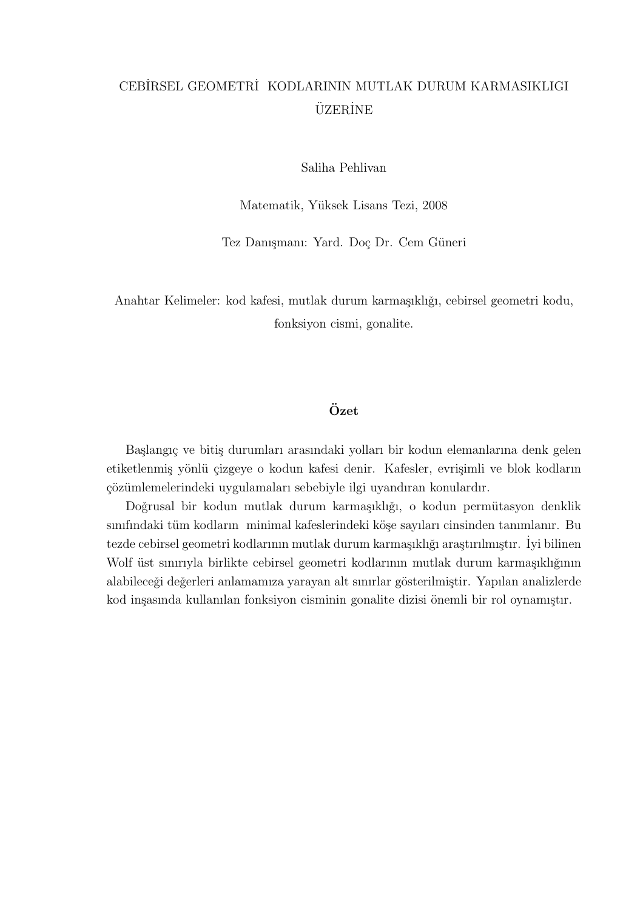## CEB˙IRSEL GEOMETR˙I KODLARININ MUTLAK DURUM KARMASIKLIGI **ÜZERINE**

Saliha Pehlivan

Matematik, Yüksek Lisans Tezi, 2008

Tez Danışmanı: Yard. Doç Dr. Cem Güneri

Anahtar Kelimeler: kod kafesi, mutlak durum karmaşıklığı, cebirsel geometri kodu, fonksiyon cismi, gonalite.

## $Özet$

Başlangıç ve bitiş durumları arasındaki yolları bir kodun elemanlarına denk gelen etiketlenmiş yönlü çizgeye o kodun kafesi denir. Kafesler, evrişimli ve blok kodların çözümlemelerindeki uygulamaları sebebiyle ilgi uyandıran konulardır.

Doğrusal bir kodun mutlak durum karmaşıklığı, o kodun permütasyon denklik sınıfındaki tüm kodların minimal kafeslerindeki köşe sayıları cinsinden tanımlanır. Bu tezde cebirsel geometri kodlarının mutlak durum karmaşıklığı araştırılmıştır. İyi bilinen Wolf üst sınırıyla birlikte cebirsel geometri kodlarının mutlak durum karmaşıklığının alabileceği değerleri anlamamıza yarayan alt sınırlar gösterilmiştir. Yapılan analizlerde kod inşasında kullanılan fonksiyon cisminin gonalite dizisi önemli bir rol oynamıştır.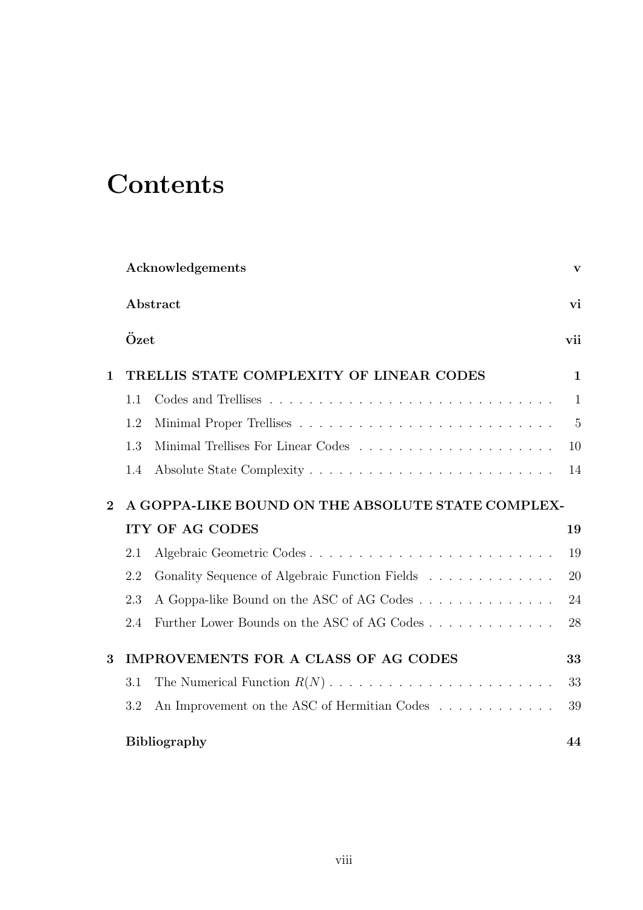# **Contents**

|              |      | Acknowledgements                                  | V              |
|--------------|------|---------------------------------------------------|----------------|
|              |      | Abstract                                          | vi             |
|              | Özet |                                                   | vii            |
| $\mathbf{1}$ |      | TRELLIS STATE COMPLEXITY OF LINEAR CODES          | $\mathbf{1}$   |
|              | 1.1  |                                                   | $\mathbf{1}$   |
|              | 1.2  |                                                   | $\overline{5}$ |
|              | 1.3  |                                                   | 10             |
|              | 1.4  |                                                   | 14             |
| $\mathbf{2}$ |      | A GOPPA-LIKE BOUND ON THE ABSOLUTE STATE COMPLEX- |                |
|              |      | <b>ITY OF AG CODES</b>                            | 19             |
|              | 2.1  | Algebraic Geometric Codes                         | 19             |
|              | 2.2  | Gonality Sequence of Algebraic Function Fields    | 20             |
|              | 2.3  | A Goppa-like Bound on the ASC of AG Codes         | 24             |
|              | 2.4  | Further Lower Bounds on the ASC of AG Codes       | 28             |
| 3            |      | IMPROVEMENTS FOR A CLASS OF AG CODES              | 33             |
|              | 3.1  |                                                   | 33             |
|              | 3.2  | An Improvement on the ASC of Hermitian Codes      | 39             |
|              |      | <b>Bibliography</b>                               | 44             |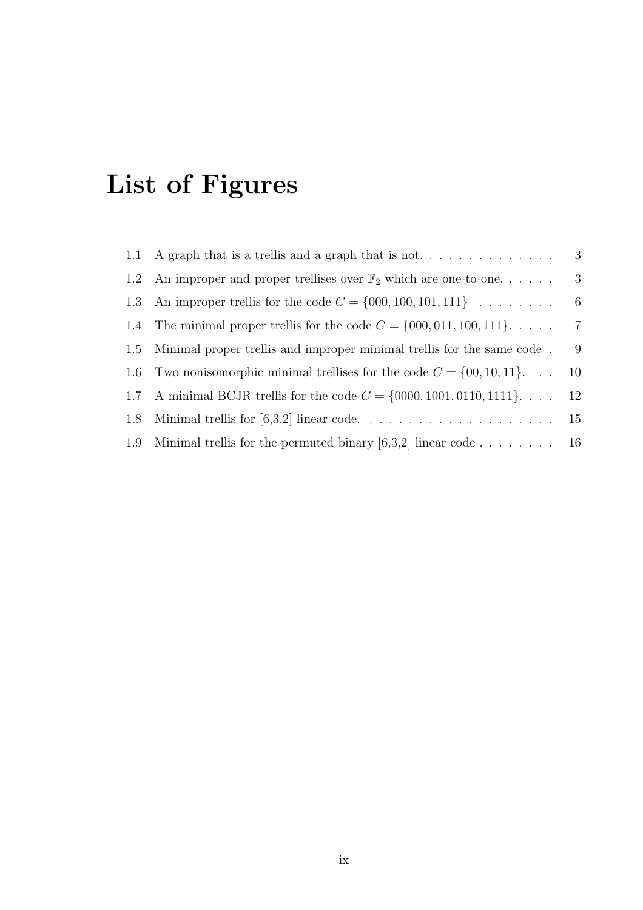# List of Figures

|     | 1.1 A graph that is a trellis and a graph that is not                      | 3              |
|-----|----------------------------------------------------------------------------|----------------|
| 1.2 | An improper and proper trellises over $\mathbb{F}_2$ which are one-to-one  | -3             |
| 1.3 | An improper trellis for the code $C = \{000, 100, 101, 111\} \dots \dots$  | -6             |
|     | 1.4 The minimal proper trellis for the code $C = \{000, 011, 100, 111\}$   | $\overline{7}$ |
|     | 1.5 Minimal proper trellis and improper minimal trellis for the same code. | 9              |
| 1.6 | Two nonisomorphic minimal trellises for the code $C = \{00, 10, 11\}$      | 10             |
| 1.7 | A minimal BCJR trellis for the code $C = \{0000, 1001, 0110, 1111\}$       | 12             |
| 1.8 |                                                                            | 15             |
| 1.9 | Minimal trellis for the permuted binary [6,3,2] linear code 16             |                |
|     |                                                                            |                |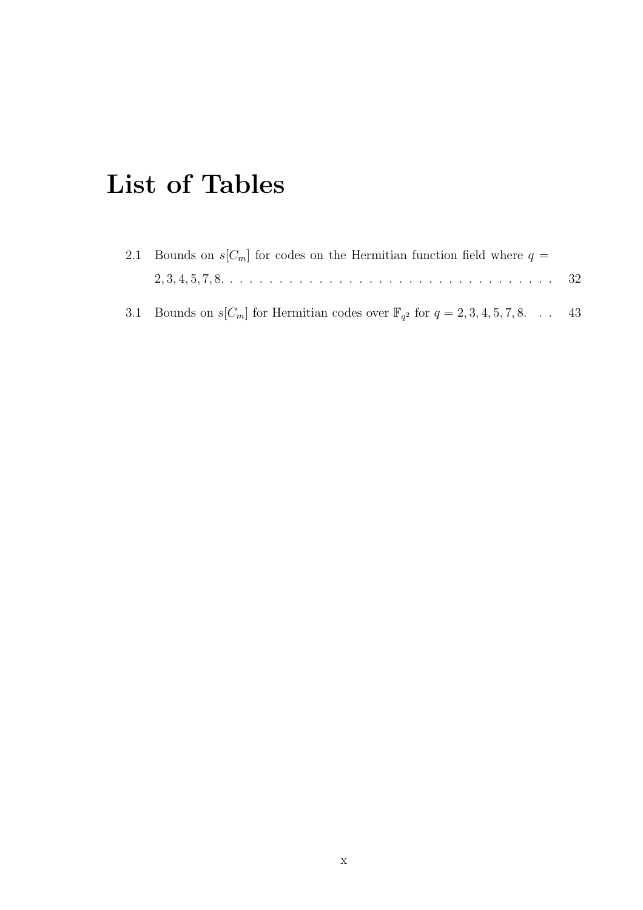# List of Tables

| 2.1 Bounds on $s[C_m]$ for codes on the Hermitian function field where $q=$               |  |
|-------------------------------------------------------------------------------------------|--|
|                                                                                           |  |
| 3.1 Bounds on $s[C_m]$ for Hermitian codes over $\mathbb{F}_{q^2}$ for $q=2,3,4,5,7,8$ 43 |  |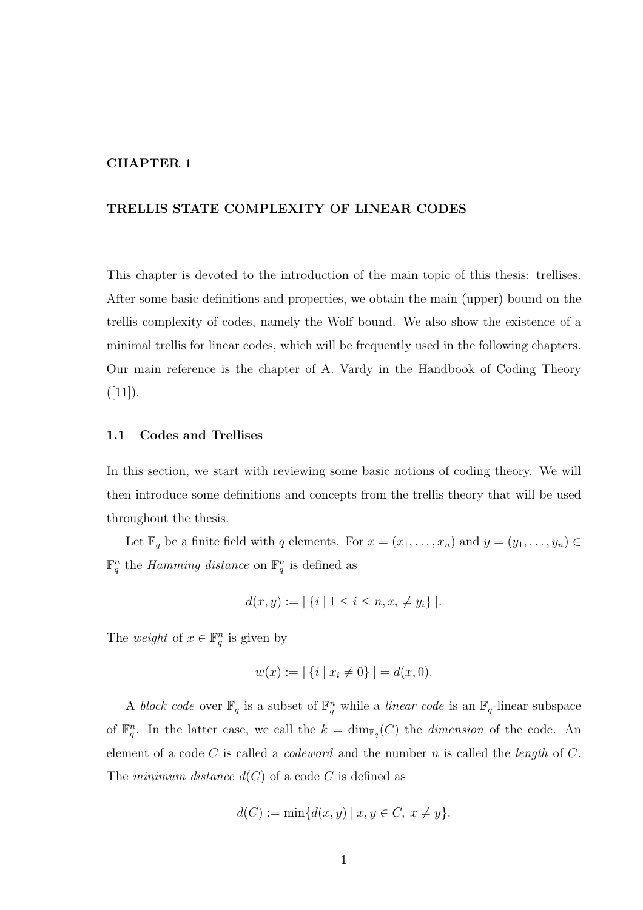## CHAPTER 1

## TRELLIS STATE COMPLEXITY OF LINEAR CODES

This chapter is devoted to the introduction of the main topic of this thesis: trellises. After some basic definitions and properties, we obtain the main (upper) bound on the trellis complexity of codes, namely the Wolf bound. We also show the existence of a minimal trellis for linear codes, which will be frequently used in the following chapters. Our main reference is the chapter of A. Vardy in the Handbook of Coding Theory  $([11]).$ 

## 1.1 Codes and Trellises

In this section, we start with reviewing some basic notions of coding theory. We will then introduce some definitions and concepts from the trellis theory that will be used throughout the thesis.

Let  $\mathbb{F}_q$  be a finite field with q elements. For  $x = (x_1, \ldots, x_n)$  and  $y = (y_1, \ldots, y_n) \in$  $\mathbb{F}_q^n$  the *Hamming distance* on  $\mathbb{F}_q^n$  is defined as

$$
d(x, y) := |\{i \mid 1 \le i \le n, x_i \neq y_i\}|.
$$

The *weight* of  $x \in \mathbb{F}_q^n$  is given by

$$
w(x) := |\{i \mid x_i \neq 0\}| = d(x, 0).
$$

A block code over  $\mathbb{F}_q$  is a subset of  $\mathbb{F}_q^n$  while a linear code is an  $\mathbb{F}_q$ -linear subspace of  $\mathbb{F}_q^n$ . In the latter case, we call the  $k = \dim_{\mathbb{F}_q}(C)$  the *dimension* of the code. An element of a code C is called a *codeword* and the number n is called the *length* of C. The minimum distance  $d(C)$  of a code C is defined as

$$
d(C) := \min\{d(x, y) \mid x, y \in C, \ x \neq y\}.
$$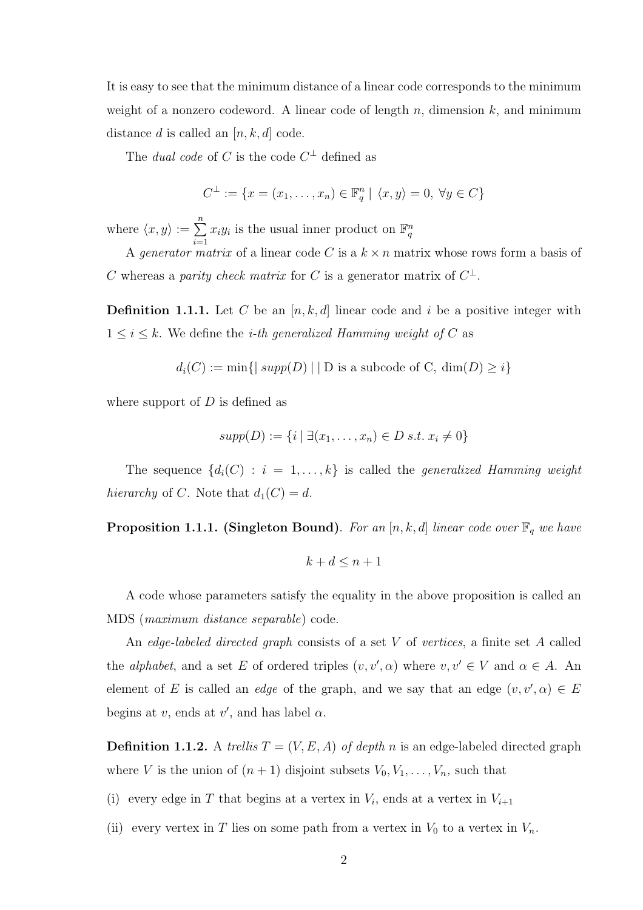It is easy to see that the minimum distance of a linear code corresponds to the minimum weight of a nonzero codeword. A linear code of length  $n$ , dimension  $k$ , and minimum distance d is called an  $[n, k, d]$  code.

The *dual code* of C is the code  $C^{\perp}$  defined as

$$
C^{\perp} := \{ x = (x_1, \dots, x_n) \in \mathbb{F}_q^n \mid \langle x, y \rangle = 0, \ \forall y \in C \}
$$

where  $\langle x,y \rangle := \sum_{n=1}^{\infty}$  $i=1$  $x_i y_i$  is the usual inner product on  $\mathbb{F}_q^n$ 

A *generator matrix* of a linear code C is a  $k \times n$  matrix whose rows form a basis of C whereas a *parity check matrix* for C is a generator matrix of  $C^{\perp}$ .

**Definition 1.1.1.** Let C be an  $[n, k, d]$  linear code and i be a positive integer with  $1 \leq i \leq k$ . We define the *i-th generalized Hamming weight of* C as

$$
d_i(C) := \min\{|\ supp(D)| \mid D \text{ is a subcode of } C, \dim(D) \ge i\}
$$

where support of  $D$  is defined as

$$
supp(D) := \{i \mid \exists (x_1, \ldots, x_n) \in D \text{ s.t. } x_i \neq 0\}
$$

The sequence  $\{d_i(C) : i = 1, ..., k\}$  is called the *generalized Hamming weight* hierarchy of C. Note that  $d_1(C) = d$ .

**Proposition 1.1.1. (Singleton Bound)**. For an [n, k, d] linear code over  $\mathbb{F}_q$  we have

$$
k+d\leq n+1
$$

A code whose parameters satisfy the equality in the above proposition is called an MDS (maximum distance separable) code.

An edge-labeled directed graph consists of a set V of vertices, a finite set A called the *alphabet*, and a set E of ordered triples  $(v, v', \alpha)$  where  $v, v' \in V$  and  $\alpha \in A$ . An element of E is called an *edge* of the graph, and we say that an edge  $(v, v', \alpha) \in E$ begins at  $v$ , ends at  $v'$ , and has label  $\alpha$ .

**Definition 1.1.2.** A trellis  $T = (V, E, A)$  of depth n is an edge-labeled directed graph where V is the union of  $(n + 1)$  disjoint subsets  $V_0, V_1, \ldots, V_n$ , such that

(i) every edge in T that begins at a vertex in  $V_i$ , ends at a vertex in  $V_{i+1}$ 

(ii) every vertex in T lies on some path from a vertex in  $V_0$  to a vertex in  $V_n$ .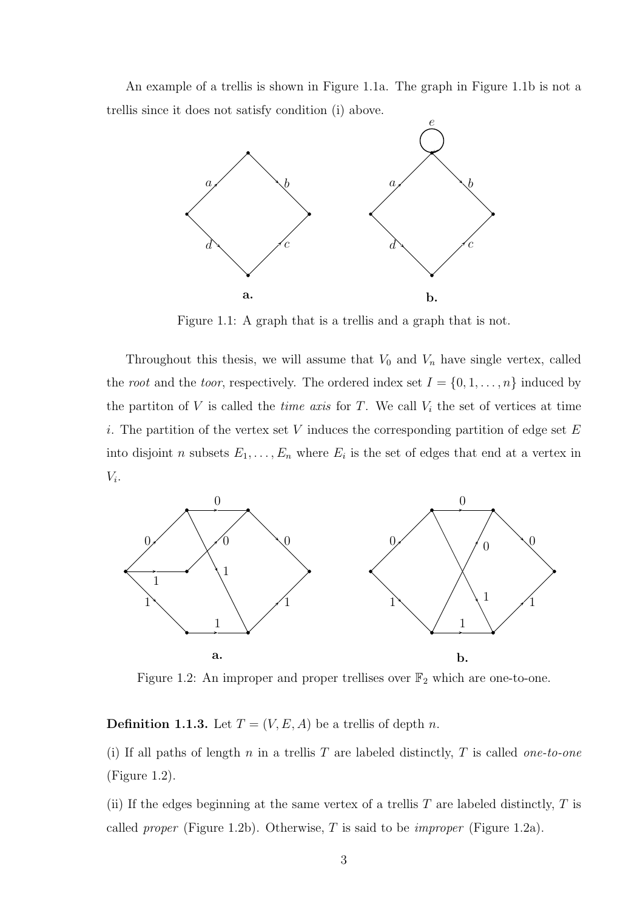An example of a trellis is shown in Figure 1.1a. The graph in Figure 1.1b is not a trellis since it does not satisfy condition (i) above.



Figure 1.1: A graph that is a trellis and a graph that is not.

Throughout this thesis, we will assume that  $V_0$  and  $V_n$  have single vertex, called the *root* and the *toor*, respectively. The ordered index set  $I = \{0, 1, \ldots, n\}$  induced by the partiton of  $V$  is called the *time axis* for  $T$ . We call  $V_i$  the set of vertices at time i. The partition of the vertex set V induces the corresponding partition of edge set  $E$ into disjoint *n* subsets  $E_1, \ldots, E_n$  where  $E_i$  is the set of edges that end at a vertex in  $V_i$ .



Figure 1.2: An improper and proper trellises over  $\mathbb{F}_2$  which are one-to-one.

**Definition 1.1.3.** Let  $T = (V, E, A)$  be a trellis of depth n.

(i) If all paths of length  $n$  in a trellis  $T$  are labeled distinctly,  $T$  is called *one-to-one* (Figure 1.2).

(ii) If the edges beginning at the same vertex of a trellis  $T$  are labeled distinctly,  $T$  is called *proper* (Figure 1.2b). Otherwise, T is said to be *improper* (Figure 1.2a).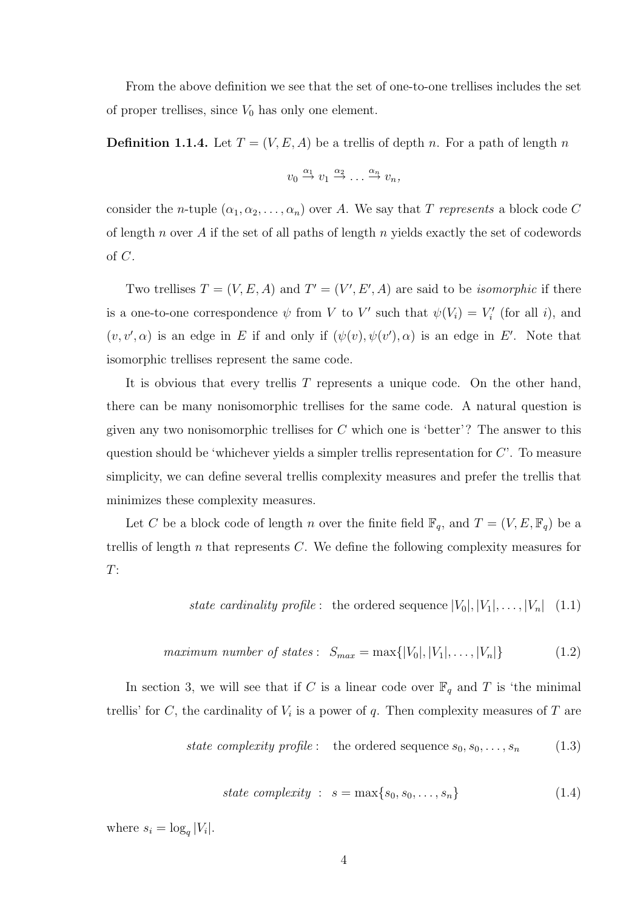From the above definition we see that the set of one-to-one trellises includes the set of proper trellises, since  $V_0$  has only one element.

**Definition 1.1.4.** Let  $T = (V, E, A)$  be a trellis of depth n. For a path of length n

$$
v_0 \stackrel{\alpha_1}{\rightarrow} v_1 \stackrel{\alpha_2}{\rightarrow} \dots \stackrel{\alpha_n}{\rightarrow} v_n,
$$

consider the n-tuple  $(\alpha_1, \alpha_2, \ldots, \alpha_n)$  over A. We say that T represents a block code C of length n over A if the set of all paths of length n yields exactly the set of codewords of C.

Two trellises  $T = (V, E, A)$  and  $T' = (V', E', A)$  are said to be *isomorphic* if there is a one-to-one correspondence  $\psi$  from V to V' such that  $\psi(V_i) = V'_i$  (for all i), and  $(v, v', \alpha)$  is an edge in E if and only if  $(\psi(v), \psi(v'), \alpha)$  is an edge in E'. Note that isomorphic trellises represent the same code.

It is obvious that every trellis T represents a unique code. On the other hand, there can be many nonisomorphic trellises for the same code. A natural question is given any two nonisomorphic trellises for  $C$  which one is 'better'? The answer to this question should be 'whichever yields a simpler trellis representation for  $C'$ . To measure simplicity, we can define several trellis complexity measures and prefer the trellis that minimizes these complexity measures.

Let C be a block code of length n over the finite field  $\mathbb{F}_q$ , and  $T = (V, E, \mathbb{F}_q)$  be a trellis of length  $n$  that represents  $C$ . We define the following complexity measures for  $T:$ 

state cardinality profile: the ordered sequence 
$$
|V_0|, |V_1|, \ldots, |V_n|
$$
 (1.1)

$$
maximum number of states: S_{max} = \max\{|V_0|, |V_1|, \dots, |V_n|\}
$$
 (1.2)

In section 3, we will see that if C is a linear code over  $\mathbb{F}_q$  and T is 'the minimal trellis' for C, the cardinality of  $V_i$  is a power of q. Then complexity measures of T are

state complexity profile: the ordered sequence 
$$
s_0, s_0, \ldots, s_n
$$
 (1.3)

state complexity : 
$$
s = \max\{s_0, s_0, \ldots, s_n\}
$$
 (1.4)

where  $s_i = \log_q |V_i|$ .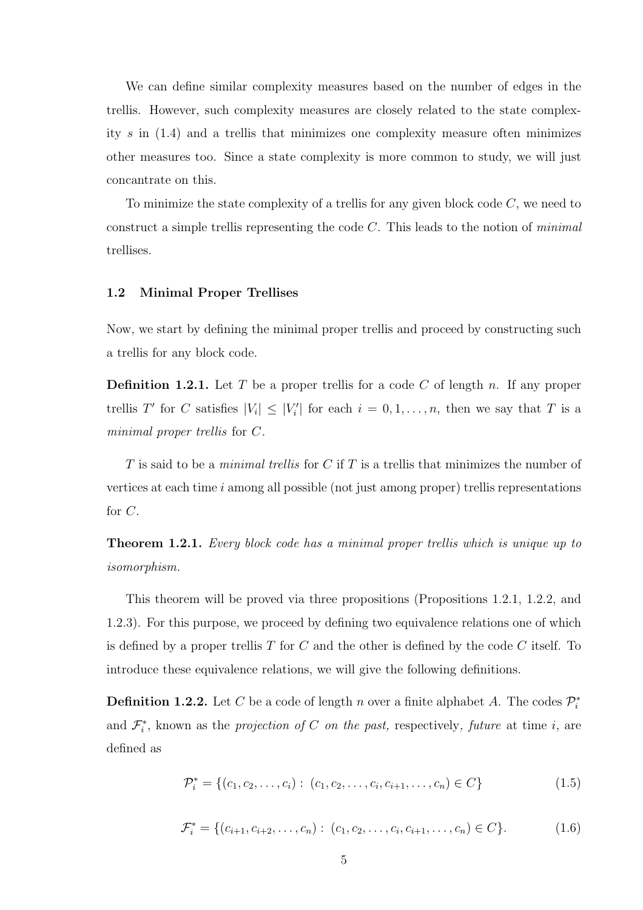We can define similar complexity measures based on the number of edges in the trellis. However, such complexity measures are closely related to the state complexity  $s$  in  $(1.4)$  and a trellis that minimizes one complexity measure often minimizes other measures too. Since a state complexity is more common to study, we will just concantrate on this.

To minimize the state complexity of a trellis for any given block code  $C$ , we need to construct a simple trellis representing the code  $C$ . This leads to the notion of *minimal* trellises.

#### 1.2 Minimal Proper Trellises

Now, we start by defining the minimal proper trellis and proceed by constructing such a trellis for any block code.

**Definition 1.2.1.** Let T be a proper trellis for a code C of length n. If any proper trellis T' for C satisfies  $|V_i| \leq |V'_i|$  for each  $i = 0, 1, ..., n$ , then we say that T is a minimal proper trellis for C.

T is said to be a *minimal trellis* for C if T is a trellis that minimizes the number of vertices at each time  $i$  among all possible (not just among proper) trellis representations for C.

**Theorem 1.2.1.** Every block code has a minimal proper trellis which is unique up to isomorphism.

This theorem will be proved via three propositions (Propositions 1.2.1, 1.2.2, and 1.2.3). For this purpose, we proceed by defining two equivalence relations one of which is defined by a proper trellis  $T$  for  $C$  and the other is defined by the code  $C$  itself. To introduce these equivalence relations, we will give the following definitions.

**Definition 1.2.2.** Let C be a code of length n over a finite alphabet A. The codes  $\mathcal{P}_i^*$ and  $\mathcal{F}_{i}^{*}$ , known as the projection of C on the past, respectively, future at time i, are defined as

$$
\mathcal{P}_i^* = \{(c_1, c_2, \dots, c_i) : (c_1, c_2, \dots, c_i, c_{i+1}, \dots, c_n) \in C\}
$$
\n(1.5)

$$
\mathcal{F}_i^* = \{ (c_{i+1}, c_{i+2}, \dots, c_n) : (c_1, c_2, \dots, c_i, c_{i+1}, \dots, c_n) \in C \}. \tag{1.6}
$$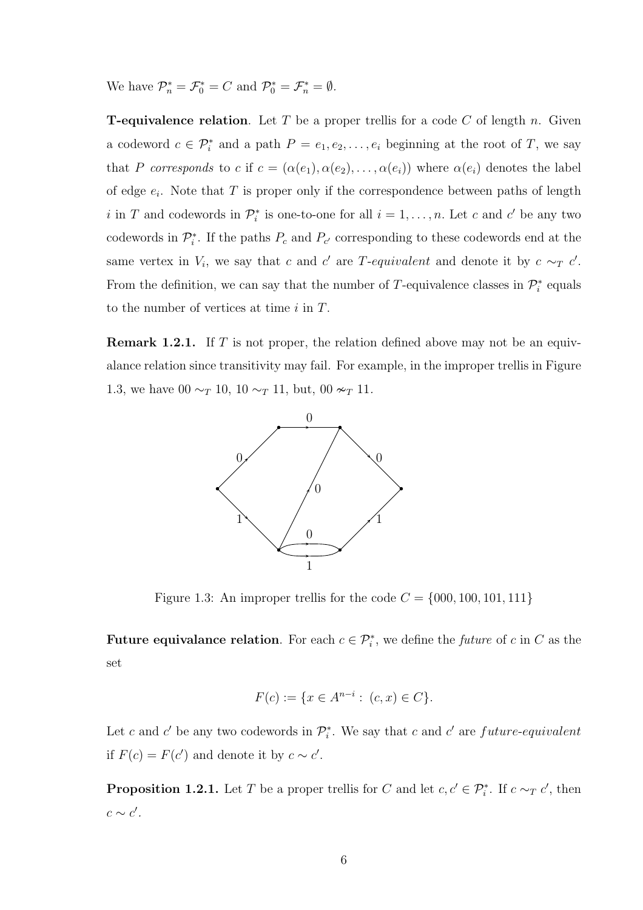We have  $\mathcal{P}_n^* = \mathcal{F}_0^* = C$  and  $\mathcal{P}_0^* = \mathcal{F}_n^* = \emptyset$ .

**T-equivalence relation.** Let T be a proper trellis for a code C of length n. Given a codeword  $c \in \mathcal{P}_i^*$  and a path  $P = e_1, e_2, \ldots, e_i$  beginning at the root of T, we say that P corresponds to c if  $c = (\alpha(e_1), \alpha(e_2), \dots, \alpha(e_i))$  where  $\alpha(e_i)$  denotes the label of edge  $e_i$ . Note that T is proper only if the correspondence between paths of length i in T and codewords in  $\mathcal{P}_i^*$  is one-to-one for all  $i = 1, \ldots, n$ . Let c and c' be any two codewords in  $\mathcal{P}_{i}^*$ . If the paths  $P_c$  and  $P_{c'}$  corresponding to these codewords end at the same vertex in  $V_i$ , we say that c and c' are T-equivalent and denote it by  $c \sim_T c'$ . From the definition, we can say that the number of T-equivalence classes in  $\mathcal{P}_i^*$  equals to the number of vertices at time  $i$  in  $T$ .

**Remark 1.2.1.** If T is not proper, the relation defined above may not be an equivalance relation since transitivity may fail. For example, in the improper trellis in Figure 1.3, we have 00  $\sim_T 10$ , 10  $\sim_T 11$ , but, 00  $\sim_T 11$ .



Figure 1.3: An improper trellis for the code  $C = \{000, 100, 101, 111\}$ 

Future equivalance relation. For each  $c \in \mathcal{P}_{i}^{*}$ , we define the *future* of c in C as the set

$$
F(c) := \{ x \in A^{n-i} : (c, x) \in C \}.
$$

Let c and c' be any two codewords in  $\mathcal{P}_i^*$ . We say that c and c' are future-equivalent if  $F(c) = F(c')$  and denote it by  $c \sim c'$ .

**Proposition 1.2.1.** Let T be a proper trellis for C and let  $c, c' \in \mathcal{P}_{i}^{*}$ . If  $c \sim_T c'$ , then  $c \sim c'$ .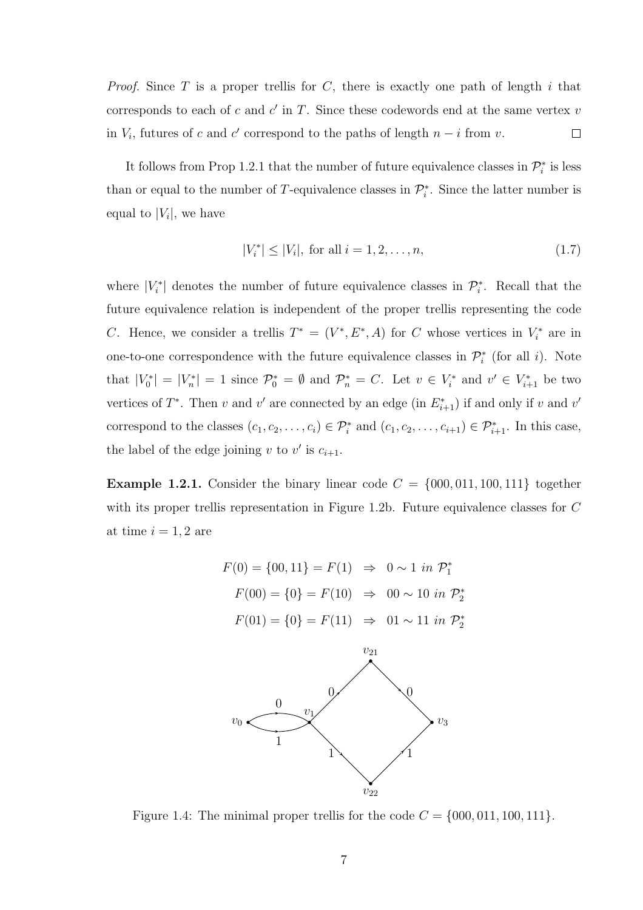*Proof.* Since T is a proper trellis for C, there is exactly one path of length i that corresponds to each of c and  $c'$  in T. Since these codewords end at the same vertex  $v$ in  $V_i$ , futures of c and c' correspond to the paths of length  $n - i$  from v.  $\Box$ 

It follows from Prop 1.2.1 that the number of future equivalence classes in  $\mathcal{P}_{i}^{*}$  is less than or equal to the number of T-equivalence classes in  $\mathcal{P}_{i}^{*}$ . Since the latter number is equal to  $|V_i|$ , we have

$$
|V_i^*| \le |V_i|, \text{ for all } i = 1, 2, \dots, n,
$$
\n(1.7)

where  $|V_i^*|$  denotes the number of future equivalence classes in  $\mathcal{P}_i^*$ . Recall that the future equivalence relation is independent of the proper trellis representing the code C. Hence, we consider a trellis  $T^* = (V^*, E^*, A)$  for C whose vertices in  $V_i^*$  are in one-to-one correspondence with the future equivalence classes in  $\mathcal{P}_{i}^{*}$  (for all *i*). Note that  $|V_0^*| = |V_n^*| = 1$  since  $\mathcal{P}_0^* = \emptyset$  and  $\mathcal{P}_n^* = C$ . Let  $v \in V_i^*$  and  $v' \in V_{i+1}^*$  be two vertices of  $T^*$ . Then v and v' are connected by an edge (in  $E_{i+1}^*$ ) if and only if v and v' correspond to the classes  $(c_1, c_2, \ldots, c_i) \in \mathcal{P}_i^*$  and  $(c_1, c_2, \ldots, c_{i+1}) \in \mathcal{P}_{i+1}^*$ . In this case, the label of the edge joining v to v' is  $c_{i+1}$ .

**Example 1.2.1.** Consider the binary linear code  $C = \{000, 011, 100, 111\}$  together with its proper trellis representation in Figure 1.2b. Future equivalence classes for C at time  $i = 1, 2$  are





Figure 1.4: The minimal proper trellis for the code  $C = \{000, 011, 100, 111\}.$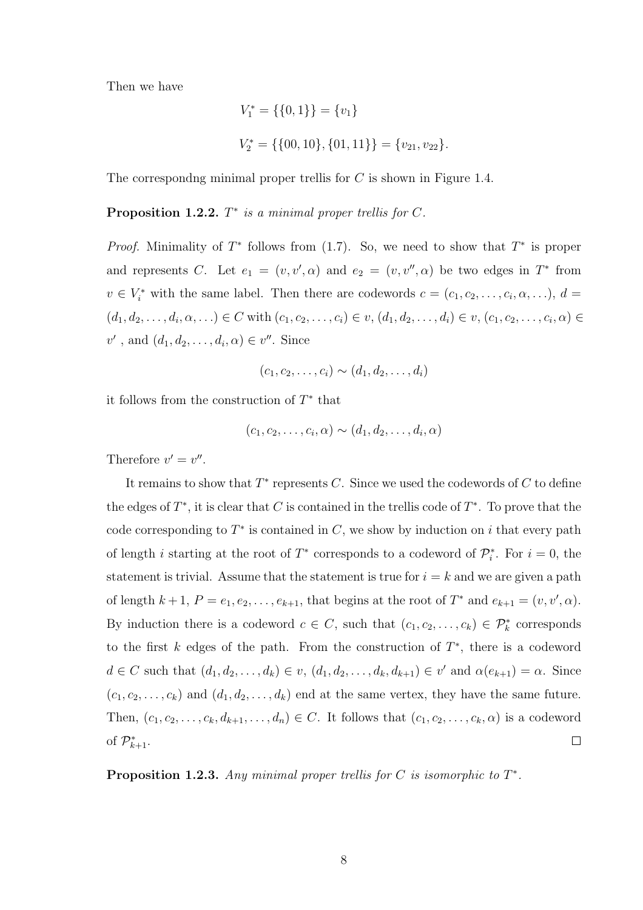Then we have

$$
V_1^* = \{\{0, 1\}\} = \{v_1\}
$$
  

$$
V_2^* = \{\{00, 10\}, \{01, 11\}\} = \{v_{21}, v_{22}\}.
$$

The correspondng minimal proper trellis for  $C$  is shown in Figure 1.4.

**Proposition 1.2.2.**  $T^*$  is a minimal proper trellis for  $C$ .

*Proof.* Minimality of  $T^*$  follows from (1.7). So, we need to show that  $T^*$  is proper and represents C. Let  $e_1 = (v, v', \alpha)$  and  $e_2 = (v, v'', \alpha)$  be two edges in  $T^*$  from  $v \in V_i^*$  with the same label. Then there are codewords  $c = (c_1, c_2, \ldots, c_i, \alpha, \ldots), d =$  $(d_1, d_2, \ldots, d_i, \alpha, \ldots) \in C$  with  $(c_1, c_2, \ldots, c_i) \in v, (d_1, d_2, \ldots, d_i) \in v, (c_1, c_2, \ldots, c_i, \alpha) \in C$  $v'$ , and  $(d_1, d_2, \ldots, d_i, \alpha) \in v''$ . Since

$$
(c_1,c_2,\ldots,c_i)\sim (d_1,d_2,\ldots,d_i)
$$

it follows from the construction of  $T^*$  that

$$
(c_1,c_2,\ldots,c_i,\alpha) \sim (d_1,d_2,\ldots,d_i,\alpha)
$$

Therefore  $v' = v''$ .

It remains to show that  $T^*$  represents C. Since we used the codewords of C to define the edges of  $T^*$ , it is clear that C is contained in the trellis code of  $T^*$ . To prove that the code corresponding to  $T^*$  is contained in C, we show by induction on i that every path of length *i* starting at the root of  $T^*$  corresponds to a codeword of  $\mathcal{P}_i^*$ . For  $i = 0$ , the statement is trivial. Assume that the statement is true for  $i = k$  and we are given a path of length  $k+1$ ,  $P = e_1, e_2, \ldots, e_{k+1}$ , that begins at the root of  $T^*$  and  $e_{k+1} = (v, v', \alpha)$ . By induction there is a codeword  $c \in C$ , such that  $(c_1, c_2, \ldots, c_k) \in \mathcal{P}_k^*$  corresponds to the first  $k$  edges of the path. From the construction of  $T^*$ , there is a codeword  $d \in C$  such that  $(d_1, d_2, \ldots, d_k) \in v$ ,  $(d_1, d_2, \ldots, d_k, d_{k+1}) \in v'$  and  $\alpha(e_{k+1}) = \alpha$ . Since  $(c_1,c_2,\ldots,c_k)$  and  $(d_1,d_2,\ldots,d_k)$  end at the same vertex, they have the same future. Then,  $(c_1, c_2, \ldots, c_k, d_{k+1}, \ldots, d_n) \in C$ . It follows that  $(c_1, c_2, \ldots, c_k, \alpha)$  is a codeword of  $\mathcal{P}_{k+1}^*$ .  $\Box$ 

**Proposition 1.2.3.** Any minimal proper trellis for  $C$  is isomorphic to  $T^*$ .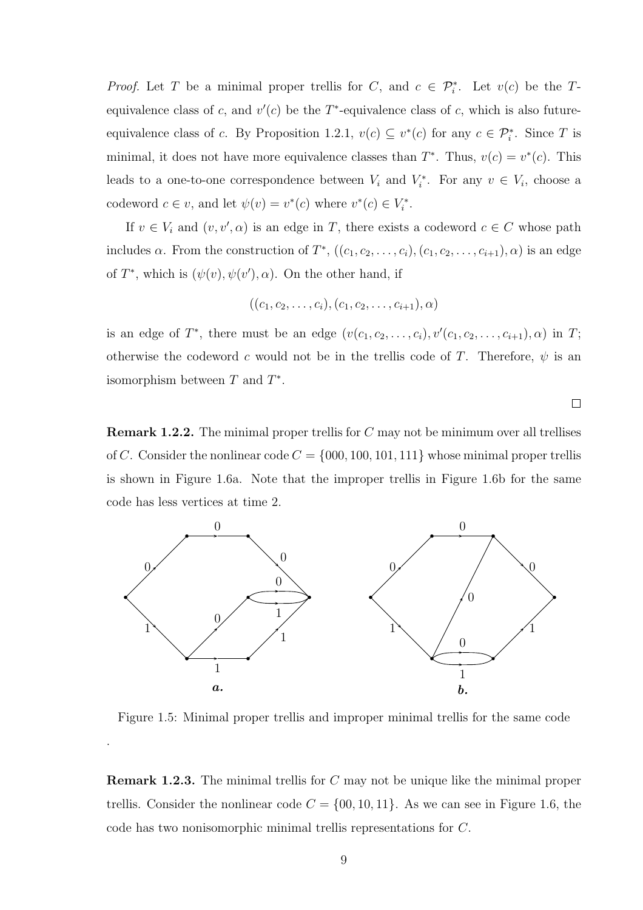*Proof.* Let T be a minimal proper trellis for C, and  $c \in \mathcal{P}_i^*$ . Let  $v(c)$  be the Tequivalence class of c, and  $v'(c)$  be the T<sup>\*</sup>-equivalence class of c, which is also futureequivalence class of c. By Proposition 1.2.1,  $v(c) \subseteq v^*(c)$  for any  $c \in \mathcal{P}_i^*$ . Since T is minimal, it does not have more equivalence classes than  $T^*$ . Thus,  $v(c) = v^*(c)$ . This leads to a one-to-one correspondence between  $V_i$  and  $V_i^*$ . For any  $v \in V_i$ , choose a codeword  $c \in v$ , and let  $\psi(v) = v^*(c)$  where  $v^*(c) \in V_i^*$ .

If  $v \in V_i$  and  $(v, v', \alpha)$  is an edge in T, there exists a codeword  $c \in C$  whose path includes  $\alpha$ . From the construction of  $T^*$ ,  $((c_1, c_2, \ldots, c_i), (c_1, c_2, \ldots, c_{i+1}), \alpha)$  is an edge of  $T^*$ , which is  $(\psi(v), \psi(v'), \alpha)$ . On the other hand, if

$$
((c_1, c_2, \ldots, c_i), (c_1, c_2, \ldots, c_{i+1}), \alpha)
$$

is an edge of  $T^*$ , there must be an edge  $(v(c_1, c_2, \ldots, c_i), v'(c_1, c_2, \ldots, c_{i+1}), \alpha)$  in  $T$ ; otherwise the codeword c would not be in the trellis code of T. Therefore,  $\psi$  is an isomorphism between  $T$  and  $T^*$ .

 $\Box$ 

**Remark 1.2.2.** The minimal proper trellis for  $C$  may not be minimum over all trellises of C. Consider the nonlinear code  $C = \{000, 100, 101, 111\}$  whose minimal proper trellis is shown in Figure 1.6a. Note that the improper trellis in Figure 1.6b for the same code has less vertices at time 2.



Figure 1.5: Minimal proper trellis and improper minimal trellis for the same code

.

Remark 1.2.3. The minimal trellis for C may not be unique like the minimal proper trellis. Consider the nonlinear code  $C = \{00, 10, 11\}$ . As we can see in Figure 1.6, the code has two nonisomorphic minimal trellis representations for C.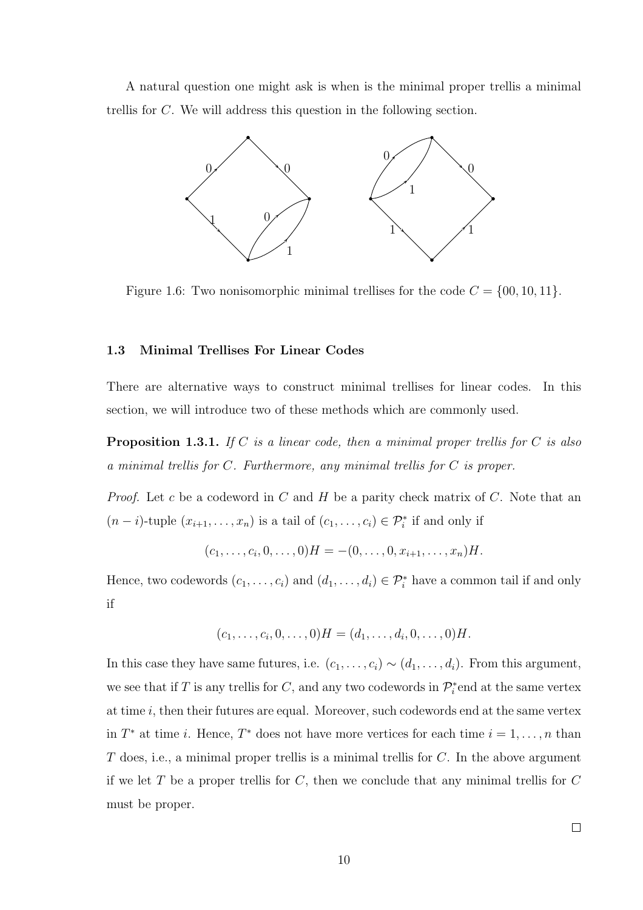A natural question one might ask is when is the minimal proper trellis a minimal trellis for C. We will address this question in the following section.



Figure 1.6: Two nonisomorphic minimal trellises for the code  $C = \{00, 10, 11\}.$ 

## 1.3 Minimal Trellises For Linear Codes

There are alternative ways to construct minimal trellises for linear codes. In this section, we will introduce two of these methods which are commonly used.

**Proposition 1.3.1.** If C is a linear code, then a minimal proper trellis for C is also a minimal trellis for C. Furthermore, any minimal trellis for C is proper.

*Proof.* Let c be a codeword in  $C$  and  $H$  be a parity check matrix of  $C$ . Note that an  $(n-i)$ -tuple  $(x_{i+1},...,x_n)$  is a tail of  $(c_1,...,c_i) \in \mathcal{P}_i^*$  if and only if

$$
(c_1,\ldots,c_i,0,\ldots,0)H = -(0,\ldots,0,x_{i+1},\ldots,x_n)H.
$$

Hence, two codewords  $(c_1, \ldots, c_i)$  and  $(d_1, \ldots, d_i) \in \mathcal{P}_i^*$  have a common tail if and only if

$$
(c_1, \ldots, c_i, 0, \ldots, 0)H = (d_1, \ldots, d_i, 0, \ldots, 0)H.
$$

In this case they have same futures, i.e.  $(c_1, \ldots, c_i) \sim (d_1, \ldots, d_i)$ . From this argument, we see that if T is any trellis for C, and any two codewords in  $\mathcal{P}_i^*$  end at the same vertex at time  $i$ , then their futures are equal. Moreover, such codewords end at the same vertex in  $T^*$  at time *i*. Hence,  $T^*$  does not have more vertices for each time  $i = 1, \ldots, n$  than  $T$  does, i.e., a minimal proper trellis is a minimal trellis for  $C$ . In the above argument if we let  $T$  be a proper trellis for  $C$ , then we conclude that any minimal trellis for  $C$ must be proper.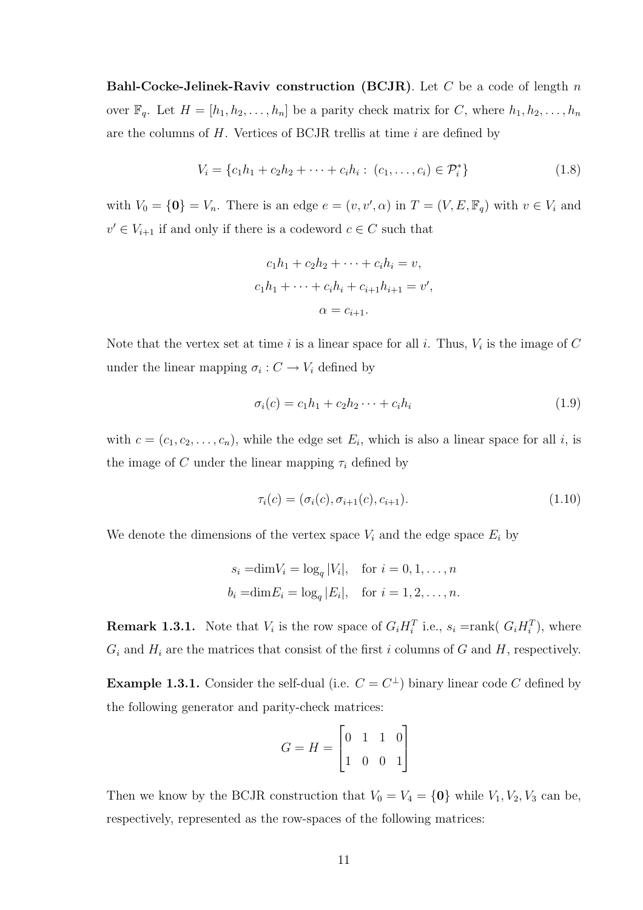**Bahl-Cocke-Jelinek-Raviv construction (BCJR)**. Let C be a code of length n over  $\mathbb{F}_q$ . Let  $H = [h_1, h_2, \ldots, h_n]$  be a parity check matrix for C, where  $h_1, h_2, \ldots, h_n$ are the columns of  $H$ . Vertices of BCJR trellis at time  $i$  are defined by

$$
V_i = \{c_1h_1 + c_2h_2 + \dots + c_ih_i : (c_1, \dots, c_i) \in \mathcal{P}_i^*\}\tag{1.8}
$$

with  $V_0 = \{0\} = V_n$ . There is an edge  $e = (v, v', \alpha)$  in  $T = (V, E, \mathbb{F}_q)$  with  $v \in V_i$  and  $v' \in V_{i+1}$  if and only if there is a codeword  $c \in C$  such that

$$
c_1h_1 + c_2h_2 + \dots + c_ih_i = v,
$$
  
\n
$$
c_1h_1 + \dots + c_ih_i + c_{i+1}h_{i+1} = v',
$$
  
\n
$$
\alpha = c_{i+1}.
$$

Note that the vertex set at time i is a linear space for all i. Thus,  $V_i$  is the image of C under the linear mapping  $\sigma_i: C \to V_i$  defined by

$$
\sigma_i(c) = c_1 h_1 + c_2 h_2 \cdots + c_i h_i \tag{1.9}
$$

with  $c = (c_1, c_2, \ldots, c_n)$ , while the edge set  $E_i$ , which is also a linear space for all i, is the image of C under the linear mapping  $\tau_i$  defined by

$$
\tau_i(c) = (\sigma_i(c), \sigma_{i+1}(c), c_{i+1}). \tag{1.10}
$$

We denote the dimensions of the vertex space  $V_i$  and the edge space  $E_i$  by

$$
s_i = \dim V_i = \log_q |V_i|, \quad \text{for } i = 0, 1, \dots, n
$$
  

$$
b_i = \dim E_i = \log_q |E_i|, \quad \text{for } i = 1, 2, \dots, n.
$$

**Remark 1.3.1.** Note that  $V_i$  is the row space of  $G_i H_i^T$  i.e.,  $s_i = \text{rank}(G_i H_i^T)$ , where  $G_i$  and  $H_i$  are the matrices that consist of the first i columns of G and H, respectively.

**Example 1.3.1.** Consider the self-dual (i.e.  $C = C^{\perp}$ ) binary linear code C defined by the following generator and parity-check matrices:

$$
G = H = \begin{bmatrix} 0 & 1 & 1 & 0 \\ 1 & 0 & 0 & 1 \end{bmatrix}
$$

Then we know by the BCJR construction that  $V_0 = V_4 = \{0\}$  while  $V_1, V_2, V_3$  can be, respectively, represented as the row-spaces of the following matrices: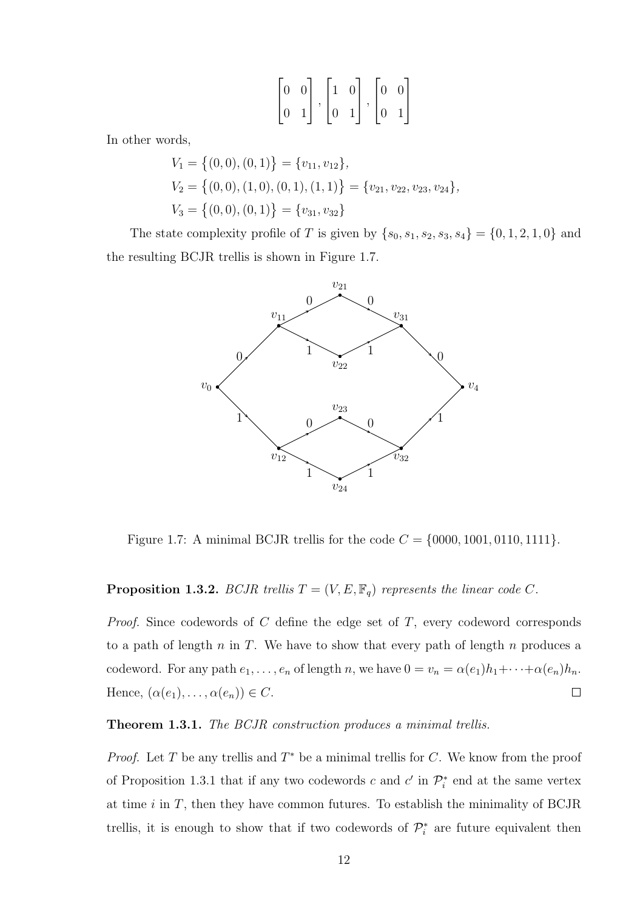$$
\begin{bmatrix} 0 & 0 \\ 0 & 1 \end{bmatrix}, \begin{bmatrix} 1 & 0 \\ 0 & 1 \end{bmatrix}, \begin{bmatrix} 0 & 0 \\ 0 & 1 \end{bmatrix}
$$

In other words,

$$
V_1 = \{(0,0), (0,1)\} = \{v_{11}, v_{12}\},
$$
  
\n
$$
V_2 = \{(0,0), (1,0), (0,1), (1,1)\} = \{v_{21}, v_{22}, v_{23}, v_{24}\},
$$
  
\n
$$
V_3 = \{(0,0), (0,1)\} = \{v_{31}, v_{32}\}
$$

The state complexity profile of T is given by  $\{s_0, s_1, s_2, s_3, s_4\} = \{0, 1, 2, 1, 0\}$  and the resulting BCJR trellis is shown in Figure 1.7.



Figure 1.7: A minimal BCJR trellis for the code  $C = \{0000, 1001, 0110, 1111\}$ .

## **Proposition 1.3.2.** BCJR trellis  $T = (V, E, \mathbb{F}_q)$  represents the linear code C.

*Proof.* Since codewords of  $C$  define the edge set of  $T$ , every codeword corresponds to a path of length  $n$  in  $T$ . We have to show that every path of length  $n$  produces a codeword. For any path  $e_1, \ldots, e_n$  of length n, we have  $0 = v_n = \alpha(e_1)h_1 + \cdots + \alpha(e_n)h_n$ . Hence,  $(\alpha(e_1), \ldots, \alpha(e_n)) \in C$ .  $\Box$ 

## Theorem 1.3.1. The BCJR construction produces a minimal trellis.

*Proof.* Let T be any trellis and  $T^*$  be a minimal trellis for C. We know from the proof of Proposition 1.3.1 that if any two codewords c and  $c'$  in  $\mathcal{P}_i^*$  end at the same vertex at time  $i$  in  $T$ , then they have common futures. To establish the minimality of BCJR trellis, it is enough to show that if two codewords of  $\mathcal{P}_i^*$  are future equivalent then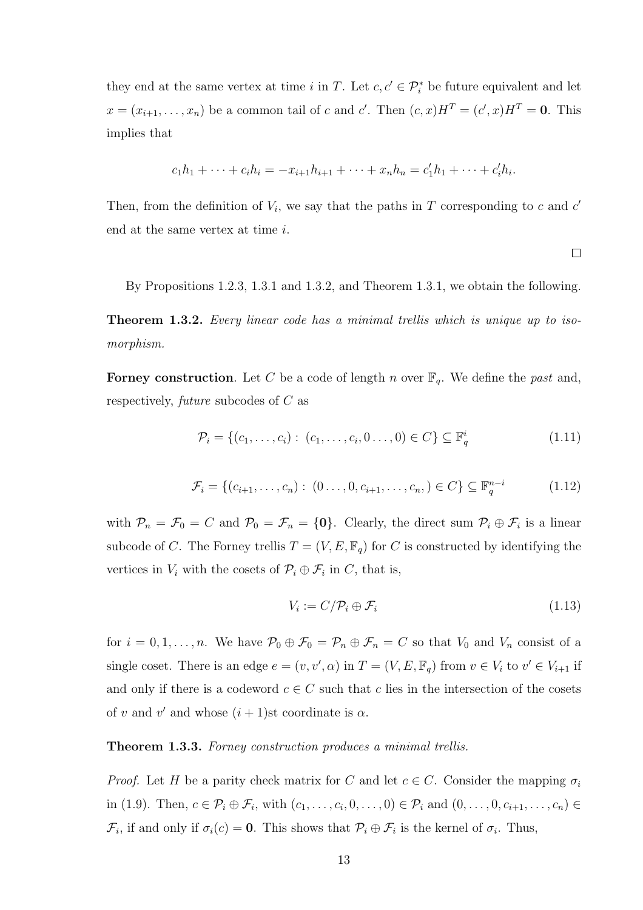they end at the same vertex at time i in T. Let  $c, c' \in \mathcal{P}_i^*$  be future equivalent and let  $x = (x_{i+1}, \ldots, x_n)$  be a common tail of c and c'. Then  $(c, x)H^T = (c', x)H^T = 0$ . This implies that

$$
c_1h_1 + \dots + c_ih_i = -x_{i+1}h_{i+1} + \dots + x_nh_n = c'_1h_1 + \dots + c'_ih_i.
$$

Then, from the definition of  $V_i$ , we say that the paths in T corresponding to c and  $c'$ end at the same vertex at time i.

By Propositions 1.2.3, 1.3.1 and 1.3.2, and Theorem 1.3.1, we obtain the following.

**Theorem 1.3.2.** Every linear code has a minimal trellis which is unique up to isomorphism.

**Forney construction**. Let C be a code of length n over  $\mathbb{F}_q$ . We define the past and, respectively, future subcodes of C as

$$
\mathcal{P}_i = \{ (c_1, \dots, c_i) : (c_1, \dots, c_i, 0 \dots, 0) \in C \} \subseteq \mathbb{F}_q^i
$$
\n(1.11)

$$
\mathcal{F}_i = \{ (c_{i+1}, \dots, c_n) : (0 \dots, 0, c_{i+1}, \dots, c_n) \in C \} \subseteq \mathbb{F}_q^{n-i}
$$
 (1.12)

with  $\mathcal{P}_n = \mathcal{F}_0 = C$  and  $\mathcal{P}_0 = \mathcal{F}_n = \{0\}$ . Clearly, the direct sum  $\mathcal{P}_i \oplus \mathcal{F}_i$  is a linear subcode of C. The Forney trellis  $T = (V, E, \mathbb{F}_q)$  for C is constructed by identifying the vertices in  $V_i$  with the cosets of  $\mathcal{P}_i \oplus \mathcal{F}_i$  in C, that is,

$$
V_i := C/\mathcal{P}_i \oplus \mathcal{F}_i \tag{1.13}
$$

 $\Box$ 

for  $i = 0, 1, \ldots, n$ . We have  $\mathcal{P}_0 \oplus \mathcal{F}_0 = \mathcal{P}_n \oplus \mathcal{F}_n = C$  so that  $V_0$  and  $V_n$  consist of a single coset. There is an edge  $e = (v, v', \alpha)$  in  $T = (V, E, \mathbb{F}_q)$  from  $v \in V_i$  to  $v' \in V_{i+1}$  if and only if there is a codeword  $c \in C$  such that c lies in the intersection of the cosets of v and v' and whose  $(i + 1)$ st coordinate is  $\alpha$ .

## Theorem 1.3.3. Forney construction produces a minimal trellis.

*Proof.* Let H be a parity check matrix for C and let  $c \in C$ . Consider the mapping  $\sigma_i$ in (1.9). Then,  $c \in \mathcal{P}_i \oplus \mathcal{F}_i$ , with  $(c_1, \ldots, c_i, 0, \ldots, 0) \in \mathcal{P}_i$  and  $(0, \ldots, 0, c_{i+1}, \ldots, c_n) \in$  $\mathcal{F}_i$ , if and only if  $\sigma_i(c) = \mathbf{0}$ . This shows that  $\mathcal{P}_i \oplus \mathcal{F}_i$  is the kernel of  $\sigma_i$ . Thus,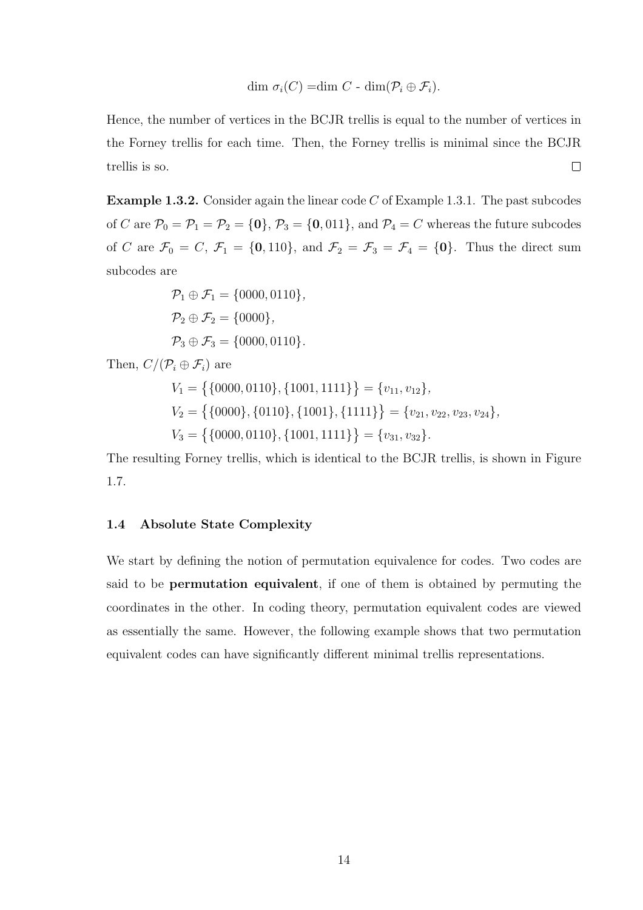dim  $\sigma_i(C) = \dim C$  -  $\dim(\mathcal{P}_i \oplus \mathcal{F}_i)$ .

Hence, the number of vertices in the BCJR trellis is equal to the number of vertices in the Forney trellis for each time. Then, the Forney trellis is minimal since the BCJR trellis is so.  $\Box$ 

**Example 1.3.2.** Consider again the linear code  $C$  of Example 1.3.1. The past subcodes of C are  $\mathcal{P}_0 = \mathcal{P}_1 = \mathcal{P}_2 = \{0\}, \mathcal{P}_3 = \{0, 011\}, \text{ and } \mathcal{P}_4 = C \text{ whereas the future subcodes}$ of C are  $\mathcal{F}_0 = C$ ,  $\mathcal{F}_1 = \{0, 110\}$ , and  $\mathcal{F}_2 = \mathcal{F}_3 = \mathcal{F}_4 = \{0\}$ . Thus the direct sum subcodes are

$$
\mathcal{P}_1 \oplus \mathcal{F}_1 = \{0000, 0110\},
$$
  
\n
$$
\mathcal{P}_2 \oplus \mathcal{F}_2 = \{0000\},
$$
  
\n
$$
\mathcal{P}_3 \oplus \mathcal{F}_3 = \{0000, 0110\}.
$$

Then,  $C/(\mathcal{P}_i \oplus \mathcal{F}_i)$  are

$$
V_1 = \{ \{0000, 0110\}, \{1001, 1111\} \} = \{v_{11}, v_{12}\},
$$
  
\n
$$
V_2 = \{ \{0000\}, \{0110\}, \{1001\}, \{1111\} \} = \{v_{21}, v_{22}, v_{23}, v_{24}\},
$$
  
\n
$$
V_3 = \{ \{0000, 0110\}, \{1001, 1111\} \} = \{v_{31}, v_{32}\}.
$$

The resulting Forney trellis, which is identical to the BCJR trellis, is shown in Figure 1.7.

## 1.4 Absolute State Complexity

We start by defining the notion of permutation equivalence for codes. Two codes are said to be permutation equivalent, if one of them is obtained by permuting the coordinates in the other. In coding theory, permutation equivalent codes are viewed as essentially the same. However, the following example shows that two permutation equivalent codes can have significantly different minimal trellis representations.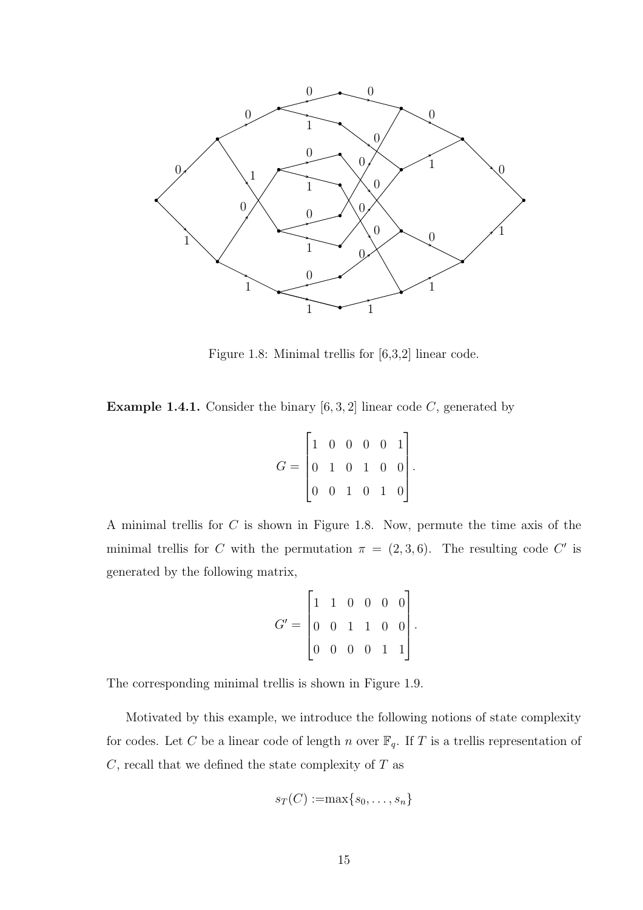

Figure 1.8: Minimal trellis for [6,3,2] linear code.

**Example 1.4.1.** Consider the binary  $[6, 3, 2]$  linear code C, generated by

| $G = \begin{bmatrix} 1 & 0 & 0 & 0 & 0 & 1 \ 0 & 1 & 0 & 1 & 0 & 0 \ 0 & 0 & 1 & 0 & 1 & 0 \end{bmatrix}.$ |  |  |  |  |
|------------------------------------------------------------------------------------------------------------|--|--|--|--|
|                                                                                                            |  |  |  |  |
|                                                                                                            |  |  |  |  |

A minimal trellis for C is shown in Figure 1.8. Now, permute the time axis of the minimal trellis for C with the permutation  $\pi = (2, 3, 6)$ . The resulting code C' is generated by the following matrix,

|                                                             | $\begin{vmatrix} 1 & 1 & 0 & 0 & 0 & 0 \end{vmatrix}$ |  |  |  |
|-------------------------------------------------------------|-------------------------------------------------------|--|--|--|
| $G' = \begin{bmatrix} 0 & 0 & 1 & 1 & 0 & 0 \end{bmatrix}.$ |                                                       |  |  |  |
|                                                             | $\begin{bmatrix} 0 & 0 & 0 & 0 & 1 & 1 \end{bmatrix}$ |  |  |  |

The corresponding minimal trellis is shown in Figure 1.9.

Motivated by this example, we introduce the following notions of state complexity for codes. Let C be a linear code of length n over  $\mathbb{F}_q$ . If T is a trellis representation of  $C$ , recall that we defined the state complexity of  $T$  as

$$
s_T(C):=\max\{s_0,\ldots,s_n\}
$$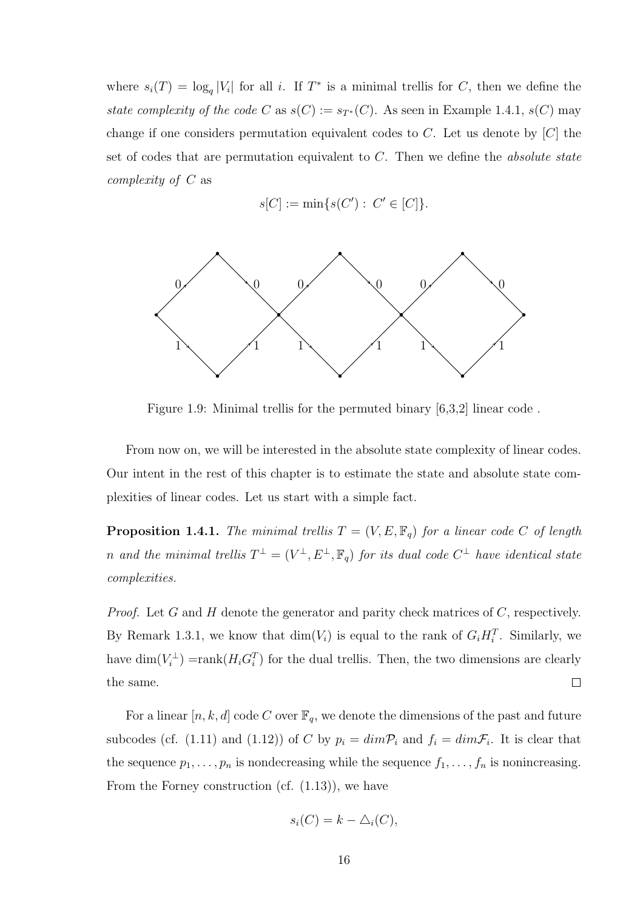where  $s_i(T) = \log_q |V_i|$  for all i. If  $T^*$  is a minimal trellis for C, then we define the state complexity of the code C as  $s(C) := s_{T^*}(C)$ . As seen in Example 1.4.1,  $s(C)$  may change if one considers permutation equivalent codes to  $C$ . Let us denote by  $[C]$  the set of codes that are permutation equivalent to  $C$ . Then we define the *absolute state* complexity of C as

$$
s[C] := \min\{s(C') : C' \in [C]\}.
$$



Figure 1.9: Minimal trellis for the permuted binary [6,3,2] linear code .

From now on, we will be interested in the absolute state complexity of linear codes. Our intent in the rest of this chapter is to estimate the state and absolute state complexities of linear codes. Let us start with a simple fact.

**Proposition 1.4.1.** The minimal trellis  $T = (V, E, \mathbb{F}_q)$  for a linear code C of length n and the minimal trellis  $T^{\perp} = (V^{\perp}, E^{\perp}, \mathbb{F}_q)$  for its dual code  $C^{\perp}$  have identical state complexities.

*Proof.* Let G and H denote the generator and parity check matrices of  $C$ , respectively. By Remark 1.3.1, we know that  $\dim(V_i)$  is equal to the rank of  $G_i H_i^T$ . Similarly, we have  $\dim(V_i^{\perp}) = \text{rank}(H_i G_i^T)$  for the dual trellis. Then, the two dimensions are clearly the same.  $\Box$ 

For a linear  $[n,k,d]$  code C over  $\mathbb{F}_q$ , we denote the dimensions of the past and future subcodes (cf. (1.11) and (1.12)) of C by  $p_i = dim\mathcal{P}_i$  and  $f_i = dim\mathcal{F}_i$ . It is clear that the sequence  $p_1, \ldots, p_n$  is nondecreasing while the sequence  $f_1, \ldots, f_n$  is nonincreasing. From the Forney construction (cf. (1.13)), we have

$$
s_i(C) = k - \triangle_i(C),
$$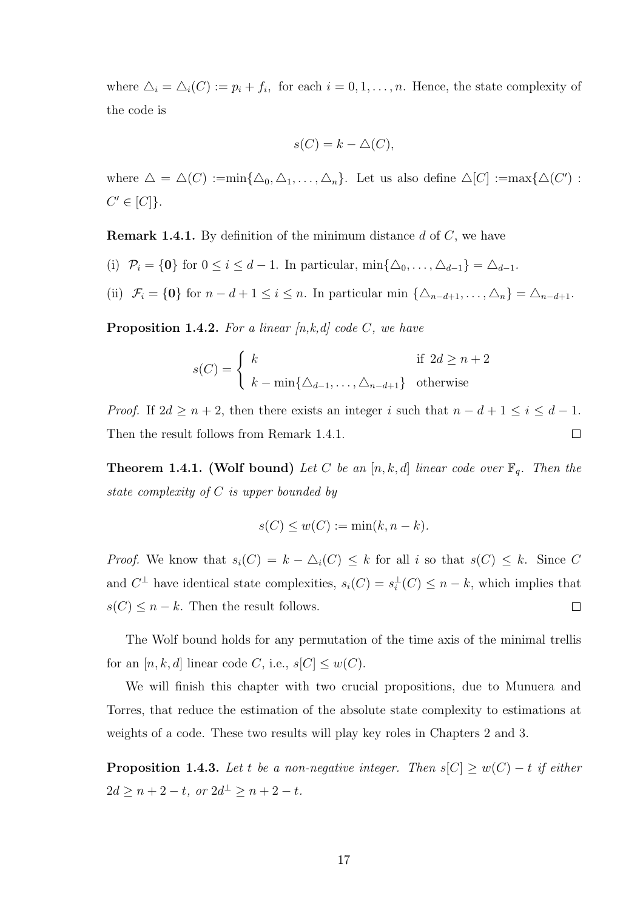where  $\Delta_i = \Delta_i(C) := p_i + f_i$ , for each  $i = 0, 1, ..., n$ . Hence, the state complexity of the code is

$$
s(C) = k - \triangle(C),
$$

where  $\Delta = \Delta(C) := \min\{\Delta_0, \Delta_1, \ldots, \Delta_n\}$ . Let us also define  $\Delta[C] := \max\{\Delta(C')$ :  $C' \in [C]$ .

**Remark 1.4.1.** By definition of the minimum distance  $d$  of  $C$ , we have

- (i)  $\mathcal{P}_i = \{0\}$  for  $0 \leq i \leq d-1$ . In particular,  $\min\{\Delta_0, \ldots, \Delta_{d-1}\} = \Delta_{d-1}$ .
- (ii)  $\mathcal{F}_i = \{0\}$  for  $n d + 1 \leq i \leq n$ . In particular min  $\{\Delta_{n-d+1}, \ldots, \Delta_n\} = \Delta_{n-d+1}$ .

**Proposition 1.4.2.** For a linear  $[n,k,d]$  code C, we have

$$
s(C) = \begin{cases} k & \text{if } 2d \ge n+2\\ k - \min\{\Delta_{d-1}, \dots, \Delta_{n-d+1}\} & \text{otherwise} \end{cases}
$$

*Proof.* If  $2d \ge n + 2$ , then there exists an integer i such that  $n - d + 1 \le i \le d - 1$ . Then the result follows from Remark 1.4.1.  $\Box$ 

**Theorem 1.4.1. (Wolf bound)** Let C be an [n, k, d] linear code over  $\mathbb{F}_q$ . Then the state complexity of C is upper bounded by

$$
s(C) \le w(C) := \min(k, n - k).
$$

*Proof.* We know that  $s_i(C) = k - \Delta_i(C) \leq k$  for all i so that  $s(C) \leq k$ . Since C and  $C^{\perp}$  have identical state complexities,  $s_i(C) = s_i^{\perp}(C) \leq n - k$ , which implies that  $s(C) \leq n - k$ . Then the result follows.  $\Box$ 

The Wolf bound holds for any permutation of the time axis of the minimal trellis for an  $[n, k, d]$  linear code C, i.e.,  $s[C] \leq w(C)$ .

We will finish this chapter with two crucial propositions, due to Munuera and Torres, that reduce the estimation of the absolute state complexity to estimations at weights of a code. These two results will play key roles in Chapters 2 and 3.

**Proposition 1.4.3.** Let t be a non-negative integer. Then  $s[C] \geq w(C) - t$  if either  $2d \ge n+2-t$ , or  $2d^{\perp} \ge n+2-t$ .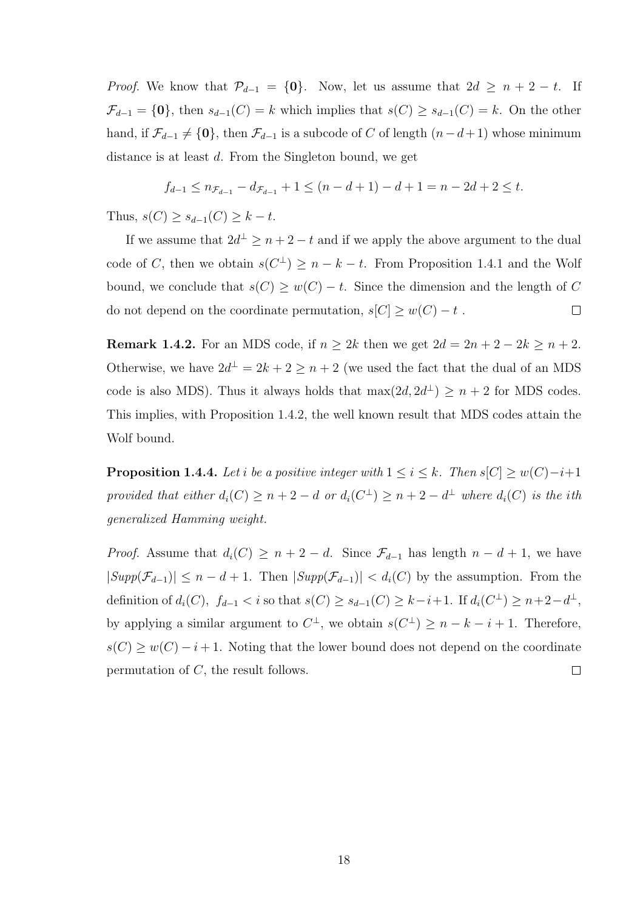*Proof.* We know that  $\mathcal{P}_{d-1} = \{0\}$ . Now, let us assume that  $2d \geq n+2-t$ . If  $\mathcal{F}_{d-1} = \{0\}$ , then  $s_{d-1}(C) = k$  which implies that  $s(C) \geq s_{d-1}(C) = k$ . On the other hand, if  $\mathcal{F}_{d-1} \neq \{0\}$ , then  $\mathcal{F}_{d-1}$  is a subcode of C of length  $(n-d+1)$  whose minimum distance is at least d. From the Singleton bound, we get

$$
f_{d-1} \le n_{\mathcal{F}_{d-1}} - d_{\mathcal{F}_{d-1}} + 1 \le (n - d + 1) - d + 1 = n - 2d + 2 \le t.
$$

Thus,  $s(C) \geq s_{d-1}(C) \geq k - t$ .

If we assume that  $2d^{\perp} \geq n+2-t$  and if we apply the above argument to the dual code of C, then we obtain  $s(C^{\perp}) \geq n - k - t$ . From Proposition 1.4.1 and the Wolf bound, we conclude that  $s(C) \geq w(C) - t$ . Since the dimension and the length of C do not depend on the coordinate permutation,  $s[C] \geq w(C) - t$ .  $\Box$ 

**Remark 1.4.2.** For an MDS code, if  $n \geq 2k$  then we get  $2d = 2n + 2 - 2k \geq n + 2$ . Otherwise, we have  $2d^{\perp} = 2k + 2 \geq n + 2$  (we used the fact that the dual of an MDS code is also MDS). Thus it always holds that  $\max(2d, 2d^{\perp}) \ge n + 2$  for MDS codes. This implies, with Proposition 1.4.2, the well known result that MDS codes attain the Wolf bound.

**Proposition 1.4.4.** Let i be a positive integer with  $1 \leq i \leq k$ . Then  $s[C] \geq w(C) - i + 1$ provided that either  $d_i(C) \geq n+2-d$  or  $d_i(C^{\perp}) \geq n+2-d^{\perp}$  where  $d_i(C)$  is the ith generalized Hamming weight.

*Proof.* Assume that  $d_i(C) \geq n+2-d$ . Since  $\mathcal{F}_{d-1}$  has length  $n-d+1$ , we have  $|Supp(\mathcal{F}_{d-1})| \leq n - d + 1$ . Then  $|Supp(\mathcal{F}_{d-1})| < d_i(C)$  by the assumption. From the definition of  $d_i(C)$ ,  $f_{d-1} < i$  so that  $s(C) \geq s_{d-1}(C) \geq k-i+1$ . If  $d_i(C^{\perp}) \geq n+2-d^{\perp}$ , by applying a similar argument to  $C^{\perp}$ , we obtain  $s(C^{\perp}) \geq n - k - i + 1$ . Therefore,  $s(C) \geq w(C) - i + 1$ . Noting that the lower bound does not depend on the coordinate permutation of C, the result follows.  $\Box$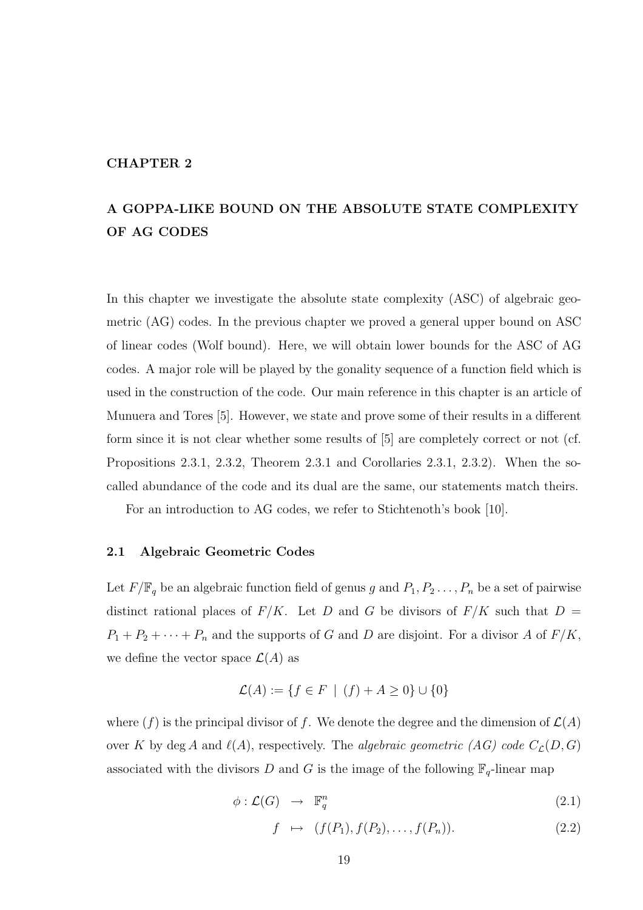## CHAPTER 2

## A GOPPA-LIKE BOUND ON THE ABSOLUTE STATE COMPLEXITY OF AG CODES

In this chapter we investigate the absolute state complexity (ASC) of algebraic geometric (AG) codes. In the previous chapter we proved a general upper bound on ASC of linear codes (Wolf bound). Here, we will obtain lower bounds for the ASC of AG codes. A major role will be played by the gonality sequence of a function field which is used in the construction of the code. Our main reference in this chapter is an article of Munuera and Tores [5]. However, we state and prove some of their results in a different form since it is not clear whether some results of [5] are completely correct or not (cf. Propositions 2.3.1, 2.3.2, Theorem 2.3.1 and Corollaries 2.3.1, 2.3.2). When the socalled abundance of the code and its dual are the same, our statements match theirs.

For an introduction to AG codes, we refer to Stichtenoth's book [10].

### 2.1 Algebraic Geometric Codes

Let  $F/\mathbb{F}_q$  be an algebraic function field of genus g and  $P_1, P_2, \ldots, P_n$  be a set of pairwise distinct rational places of  $F/K$ . Let D and G be divisors of  $F/K$  such that  $D =$  $P_1 + P_2 + \cdots + P_n$  and the supports of G and D are disjoint. For a divisor A of  $F/K$ , we define the vector space  $\mathcal{L}(A)$  as

$$
\mathcal{L}(A) := \{ f \in F \mid (f) + A \ge 0 \} \cup \{ 0 \}
$$

where  $(f)$  is the principal divisor of f. We denote the degree and the dimension of  $\mathcal{L}(A)$ over K by deg A and  $\ell(A)$ , respectively. The algebraic geometric (AG) code  $C_{\mathcal{L}}(D,G)$ associated with the divisors D and G is the image of the following  $\mathbb{F}_q$ -linear map

$$
\phi: \mathcal{L}(G) \rightarrow \mathbb{F}_q^n \tag{2.1}
$$

$$
f \mapsto (f(P_1), f(P_2), \dots, f(P_n)). \tag{2.2}
$$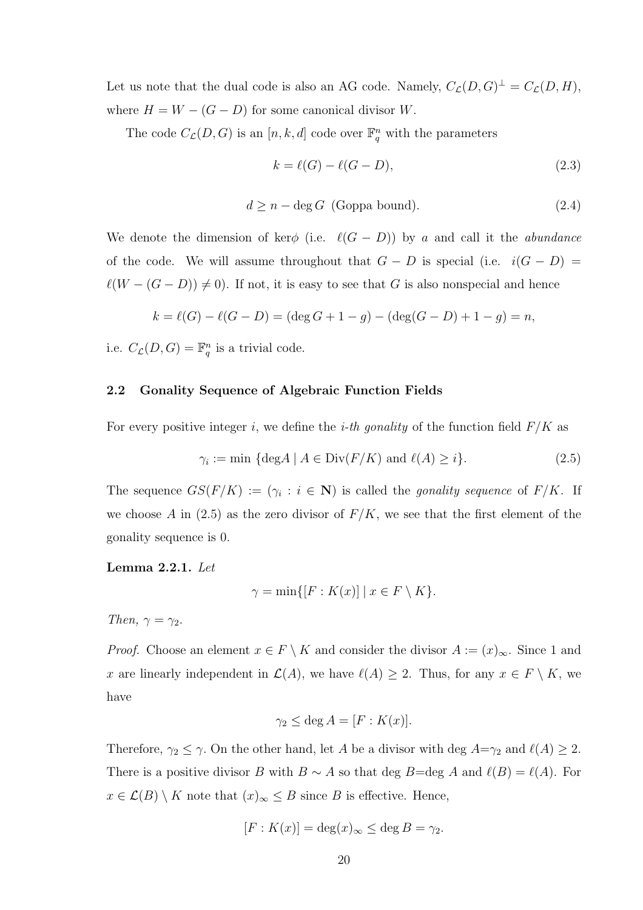Let us note that the dual code is also an AG code. Namely,  $C_{\mathcal{L}}(D, G)^{\perp} = C_{\mathcal{L}}(D, H)$ , where  $H = W - (G - D)$  for some canonical divisor W.

The code  $C_{\mathcal{L}}(D, G)$  is an  $[n, k, d]$  code over  $\mathbb{F}_q^n$  with the parameters

$$
k = \ell(G) - \ell(G - D),\tag{2.3}
$$

$$
d \ge n - \deg G \text{ (Goppa bound).} \tag{2.4}
$$

We denote the dimension of ker $\phi$  (i.e.  $\ell(G - D)$ ) by a and call it the *abundance* of the code. We will assume throughout that  $G - D$  is special (i.e.  $i(G - D) =$  $\ell(W - (G - D)) \neq 0$ . If not, it is easy to see that G is also nonspecial and hence

$$
k = \ell(G) - \ell(G - D) = (\deg G + 1 - g) - (\deg(G - D) + 1 - g) = n,
$$

i.e.  $C_{\mathcal{L}}(D, G) = \mathbb{F}_q^n$  is a trivial code.

## 2.2 Gonality Sequence of Algebraic Function Fields

For every positive integer i, we define the *i-th gonality* of the function field  $F/K$  as

$$
\gamma_i := \min \left\{ \deg A \mid A \in \text{Div}(F/K) \text{ and } \ell(A) \ge i \right\}.
$$
 (2.5)

The sequence  $GS(F/K) := (\gamma_i : i \in \mathbb{N})$  is called the *gonality sequence* of  $F/K$ . If we choose A in (2.5) as the zero divisor of  $F/K$ , we see that the first element of the gonality sequence is 0.

Lemma 2.2.1. Let

$$
\gamma = \min\{ [F : K(x)] \mid x \in F \setminus K \}.
$$

Then,  $\gamma = \gamma_2$ .

*Proof.* Choose an element  $x \in F \setminus K$  and consider the divisor  $A := (x)_{\infty}$ . Since 1 and x are linearly independent in  $\mathcal{L}(A)$ , we have  $\ell(A) \geq 2$ . Thus, for any  $x \in F \setminus K$ , we have

$$
\gamma_2 \le \deg A = [F : K(x)].
$$

Therefore,  $\gamma_2 \leq \gamma$ . On the other hand, let A be a divisor with deg  $A=\gamma_2$  and  $\ell(A) \geq 2$ . There is a positive divisor B with B ∼ A so that deg B=deg A and  $\ell(B) = \ell(A)$ . For  $x \in \mathcal{L}(B) \setminus K$  note that  $(x)_{\infty} \leq B$  since B is effective. Hence,

$$
[F:K(x)] = \deg(x)_{\infty} \le \deg B = \gamma_2.
$$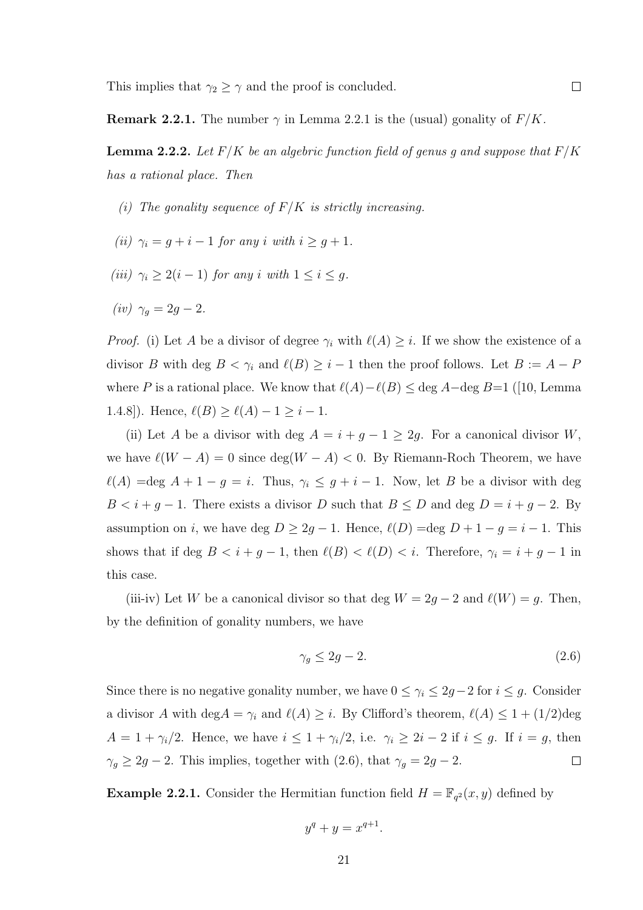**Remark 2.2.1.** The number  $\gamma$  in Lemma 2.2.1 is the (usual) gonality of  $F/K$ .

**Lemma 2.2.2.** Let  $F/K$  be an algebric function field of genus g and suppose that  $F/K$ has a rational place. Then

- (i) The gonality sequence of  $F/K$  is strictly increasing.
- (ii)  $\gamma_i = g + i 1$  for any i with  $i \geq g + 1$ .
- (iii)  $\gamma_i \geq 2(i-1)$  for any i with  $1 \leq i \leq g$ .
- (iv)  $\gamma_q = 2g 2$ .

*Proof.* (i) Let A be a divisor of degree  $\gamma_i$  with  $\ell(A) \geq i$ . If we show the existence of a divisor B with deg  $B < \gamma_i$  and  $\ell(B) \geq i - 1$  then the proof follows. Let  $B := A - P$ where P is a rational place. We know that  $\ell(A)-\ell(B) \leq$  deg A–deg B=1 ([10, Lemma 1.4.8]). Hence,  $\ell(B) \ge \ell(A) - 1 \ge i - 1$ .

(ii) Let A be a divisor with deg  $A = i + g - 1 \geq 2g$ . For a canonical divisor W, we have  $\ell(W - A) = 0$  since  $\deg(W - A) < 0$ . By Riemann-Roch Theorem, we have  $\ell(A) = \text{deg } A + 1 - g = i$ . Thus,  $\gamma_i \leq g + i - 1$ . Now, let B be a divisor with deg  $B < i + g - 1$ . There exists a divisor D such that  $B \le D$  and deg  $D = i + g - 2$ . By assumption on i, we have deg  $D \geq 2g - 1$ . Hence,  $\ell(D) = \text{deg } D + 1 - g = i - 1$ . This shows that if deg  $B < i + g - 1$ , then  $\ell(B) < \ell(D) < i$ . Therefore,  $\gamma_i = i + g - 1$  in this case.

(iii-iv) Let W be a canonical divisor so that deg  $W = 2g - 2$  and  $\ell(W) = g$ . Then, by the definition of gonality numbers, we have

$$
\gamma_g \le 2g - 2. \tag{2.6}
$$

Since there is no negative gonality number, we have  $0 \leq \gamma_i \leq 2g-2$  for  $i \leq g$ . Consider a divisor A with deg $A = \gamma_i$  and  $\ell(A) \geq i$ . By Clifford's theorem,  $\ell(A) \leq 1 + (1/2)$ deg  $A = 1 + \gamma_i/2$ . Hence, we have  $i \leq 1 + \gamma_i/2$ , i.e.  $\gamma_i \geq 2i - 2$  if  $i \leq g$ . If  $i = g$ , then  $\gamma_g \geq 2g - 2$ . This implies, together with (2.6), that  $\gamma_g = 2g - 2$ .  $\Box$ 

**Example 2.2.1.** Consider the Hermitian function field  $H = \mathbb{F}_{q^2}(x, y)$  defined by

$$
y^q + y = x^{q+1}.
$$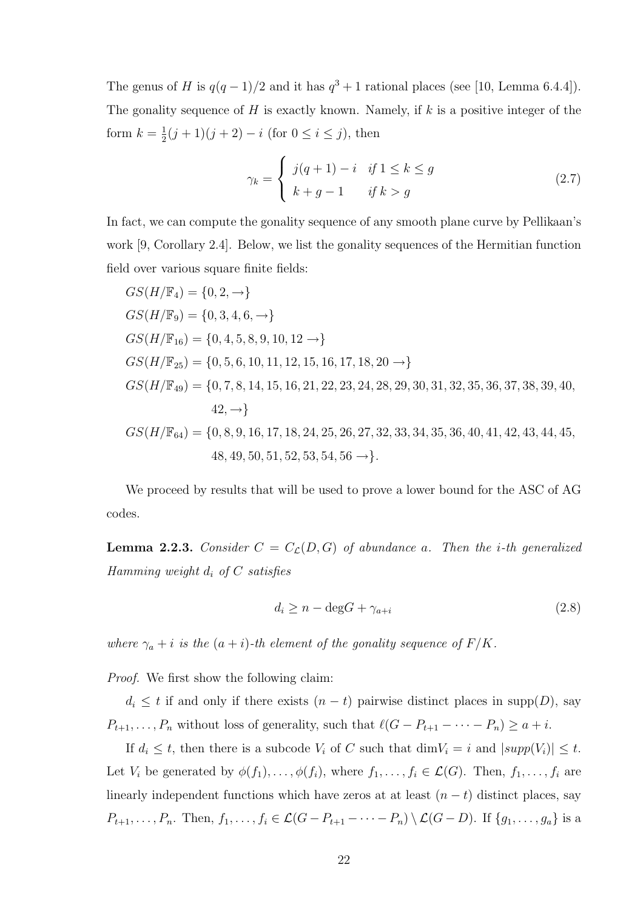The genus of H is  $q(q-1)/2$  and it has  $q^3+1$  rational places (see [10, Lemma 6.4.4]). The gonality sequence of  $H$  is exactly known. Namely, if  $k$  is a positive integer of the form  $k=\frac{1}{2}$  $\frac{1}{2}(j+1)(j+2) - i$  (for  $0 \le i \le j$ ), then

$$
\gamma_k = \begin{cases} j(q+1) - i & \text{if } 1 \le k \le g \\ k + g - 1 & \text{if } k > g \end{cases}
$$
\n(2.7)

In fact, we can compute the gonality sequence of any smooth plane curve by Pellikaan's work [9, Corollary 2.4]. Below, we list the gonality sequences of the Hermitian function field over various square finite fields:

$$
GS(H/\mathbb{F}_4) = \{0, 2, -\}
$$
  
\n
$$
GS(H/\mathbb{F}_9) = \{0, 3, 4, 6, -\}
$$
  
\n
$$
GS(H/\mathbb{F}_{16}) = \{0, 4, 5, 8, 9, 10, 12 -\}
$$
  
\n
$$
GS(H/\mathbb{F}_{25}) = \{0, 5, 6, 10, 11, 12, 15, 16, 17, 18, 20 -\}
$$
  
\n
$$
GS(H/\mathbb{F}_{49}) = \{0, 7, 8, 14, 15, 16, 21, 22, 23, 24, 28, 29, 30, 31, 32, 35, 36, 37, 38, 39, 40, 42, -\}
$$
  
\n
$$
GS(H/\mathbb{F}_{64}) = \{0, 8, 9, 16, 17, 18, 24, 25, 26, 27, 32, 33, 34, 35, 36, 40, 41, 42, 43, 44, 45, 48, 49, 50, 51, 52, 53, 54, 56 -\}.
$$

We proceed by results that will be used to prove a lower bound for the ASC of AG codes.

**Lemma 2.2.3.** Consider  $C = C_{\mathcal{L}}(D, G)$  of abundance a. Then the *i*-th generalized Hamming weight  $d_i$  of C satisfies

$$
d_i \ge n - \deg G + \gamma_{a+i} \tag{2.8}
$$

where  $\gamma_a + i$  is the  $(a + i)$ -th element of the gonality sequence of  $F/K$ .

Proof. We first show the following claim:

 $d_i \leq t$  if and only if there exists  $(n - t)$  pairwise distinct places in supp $(D)$ , say  $P_{t+1}, \ldots, P_n$  without loss of generality, such that  $\ell(G - P_{t+1} - \cdots - P_n) \ge a + i$ .

If  $d_i \leq t$ , then there is a subcode  $V_i$  of C such that  $\dim V_i = i$  and  $|supp(V_i)| \leq t$ . Let  $V_i$  be generated by  $\phi(f_1),\ldots,\phi(f_i)$ , where  $f_1,\ldots,f_i \in \mathcal{L}(G)$ . Then,  $f_1,\ldots,f_i$  are linearly independent functions which have zeros at at least  $(n - t)$  distinct places, say  $P_{t+1},\ldots,P_n$ . Then,  $f_1,\ldots,f_i\in\mathcal{L}(G-P_{t+1}-\cdots-P_n)\setminus\mathcal{L}(G-D)$ . If  $\{g_1,\ldots,g_a\}$  is a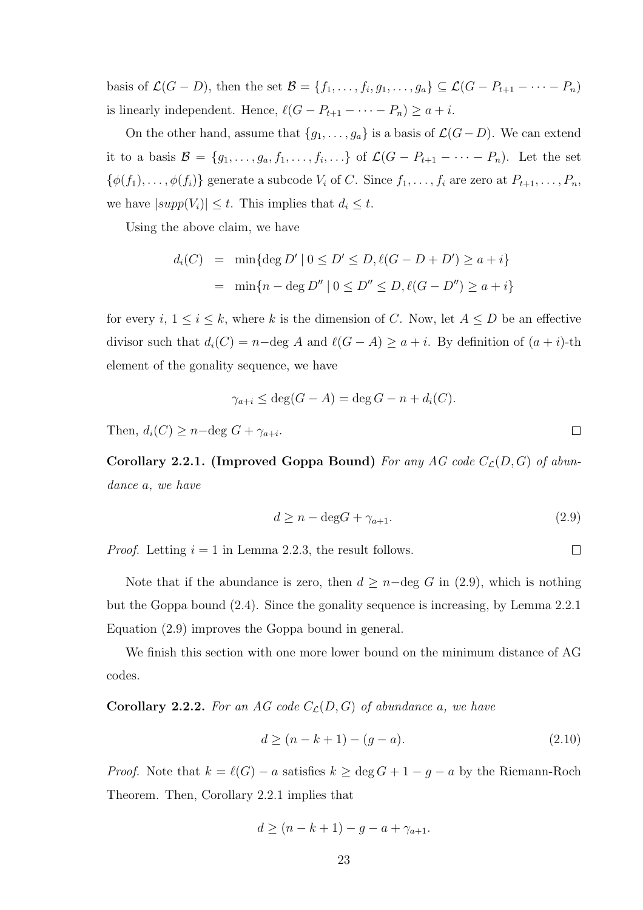basis of  $\mathcal{L}(G-D)$ , then the set  $\mathcal{B} = \{f_1, \ldots, f_i, g_1, \ldots, g_a\} \subseteq \mathcal{L}(G-P_{t+1}-\cdots-P_n)$ is linearly independent. Hence,  $\ell(G - P_{t+1} - \cdots - P_n) \ge a + i$ .

On the other hand, assume that  ${g_1, \ldots, g_a}$  is a basis of  $\mathcal{L}(G-D)$ . We can extend it to a basis  $\mathcal{B} = \{g_1, \ldots, g_a, f_1, \ldots, f_i, \ldots\}$  of  $\mathcal{L}(G - P_{t+1} - \cdots - P_n)$ . Let the set  $\{\phi(f_1),\ldots,\phi(f_i)\}\$  generate a subcode  $V_i$  of C. Since  $f_1,\ldots,f_i$  are zero at  $P_{t+1},\ldots,P_n$ , we have  $|supp(V_i)| \leq t$ . This implies that  $d_i \leq t$ .

Using the above claim, we have

$$
d_i(C) = \min\{\deg D' \mid 0 \le D' \le D, \ell(G - D + D') \ge a + i\}
$$

$$
= \min\{n - \deg D'' \mid 0 \le D'' \le D, \ell(G - D'') \ge a + i\}
$$

for every  $i, 1 \le i \le k$ , where k is the dimension of C. Now, let  $A \le D$  be an effective divisor such that  $d_i(C) = n-\text{deg } A$  and  $\ell(G - A) \geq a + i$ . By definition of  $(a + i)$ -th element of the gonality sequence, we have

$$
\gamma_{a+i} \le \deg(G - A) = \deg G - n + d_i(C).
$$

Then,  $d_i(C) \geq n-\deg G + \gamma_{a+i}$ .

Corollary 2.2.1. (Improved Goppa Bound) For any AG code  $C_{\mathcal{L}}(D, G)$  of abundance a, we have

$$
d \ge n - \deg G + \gamma_{a+1}.\tag{2.9}
$$

 $\Box$ 

 $\Box$ 

*Proof.* Letting  $i = 1$  in Lemma 2.2.3, the result follows.

Note that if the abundance is zero, then  $d \geq n-\text{deg } G$  in (2.9), which is nothing but the Goppa bound (2.4). Since the gonality sequence is increasing, by Lemma 2.2.1 Equation (2.9) improves the Goppa bound in general.

We finish this section with one more lower bound on the minimum distance of AG codes.

**Corollary 2.2.2.** For an AG code  $C_{\mathcal{L}}(D, G)$  of abundance a, we have

$$
d \ge (n - k + 1) - (g - a). \tag{2.10}
$$

*Proof.* Note that  $k = \ell(G) - a$  satisfies  $k \ge \deg G + 1 - g - a$  by the Riemann-Roch Theorem. Then, Corollary 2.2.1 implies that

$$
d \ge (n - k + 1) - g - a + \gamma_{a+1}.
$$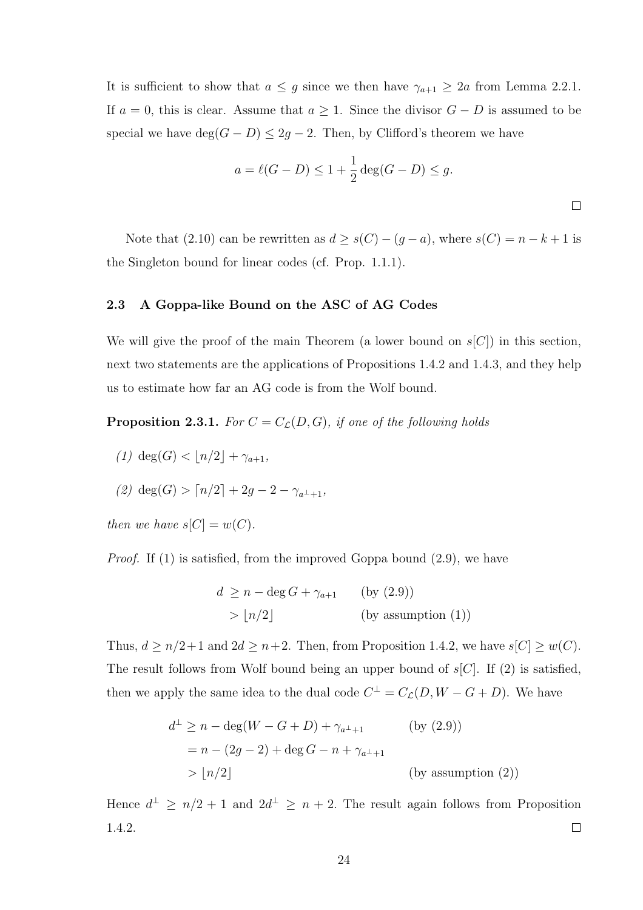It is sufficient to show that  $a \leq g$  since we then have  $\gamma_{a+1} \geq 2a$  from Lemma 2.2.1. If  $a = 0$ , this is clear. Assume that  $a \geq 1$ . Since the divisor  $G - D$  is assumed to be special we have  $\deg(G - D) \leq 2g - 2$ . Then, by Clifford's theorem we have

$$
a = \ell(G - D) \le 1 + \frac{1}{2} \deg(G - D) \le g.
$$

Note that (2.10) can be rewritten as  $d \ge s(C) - (g - a)$ , where  $s(C) = n - k + 1$  is the Singleton bound for linear codes (cf. Prop. 1.1.1).

### 2.3 A Goppa-like Bound on the ASC of AG Codes

We will give the proof of the main Theorem (a lower bound on  $s[C]$ ) in this section, next two statements are the applications of Propositions 1.4.2 and 1.4.3, and they help us to estimate how far an AG code is from the Wolf bound.

**Proposition 2.3.1.** For  $C = C_{\mathcal{L}}(D, G)$ , if one of the following holds

- (1) deg(G)  $\langle |n/2| + \gamma_{a+1},$
- (2) deg(G) >  $\lceil n/2 \rceil + 2q 2 \gamma_{a^{\perp}+1}$

then we have  $s[C] = w(C)$ .

Proof. If (1) is satisfied, from the improved Goppa bound (2.9), we have

$$
d \ge n - \deg G + \gamma_{a+1} \qquad \text{(by (2.9))}
$$
  
>  $\lfloor n/2 \rfloor$  (by assumption (1))

Thus,  $d \ge n/2+1$  and  $2d \ge n+2$ . Then, from Proposition 1.4.2, we have  $s[C] \ge w(C)$ . The result follows from Wolf bound being an upper bound of  $s[C]$ . If (2) is satisfied, then we apply the same idea to the dual code  $C^{\perp} = C_{\mathcal{L}}(D, W - G + D)$ . We have

$$
d^{\perp} \ge n - \deg(W - G + D) + \gamma_{a^{\perp}+1} \qquad \text{(by (2.9))}
$$
  
=  $n - (2g - 2) + \deg G - n + \gamma_{a^{\perp}+1}$   
>  $\lfloor n/2 \rfloor$  (by assumption (2))

Hence  $d^{\perp} \geq n/2 + 1$  and  $2d^{\perp} \geq n + 2$ . The result again follows from Proposition 1.4.2.  $\Box$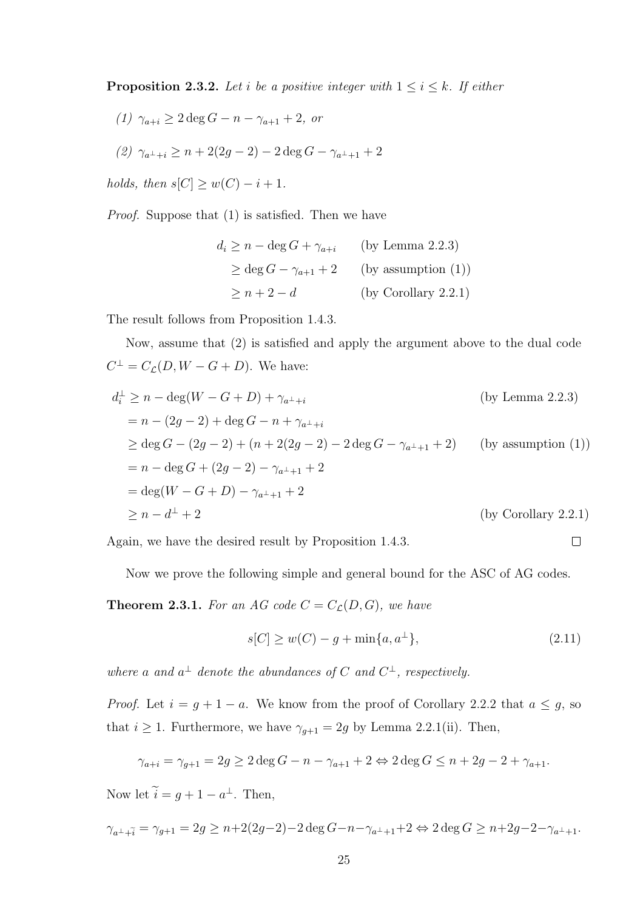**Proposition 2.3.2.** Let i be a positive integer with  $1 \leq i \leq k$ . If either

(1) 
$$
\gamma_{a+i} \geq 2 \deg G - n - \gamma_{a+1} + 2
$$
, or

(2) 
$$
\gamma_{a^{\perp}+i} \ge n + 2(2g - 2) - 2 \deg G - \gamma_{a^{\perp}+1} + 2
$$

holds, then  $s[C] \geq w(C) - i + 1$ .

Proof. Suppose that (1) is satisfied. Then we have

$$
d_i \ge n - \deg G + \gamma_{a+i} \qquad \text{(by Lemma 2.2.3)}
$$
  
\n
$$
\ge \deg G - \gamma_{a+1} + 2 \qquad \text{(by assumption (1))}
$$
  
\n
$$
\ge n + 2 - d \qquad \qquad \text{(by Corollary 2.2.1)}
$$

The result follows from Proposition 1.4.3.

Now, assume that (2) is satisfied and apply the argument above to the dual code  $C^{\perp} = C_{\mathcal{L}}(D, W - G + D)$ . We have:

$$
d_i^{\perp} \ge n - \deg(W - G + D) + \gamma_{a^{\perp} + i}
$$
 (by Lemma 2.2.3)  
\n
$$
= n - (2g - 2) + \deg G - n + \gamma_{a^{\perp} + i}
$$
  
\n
$$
\ge \deg G - (2g - 2) + (n + 2(2g - 2) - 2 \deg G - \gamma_{a^{\perp} + 1} + 2)
$$
 (by assumption (1))  
\n
$$
= n - \deg G + (2g - 2) - \gamma_{a^{\perp} + 1} + 2
$$
  
\n
$$
= \deg(W - G + D) - \gamma_{a^{\perp} + 1} + 2
$$
  
\n
$$
\ge n - d^{\perp} + 2
$$
 (by Corollary 2.2.1)

Again, we have the desired result by Proposition 1.4.3.

Now we prove the following simple and general bound for the ASC of AG codes.

**Theorem 2.3.1.** For an AG code  $C = C_{\mathcal{L}}(D, G)$ , we have

$$
s[C] \ge w(C) - g + \min\{a, a^{\perp}\},\tag{2.11}
$$

 $\Box$ 

where a and  $a^{\perp}$  denote the abundances of C and  $C^{\perp}$ , respectively.

*Proof.* Let  $i = g + 1 - a$ . We know from the proof of Corollary 2.2.2 that  $a \leq g$ , so that  $i \geq 1$ . Furthermore, we have  $\gamma_{g+1} = 2g$  by Lemma 2.2.1(ii). Then,

$$
\gamma_{a+i} = \gamma_{g+1} = 2g \ge 2 \deg G - n - \gamma_{a+1} + 2 \Leftrightarrow 2 \deg G \le n + 2g - 2 + \gamma_{a+1}.
$$

Now let  $i = g + 1 - a^{\perp}$ . Then,

$$
\gamma_{a^{\perp} + \tilde{i}} = \gamma_{g+1} = 2g \ge n + 2(2g-2) - 2\deg G - n - \gamma_{a^{\perp} + 1} + 2 \Leftrightarrow 2\deg G \ge n + 2g - 2 - \gamma_{a^{\perp} + 1}.
$$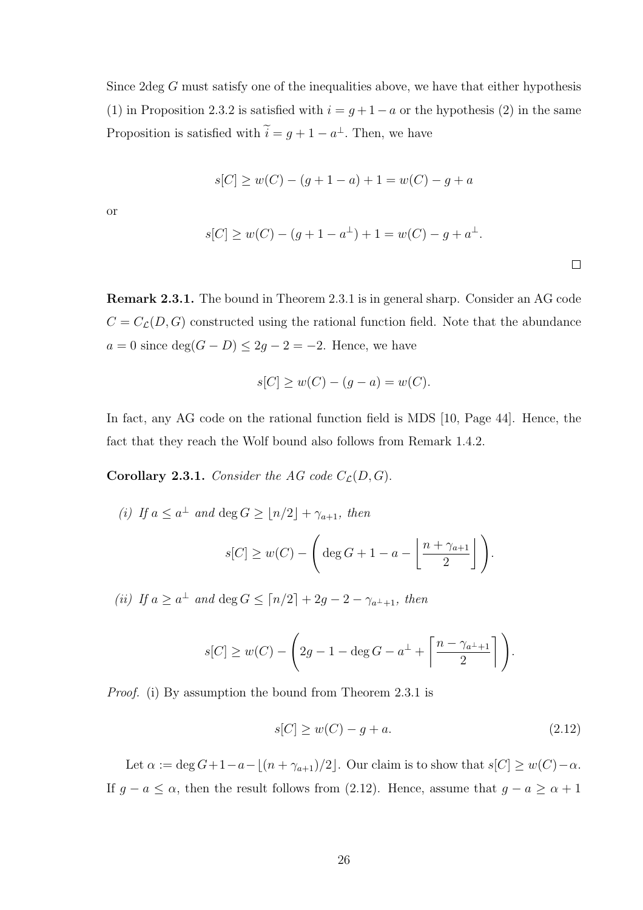Since 2deg G must satisfy one of the inequalities above, we have that either hypothesis (1) in Proposition 2.3.2 is satisfied with  $i = g + 1 - a$  or the hypothesis (2) in the same Proposition is satisfied with  $i = g + 1 - a^{\perp}$ . Then, we have

$$
s[C] \ge w(C) - (g + 1 - a) + 1 = w(C) - g + a
$$

or

$$
s[C] \ge w(C) - (g + 1 - a^{\perp}) + 1 = w(C) - g + a^{\perp}.
$$

Remark 2.3.1. The bound in Theorem 2.3.1 is in general sharp. Consider an AG code  $C = C_{\mathcal{L}}(D, G)$  constructed using the rational function field. Note that the abundance  $a = 0$  since  $\deg(G - D) \leq 2g - 2 = -2$ . Hence, we have

$$
s[C] \ge w(C) - (g - a) = w(C).
$$

In fact, any AG code on the rational function field is MDS [10, Page 44]. Hence, the fact that they reach the Wolf bound also follows from Remark 1.4.2.

**Corollary 2.3.1.** Consider the AG code  $C_{\mathcal{L}}(D, G)$ .

(i) If  $a \leq a^{\perp}$  and  $\deg G \geq \lfloor n/2 \rfloor + \gamma_{a+1}$ , then  $s[C] \geq w(C)$  –  $\sqrt{ }$  $\deg G + 1 - a \mid n + \gamma_{a+1}$ 2

(ii) If  $a \ge a^{\perp}$  and  $\deg G \le \lceil n/2 \rceil + 2g - 2 - \gamma_{a^{\perp}+1}$ , then

$$
s[C] \ge w(C) - \left(2g - 1 - \deg G - a^\perp + \left\lceil \frac{n - \gamma_{a^\perp + 1}}{2} \right\rceil \right).
$$

Proof. (i) By assumption the bound from Theorem 2.3.1 is

$$
s[C] \ge w(C) - g + a. \tag{2.12}
$$

 $\bigcap$ .

Let  $\alpha := \deg G + 1 - a - \lfloor (n + \gamma_{a+1})/2 \rfloor$ . Our claim is to show that  $s[C] \geq w(C) - \alpha$ . If  $g - a \leq \alpha$ , then the result follows from (2.12). Hence, assume that  $g - a \geq \alpha + 1$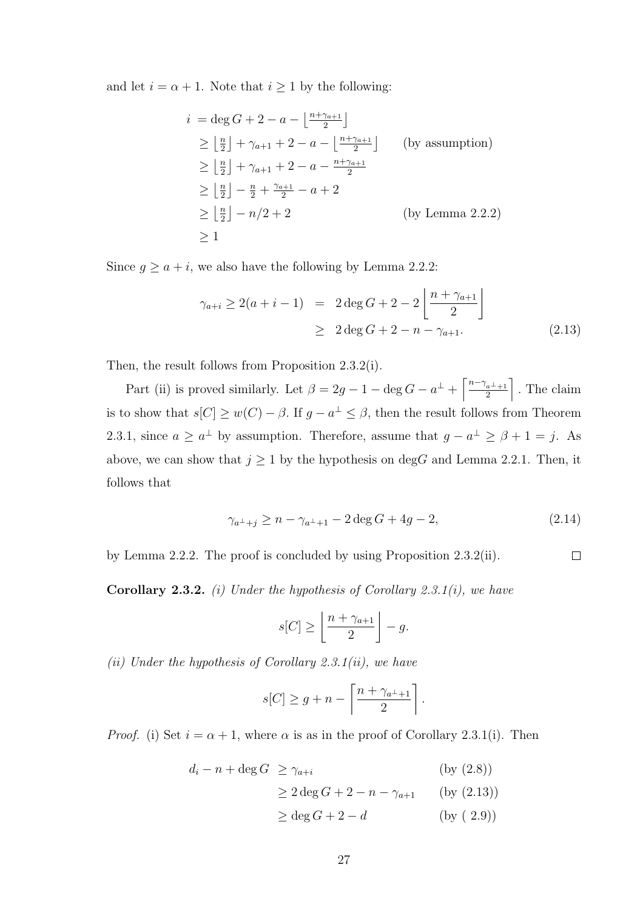and let  $i = \alpha + 1$ . Note that  $i \ge 1$  by the following:

$$
i = \deg G + 2 - a - \left\lfloor \frac{n + \gamma_{a+1}}{2} \right\rfloor
$$
  
\n
$$
\geq \left\lfloor \frac{n}{2} \right\rfloor + \gamma_{a+1} + 2 - a - \left\lfloor \frac{n + \gamma_{a+1}}{2} \right\rfloor \qquad \text{(by assumption)}
$$
  
\n
$$
\geq \left\lfloor \frac{n}{2} \right\rfloor + \gamma_{a+1} + 2 - a - \frac{n + \gamma_{a+1}}{2}
$$
  
\n
$$
\geq \left\lfloor \frac{n}{2} \right\rfloor - \frac{n}{2} + \frac{\gamma_{a+1}}{2} - a + 2
$$
  
\n
$$
\geq \left\lfloor \frac{n}{2} \right\rfloor - n/2 + 2 \qquad \text{(by Lemma 2.2.2)}
$$
  
\n
$$
\geq 1
$$

Since  $g \ge a + i$ , we also have the following by Lemma 2.2.2:

$$
\gamma_{a+i} \ge 2(a+i-1) = 2 \deg G + 2 - 2 \left[ \frac{n + \gamma_{a+1}}{2} \right]
$$
  
 
$$
\ge 2 \deg G + 2 - n - \gamma_{a+1}.
$$
 (2.13)

Then, the result follows from Proposition 2.3.2(i).

Part (ii) is proved similarly. Let  $\beta = 2g - 1 - \deg G - a^{\perp} + \left[\frac{n-\gamma_{a-1}}{2}\right]$ 2 m . The claim is to show that  $s[C] \geq w(C) - \beta$ . If  $g - a^{\perp} \leq \beta$ , then the result follows from Theorem 2.3.1, since  $a \geq a^{\perp}$  by assumption. Therefore, assume that  $g - a^{\perp} \geq \beta + 1 = j$ . As above, we can show that  $j \ge 1$  by the hypothesis on degG and Lemma 2.2.1. Then, it follows that

$$
\gamma_{a^{\perp}+j} \ge n - \gamma_{a^{\perp}+1} - 2 \deg G + 4g - 2,\tag{2.14}
$$

 $\Box$ 

by Lemma 2.2.2. The proof is concluded by using Proposition 2.3.2(ii).

**Corollary 2.3.2.** (i) Under the hypothesis of Corollary 2.3.1(i), we have

$$
s[C] \ge \left\lfloor \frac{n + \gamma_{a+1}}{2} \right\rfloor - g.
$$

(ii) Under the hypothesis of Corollary 2.3.1(ii), we have

$$
s[C] \ge g + n - \left\lceil \frac{n + \gamma_{a^{\perp}+1}}{2} \right\rceil.
$$

*Proof.* (i) Set  $i = \alpha + 1$ , where  $\alpha$  is as in the proof of Corollary 2.3.1(i). Then

$$
d_i - n + \deg G \ge \gamma_{a+i} \qquad \text{(by (2.8))}
$$
  
\n
$$
\ge 2 \deg G + 2 - n - \gamma_{a+1} \qquad \text{(by (2.13))}
$$
  
\n
$$
\ge \deg G + 2 - d \qquad \text{(by (2.9))}
$$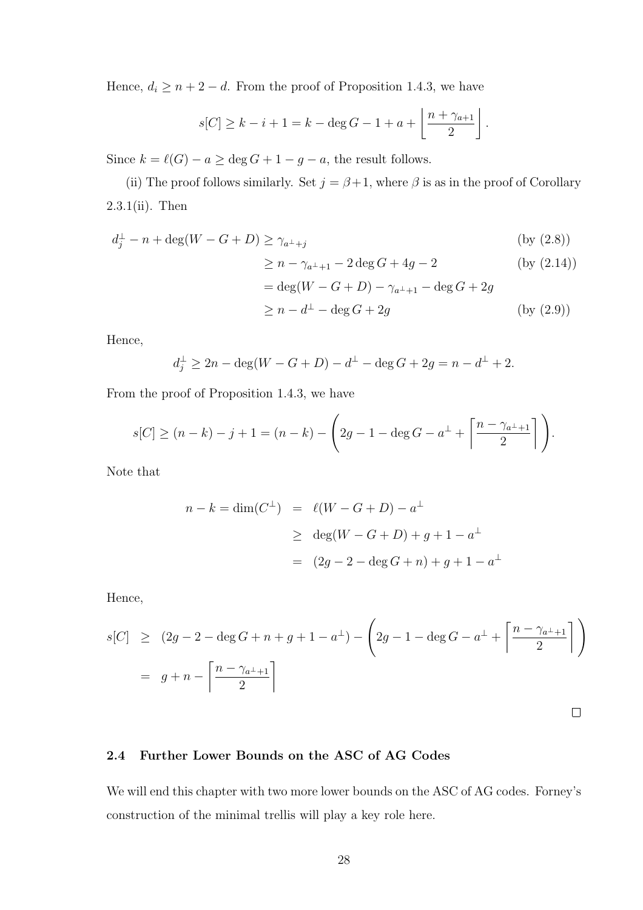Hence,  $d_i \geq n+2-d$ . From the proof of Proposition 1.4.3, we have

$$
s[C] \ge k - i + 1 = k - \deg G - 1 + a + \left\lfloor \frac{n + \gamma_{a+1}}{2} \right\rfloor.
$$

Since  $k = \ell(G) - a \ge \deg G + 1 - g - a$ , the result follows.

(ii) The proof follows similarly. Set  $j = \beta + 1$ , where  $\beta$  is as in the proof of Corollary 2.3.1(ii). Then

$$
d_j^{\perp} - n + \deg(W - G + D) \ge \gamma_{a^{\perp} + j} \tag{by (2.8)}
$$

$$
\geq n - \gamma_{a^{\perp}+1} - 2 \deg G + 4g - 2 \qquad \text{(by (2.14))}
$$
  
= deg(W - G + D) - \gamma\_{a^{\perp}+1} - \deg G + 2g

$$
\geq n - d^{\perp} - \deg G + 2g \qquad \qquad (by (2.9))
$$

 $\Box$ 

Hence,

$$
d_j^{\perp} \ge 2n - \deg(W - G + D) - d^{\perp} - \deg G + 2g = n - d^{\perp} + 2.
$$

From the proof of Proposition 1.4.3, we have

$$
s[C] \ge (n-k) - j + 1 = (n-k) - \left(2g - 1 - \deg G - a^{\perp} + \left\lceil \frac{n - \gamma_{a^{\perp}+1}}{2} \right\rceil \right).
$$

Note that

$$
n - k = \dim(C^{\perp}) = \ell(W - G + D) - a^{\perp}
$$
  
\n
$$
\geq \deg(W - G + D) + g + 1 - a^{\perp}
$$
  
\n
$$
= (2g - 2 - \deg G + n) + g + 1 - a^{\perp}
$$

Hence,

$$
s[C] \ge (2g - 2 - \deg G + n + g + 1 - a^{\perp}) - \left(2g - 1 - \deg G - a^{\perp} + \left\lceil \frac{n - \gamma_{a^{\perp}+1}}{2} \right\rceil \right)
$$
  
=  $g + n - \left\lceil \frac{n - \gamma_{a^{\perp}+1}}{2} \right\rceil$ 

2.4 Further Lower Bounds on the ASC of AG Codes

We will end this chapter with two more lower bounds on the ASC of AG codes. Forney's construction of the minimal trellis will play a key role here.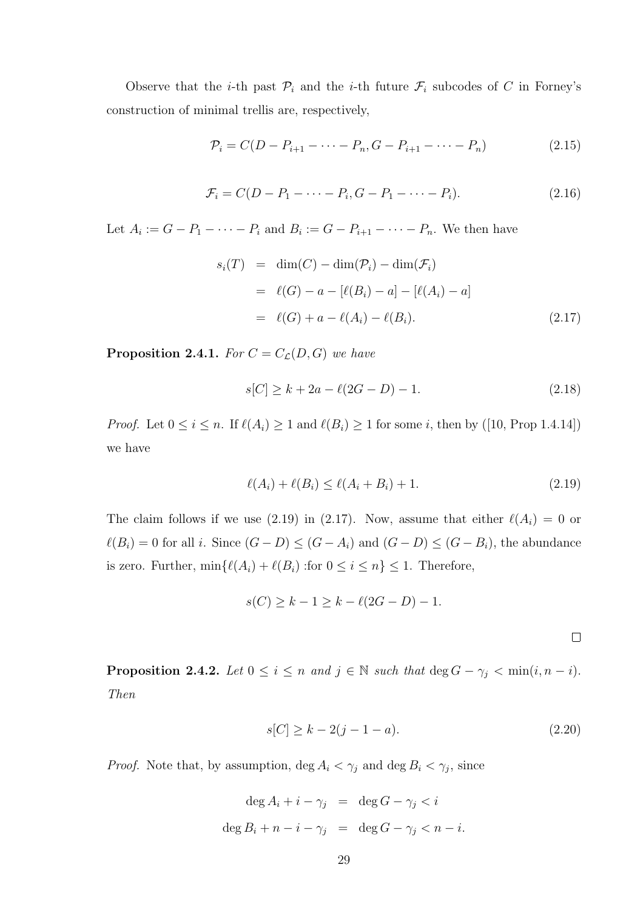Observe that the *i*-th past  $\mathcal{P}_i$  and the *i*-th future  $\mathcal{F}_i$  subcodes of C in Forney's construction of minimal trellis are, respectively,

$$
\mathcal{P}_i = C(D - P_{i+1} - \dots - P_n, G - P_{i+1} - \dots - P_n)
$$
\n(2.15)

$$
\mathcal{F}_i = C(D - P_1 - \dots - P_i, G - P_1 - \dots - P_i). \tag{2.16}
$$

Let  $A_i := G - P_1 - \cdots - P_i$  and  $B_i := G - P_{i+1} - \cdots - P_n$ . We then have

$$
s_i(T) = \dim(C) - \dim(\mathcal{P}_i) - \dim(\mathcal{F}_i)
$$
  
=  $\ell(G) - a - [\ell(B_i) - a] - [\ell(A_i) - a]$   
=  $\ell(G) + a - \ell(A_i) - \ell(B_i).$  (2.17)

**Proposition 2.4.1.** For  $C = C_{\mathcal{L}}(D, G)$  we have

$$
s[C] \ge k + 2a - \ell(2G - D) - 1. \tag{2.18}
$$

*Proof.* Let  $0 \le i \le n$ . If  $\ell(A_i) \ge 1$  and  $\ell(B_i) \ge 1$  for some i, then by ([10, Prop 1.4.14]) we have

$$
\ell(A_i) + \ell(B_i) \le \ell(A_i + B_i) + 1.
$$
\n(2.19)

The claim follows if we use (2.19) in (2.17). Now, assume that either  $\ell(A_i) = 0$  or  $\ell(B_i) = 0$  for all i. Since  $(G - D) \leq (G - A_i)$  and  $(G - D) \leq (G - B_i)$ , the abundance is zero. Further,  $\min\{\ell(A_i) + \ell(B_i) :$ for  $0 \le i \le n\} \le 1$ . Therefore,

$$
s(C) \ge k - 1 \ge k - \ell(2G - D) - 1.
$$

**Proposition 2.4.2.** Let  $0 \leq i \leq n$  and  $j \in \mathbb{N}$  such that  $\deg G - \gamma_j < \min(i, n - i)$ . Then

$$
s[C] \ge k - 2(j - 1 - a). \tag{2.20}
$$

*Proof.* Note that, by assumption,  $\deg A_i < \gamma_j$  and  $\deg B_i < \gamma_j$ , since

$$
\deg A_i + i - \gamma_j = \deg G - \gamma_j < i
$$
  

$$
\deg B_i + n - i - \gamma_j = \deg G - \gamma_j < n - i.
$$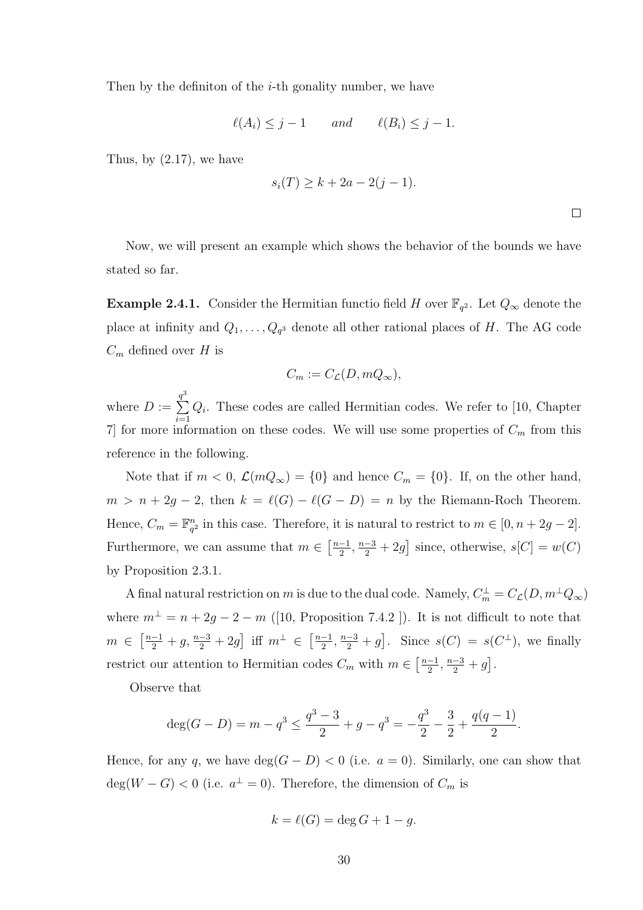Then by the definition of the  $i$ -th gonality number, we have

$$
\ell(A_i) \leq j - 1 \qquad and \qquad \ell(B_i) \leq j - 1.
$$

Thus, by  $(2.17)$ , we have

$$
s_i(T) \ge k + 2a - 2(j - 1).
$$

 $\Box$ 

Now, we will present an example which shows the behavior of the bounds we have stated so far.

**Example 2.4.1.** Consider the Hermitian functio field H over  $\mathbb{F}_{q^2}$ . Let  $Q_{\infty}$  denote the place at infinity and  $Q_1, \ldots, Q_{q^3}$  denote all other rational places of H. The AG code  $C_m$  defined over H is

$$
C_m := C_{\mathcal{L}}(D, mQ_{\infty}),
$$

where  $D :=$  $\frac{q^3}{\sum}$  $\frac{i=1}{i}$  $Q_i$ . These codes are called Hermitian codes. We refer to [10, Chapter 7 for more information on these codes. We will use some properties of  $C_m$  from this reference in the following.

Note that if  $m < 0$ ,  $\mathcal{L}(mQ_{\infty}) = \{0\}$  and hence  $C_m = \{0\}$ . If, on the other hand,  $m > n + 2g - 2$ , then  $k = \ell(G) - \ell(G - D) = n$  by the Riemann-Roch Theorem. Hence,  $C_m = \mathbb{F}_{q}^n$  $_{q^2}^n$  in this case. Therefore, it is natural to restrict to  $m \in [0, n + 2g - 2]$ . Furthermore, we can assume that  $m \in \left[\frac{n-1}{2}\right]$  $\frac{-1}{2}, \frac{n-3}{2} + 2g$  since, otherwise,  $s[C] = w(C)$ by Proposition 2.3.1.

A final natural restriction on m is due to the dual code. Namely,  $C_m^{\perp} = C_{\mathcal{L}}(D, m^{\perp}Q_{\infty})$ where  $m^{\perp} = n + 2g - 2 - m$  ([10, Proposition 7.4.2 ]). It is not difficult to note that  $m \in \left[\frac{n-1}{2} + g, \frac{n-3}{2} + 2g\right]$  iff  $m^{\perp} \in \left[\frac{n-1}{2}\right]$  $\left[\frac{-1}{2}, \frac{n-3}{2} + g\right]$ . Since  $s(C) = s(C^{\perp})$ , we finally restrict our attention to Hermitian codes  $C_m$  with  $m \in \left[\frac{n-1}{2}\right]$  $\frac{-1}{2}, \frac{n-3}{2} + g$ .

Observe that

$$
\deg(G-D)=m-q^3\leq \frac{q^3-3}{2}+g-q^3=-\frac{q^3}{2}-\frac{3}{2}+\frac{q(q-1)}{2}.
$$

Hence, for any q, we have  $\deg(G - D) < 0$  (i.e.  $a = 0$ ). Similarly, one can show that  $deg(W - G) < 0$  (i.e.  $a^{\perp} = 0$ ). Therefore, the dimension of  $C_m$  is

$$
k = \ell(G) = \deg G + 1 - g.
$$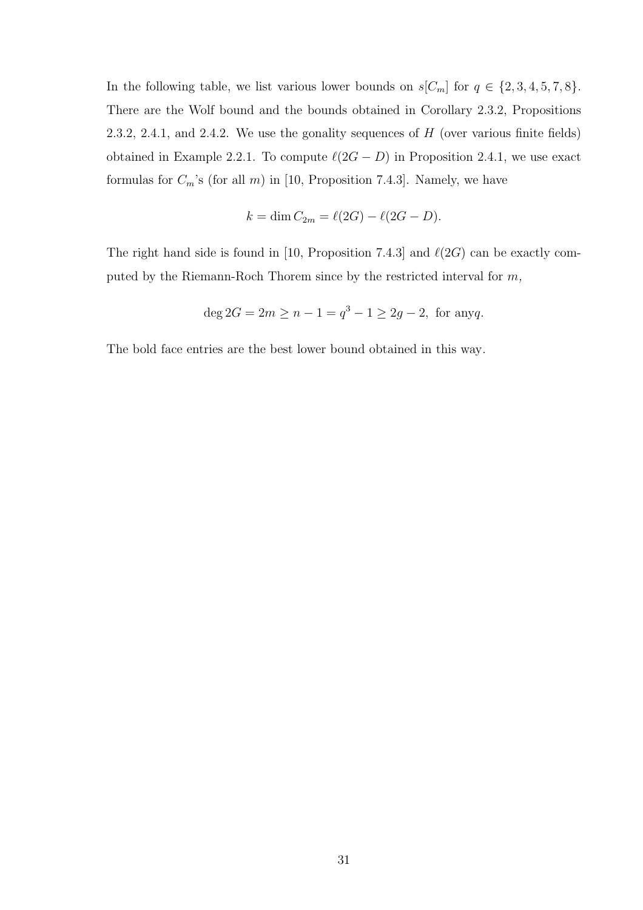In the following table, we list various lower bounds on  $s[C_m]$  for  $q \in \{2, 3, 4, 5, 7, 8\}.$ There are the Wolf bound and the bounds obtained in Corollary 2.3.2, Propositions 2.3.2, 2.4.1, and 2.4.2. We use the gonality sequences of  $H$  (over various finite fields) obtained in Example 2.2.1. To compute  $\ell(2G - D)$  in Proposition 2.4.1, we use exact formulas for  $C_m$ 's (for all  $m$ ) in [10, Proposition 7.4.3]. Namely, we have

$$
k = \dim C_{2m} = \ell(2G) - \ell(2G - D).
$$

The right hand side is found in [10, Proposition 7.4.3] and  $\ell(2G)$  can be exactly computed by the Riemann-Roch Thorem since by the restricted interval for m,

$$
\deg 2G = 2m \ge n - 1 = q^3 - 1 \ge 2g - 2, \text{ for any } q.
$$

The bold face entries are the best lower bound obtained in this way.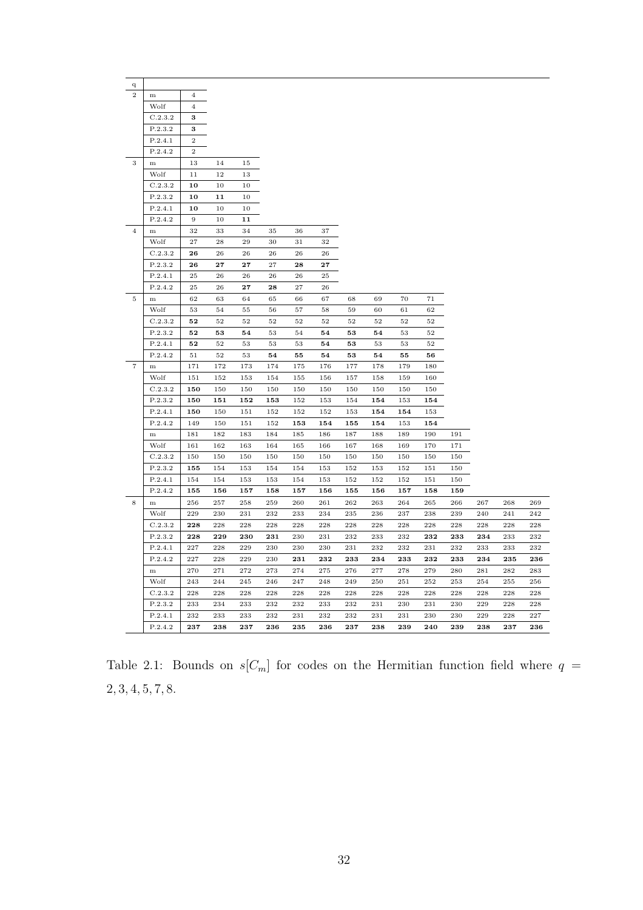| q              |                    |                  |          |          |          |          |          |          |          |          |          |     |     |     |     |
|----------------|--------------------|------------------|----------|----------|----------|----------|----------|----------|----------|----------|----------|-----|-----|-----|-----|
| $\overline{2}$ | m                  | $\overline{4}$   |          |          |          |          |          |          |          |          |          |     |     |     |     |
|                | Wolf               | $\overline{4}$   |          |          |          |          |          |          |          |          |          |     |     |     |     |
|                | C.2.3.2            | 3                |          |          |          |          |          |          |          |          |          |     |     |     |     |
|                | P.2.3.2            | 3                |          |          |          |          |          |          |          |          |          |     |     |     |     |
|                | P.2.4.1            | $\overline{2}$   |          |          |          |          |          |          |          |          |          |     |     |     |     |
|                | P.2.4.2            | $\boldsymbol{2}$ |          |          |          |          |          |          |          |          |          |     |     |     |     |
| 3              | m                  | 13               | 14       | 15       |          |          |          |          |          |          |          |     |     |     |     |
|                | Wolf               | 11               | 12       | $13\,$   |          |          |          |          |          |          |          |     |     |     |     |
|                | C.2.3.2            | 10               | 10       | 10       |          |          |          |          |          |          |          |     |     |     |     |
|                | P.2.3.2            | 10               | 11       | 10       |          |          |          |          |          |          |          |     |     |     |     |
|                | P.2.4.1            | 10               | 10       | 10       |          |          |          |          |          |          |          |     |     |     |     |
|                | P.2.4.2            | 9                | 10       | 11       |          |          |          |          |          |          |          |     |     |     |     |
| $\overline{4}$ | m                  | 32               | 33       | 34       | 35       | 36       | 37       |          |          |          |          |     |     |     |     |
|                | Wolf               | 27               | 28       | 29       | 30       | 31       | 32       |          |          |          |          |     |     |     |     |
|                | C.2.3.2            | 26               | 26       | 26       | 26       | 26       | 26       |          |          |          |          |     |     |     |     |
|                | P.2.3.2            | 26               | 27       | 27       | 27       | 28       | 27       |          |          |          |          |     |     |     |     |
|                | P.2.4.1            | 25               | 26       | 26       | 26       | 26       | 25       |          |          |          |          |     |     |     |     |
|                | P.2.4.2            | 25               | 26       | 27       | 28       | 27       | 26       |          |          |          |          |     |     |     |     |
| 5              | m                  | 62               | 63       | 64       | 65       | 66       | 67       | 68       | 69       | 70       | 71       |     |     |     |     |
|                | Wolf               | 53               | 54       | 55       | 56       | 57       | 58       | 59       | 60       | 61       | 62       |     |     |     |     |
|                | C.2.3.2            | 52               | 52       | 52       | 52       | 52       | 52       | 52       | 52       | 52       | 52       |     |     |     |     |
|                | P.2.3.2<br>P.2.4.1 | 52<br>52         | 53<br>52 | 54       | 53       | 54<br>53 | 54<br>54 | 53<br>53 | 54<br>53 | 53<br>53 | 52<br>52 |     |     |     |     |
|                | P.2.4.2            | 51               | $52\,$   | 53<br>53 | 53<br>54 | 55       | 54       | 53       | 54       | 55       | 56       |     |     |     |     |
| $\overline{7}$ | m                  | 171              | 172      | 173      | 174      | 175      | 176      | 177      | 178      | 179      | 180      |     |     |     |     |
|                | Wolf               | 151              | 152      | 153      | 154      | 155      | 156      | 157      | 158      | 159      | 160      |     |     |     |     |
|                | C.2.3.2            | 150              | 150      | 150      | 150      | 150      | 150      | 150      | 150      | 150      | 150      |     |     |     |     |
|                | P.2.3.2            | 150              | 151      | 152      | 153      | 152      | 153      | 154      | 154      | 153      | 154      |     |     |     |     |
|                | P.2.4.1            | 150              | 150      | 151      | 152      | 152      | 152      | 153      | 154      | 154      | 153      |     |     |     |     |
|                | P.2.4.2            | 149              | 150      | 151      | 152      | 153      | 154      | 155      | 154      | 153      | 154      |     |     |     |     |
|                | m                  | 181              | 182      | 183      | 184      | 185      | 186      | 187      | 188      | 189      | 190      | 191 |     |     |     |
|                | Wolf               | 161              | 162      | 163      | 164      | 165      | 166      | 167      | 168      | 169      | 170      | 171 |     |     |     |
|                | C.2.3.2            | 150              | 150      | 150      | 150      | 150      | 150      | 150      | 150      | 150      | 150      | 150 |     |     |     |
|                | P.2.3.2            | 155              | 154      | 153      | 154      | 154      | 153      | 152      | 153      | 152      | 151      | 150 |     |     |     |
|                | P.2.4.1            | 154              | 154      | 153      | 153      | 154      | 153      | 152      | 152      | 152      | 151      | 150 |     |     |     |
|                | P.2.4.2            | 155              | 156      | 157      | 158      | 157      | 156      | 155      | 156      | 157      | 158      | 159 |     |     |     |
| 8              | m                  | 256              | 257      | 258      | 259      | 260      | 261      | 262      | 263      | 264      | 265      | 266 | 267 | 268 | 269 |
|                | Wolf               | 229              | 230      | 231      | 232      | 233      | 234      | 235      | 236      | 237      | 238      | 239 | 240 | 241 | 242 |
|                | C.2.3.2            | 228              | 228      | 228      | 228      | 228      | 228      | 228      | 228      | 228      | 228      | 228 | 228 | 228 | 228 |
|                | P.2.3.2            | 228              | 229      | 230      | 231      | 230      | 231      | 232      | 233      | 232      | 232      | 233 | 234 | 233 | 232 |
|                | P.2.4.1            | 227              | 228      | 229      | 230      | 230      | 230      | 231      | 232      | 232      | 231      | 232 | 233 | 233 | 232 |
|                | P.2.4.2            | 227              | 228      | 229      | 230      | 231      | 232      | 233      | 234      | 233      | 232      | 233 | 234 | 235 | 236 |
|                | $\,$ m             | 270              | 271      | 272      | 273      | 274      | 275      | 276      | 277      | 278      | 279      | 280 | 281 | 282 | 283 |
|                | Wolf               | 243              | 244      | 245      | 246      | 247      | 248      | 249      | 250      | 251      | 252      | 253 | 254 | 255 | 256 |
|                | C.2.3.2            | 228              | 228      | 228      | 228      | 228      | 228      | 228      | 228      | 228      | 228      | 228 | 228 | 228 | 228 |
|                | P.2.3.2            | 233              | 234      | 233      | 232      | 232      | 233      | 232      | 231      | 230      | 231      | 230 | 229 | 228 | 228 |
|                | P.2.4.1            | 232              | 233      | 233      | 232      | 231      | 232      | 232      | 231      | 231      | 230      | 230 | 229 | 228 | 227 |
|                | P.2.4.2            | 237              | 238      | 237      | 236      | 235      | 236      | 237      | 238      | 239      | 240      | 239 | 238 | 237 | 236 |

Table 2.1: Bounds on  $s[C_m]$  for codes on the Hermitian function field where  $q =$ 2, 3, 4, 5, 7, 8.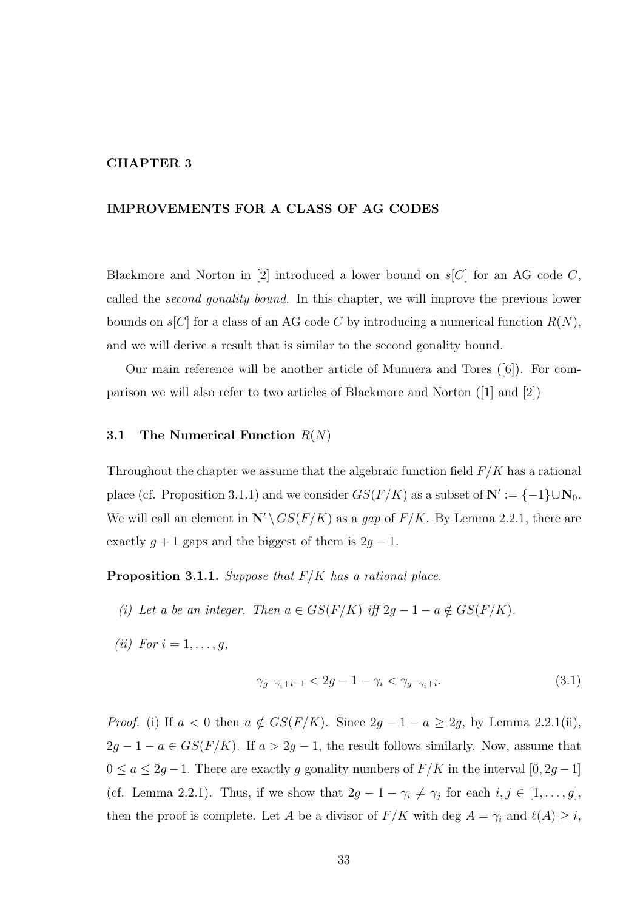## CHAPTER 3

## IMPROVEMENTS FOR A CLASS OF AG CODES

Blackmore and Norton in |2| introduced a lower bound on  $s|C|$  for an AG code C, called the *second gonality bound*. In this chapter, we will improve the previous lower bounds on  $s[C]$  for a class of an AG code C by introducing a numerical function  $R(N)$ , and we will derive a result that is similar to the second gonality bound.

Our main reference will be another article of Munuera and Tores ([6]). For comparison we will also refer to two articles of Blackmore and Norton ([1] and [2])

### 3.1 The Numerical Function  $R(N)$

Throughout the chapter we assume that the algebraic function field  $F/K$  has a rational place (cf. Proposition 3.1.1) and we consider  $GS(F/K)$  as a subset of  $\mathbb{N}' := \{-1\} \cup \mathbb{N}_0$ . We will call an element in  $\mathbb{N}'\setminus GS(F/K)$  as a gap of  $F/K$ . By Lemma 2.2.1, there are exactly  $g + 1$  gaps and the biggest of them is  $2g - 1$ .

**Proposition 3.1.1.** Suppose that  $F/K$  has a rational place.

- (i) Let a be an integer. Then  $a \in GS(F/K)$  iff  $2g 1 a \notin GS(F/K)$ .
- (ii) For  $i = 1, \ldots, q$ ,

$$
\gamma_{g-\gamma_i+i-1} < 2g-1-\gamma_i < \gamma_{g-\gamma_i+i}.\tag{3.1}
$$

*Proof.* (i) If  $a < 0$  then  $a \notin GS(F/K)$ . Since  $2g - 1 - a \geq 2g$ , by Lemma 2.2.1(ii),  $2g - 1 - a \in GS(F/K)$ . If  $a > 2g - 1$ , the result follows similarly. Now, assume that  $0 \le a \le 2g - 1$ . There are exactly g gonality numbers of  $F/K$  in the interval  $[0, 2g - 1]$ (cf. Lemma 2.2.1). Thus, if we show that  $2g - 1 - \gamma_i \neq \gamma_j$  for each  $i, j \in [1, \ldots, g],$ then the proof is complete. Let A be a divisor of  $F/K$  with deg  $A = \gamma_i$  and  $\ell(A) \geq i$ ,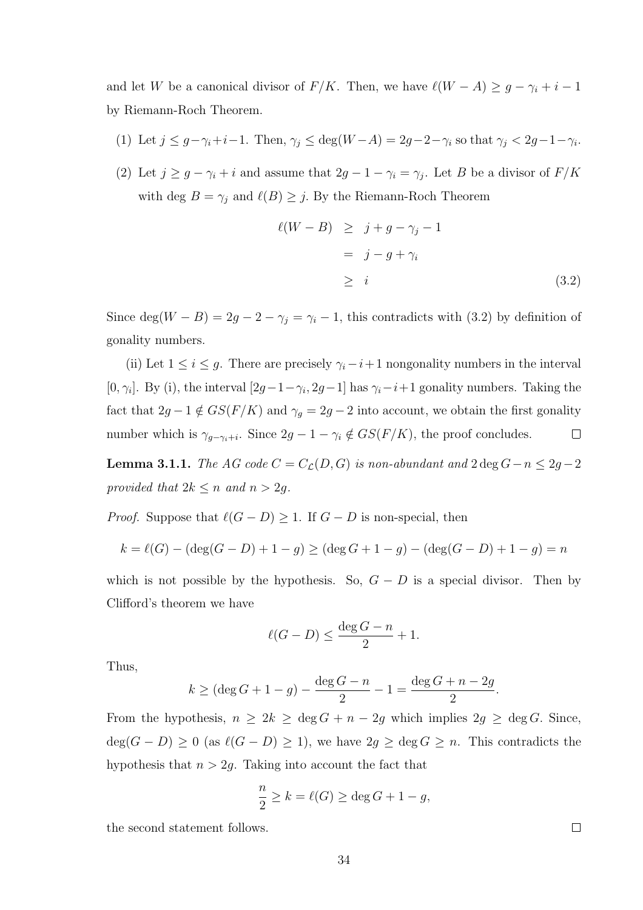and let W be a canonical divisor of  $F/K$ . Then, we have  $\ell(W - A) \geq g - \gamma_i + i - 1$ by Riemann-Roch Theorem.

- (1) Let  $j \leq g \gamma_i + i 1$ . Then,  $\gamma_j \leq \deg(W A) = 2g 2 \gamma_i$  so that  $\gamma_j < 2g 1 \gamma_i$ .
- (2) Let  $j \geq g \gamma_i + i$  and assume that  $2g 1 \gamma_i = \gamma_j$ . Let B be a divisor of  $F/K$ with deg  $B = \gamma_j$  and  $\ell(B) \geq j$ . By the Riemann-Roch Theorem

$$
\ell(W - B) \geq j + g - \gamma_j - 1
$$
  
=  $j - g + \gamma_i$   

$$
\geq i
$$
 (3.2)

Since deg( $W - B$ ) = 2g – 2 –  $\gamma_j = \gamma_i - 1$ , this contradicts with (3.2) by definition of gonality numbers.

(ii) Let  $1 \leq i \leq g$ . There are precisely  $\gamma_i - i + 1$  nongonality numbers in the interval [0,  $\gamma_i$ ]. By (i), the interval  $[2g-1-\gamma_i, 2g-1]$  has  $\gamma_i-i+1$  gonality numbers. Taking the fact that  $2g - 1 \notin GS(F/K)$  and  $\gamma_g = 2g - 2$  into account, we obtain the first gonality number which is  $\gamma_{g-\gamma_i+i}$ . Since  $2g-1-\gamma_i \notin GS(F/K)$ , the proof concludes.  $\Box$ 

**Lemma 3.1.1.** The AG code  $C = C_{\mathcal{L}}(D, G)$  is non-abundant and  $2 \deg G - n \leq 2g - 2$ provided that  $2k \leq n$  and  $n > 2g$ .

*Proof.* Suppose that  $\ell(G - D) \geq 1$ . If  $G - D$  is non-special, then

$$
k = \ell(G) - (\deg(G - D) + 1 - g) \ge (\deg G + 1 - g) - (\deg(G - D) + 1 - g) = n
$$

which is not possible by the hypothesis. So,  $G - D$  is a special divisor. Then by Clifford's theorem we have

$$
\ell(G - D) \le \frac{\deg G - n}{2} + 1.
$$

Thus,

$$
k \geq (\deg G + 1 - g) - \frac{\deg G - n}{2} - 1 = \frac{\deg G + n - 2g}{2}.
$$

From the hypothesis,  $n \geq 2k \geq \deg G + n - 2g$  which implies  $2g \geq \deg G$ . Since,  $deg(G - D) \ge 0$  (as  $\ell(G - D) \ge 1$ ), we have  $2g \ge deg G \ge n$ . This contradicts the hypothesis that  $n > 2g$ . Taking into account the fact that

$$
\frac{n}{2} \ge k = \ell(G) \ge \deg G + 1 - g,
$$

the second statement follows.

 $\Box$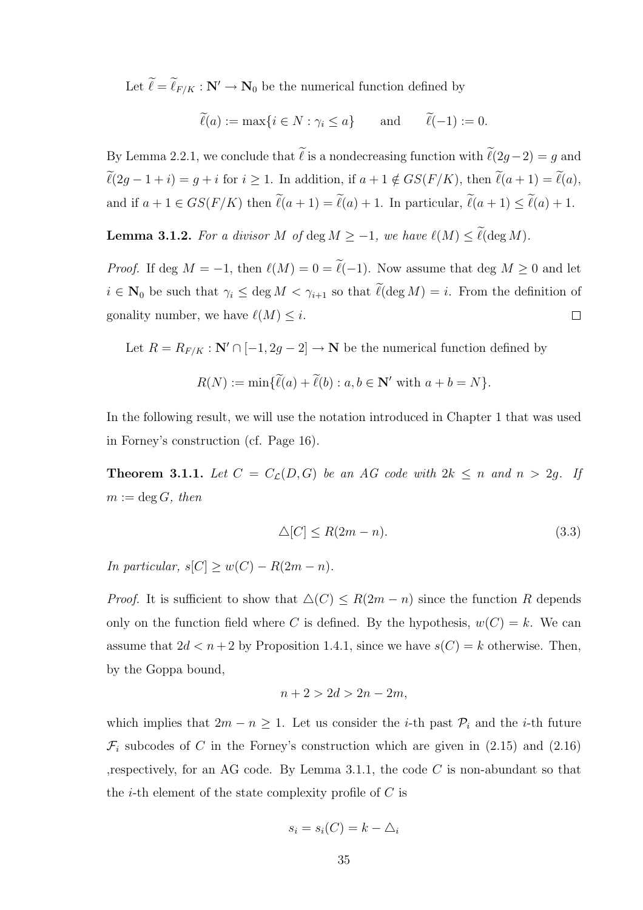Let  $\ell = \ell_{F/K} : \mathbb{N}' \to \mathbb{N}_0$  be the numerical function defined by

$$
\widetilde{\ell}(a) := \max\{i \in N : \gamma_i \le a\}
$$
 and  $\widetilde{\ell}(-1) := 0.$ 

By Lemma 2.2.1, we conclude that  $\tilde{\ell}$  is a nondecreasing function with  $\tilde{\ell}(2g-2) = g$  and  $\widetilde{\ell}(2g - 1 + i) = g + i$  for  $i \ge 1$ . In addition, if  $a + 1 \notin GS(F/K)$ , then  $\widetilde{\ell}(a + 1) = \widetilde{\ell}(a)$ , and if  $a + 1 \in GS(F/K)$  then  $\widetilde{\ell}(a + 1) = \widetilde{\ell}(a) + 1$ . In particular,  $\widetilde{\ell}(a + 1) \leq \widetilde{\ell}(a) + 1$ .

**Lemma 3.1.2.** For a divisor M of deg  $M \ge -1$ , we have  $\ell(M) \le \tilde{\ell}(\deg M)$ .

*Proof.* If deg  $M = -1$ , then  $\ell(M) = 0 = \tilde{\ell}(-1)$ . Now assume that deg  $M \geq 0$  and let  $i \in \mathbb{N}_0$  be such that  $\gamma_i \leq \deg M < \gamma_{i+1}$  so that  $\widetilde{\ell}(\deg M) = i$ . From the definition of gonality number, we have  $\ell(M) \leq i$ .  $\Box$ 

Let  $R = R_{F/K} : \mathbb{N}' \cap [-1, 2g - 2] \to \mathbb{N}$  be the numerical function defined by

$$
R(N) := \min\{\ell(a) + \ell(b) : a, b \in \mathbb{N}' \text{ with } a + b = N\}.
$$

In the following result, we will use the notation introduced in Chapter 1 that was used in Forney's construction (cf. Page 16).

**Theorem 3.1.1.** Let  $C = C_{\mathcal{L}}(D, G)$  be an AG code with  $2k \leq n$  and  $n > 2g$ . If  $m := \deg G$ , then

$$
\Delta[C] \le R(2m - n). \tag{3.3}
$$

In particular,  $s[C] \geq w(C) - R(2m - n)$ .

*Proof.* It is sufficient to show that  $\Delta(C) \leq R(2m - n)$  since the function R depends only on the function field where C is defined. By the hypothesis,  $w(C) = k$ . We can assume that  $2d < n+2$  by Proposition 1.4.1, since we have  $s(C) = k$  otherwise. Then, by the Goppa bound,

$$
n+2>2d>2n-2m,
$$

which implies that  $2m - n \geq 1$ . Let us consider the *i*-th past  $\mathcal{P}_i$  and the *i*-th future  $\mathcal{F}_i$  subcodes of C in the Forney's construction which are given in (2.15) and (2.16) respectively, for an AG code. By Lemma 3.1.1, the code  $C$  is non-abundant so that the *i*-th element of the state complexity profile of  $C$  is

$$
s_i = s_i(C) = k - \triangle_i
$$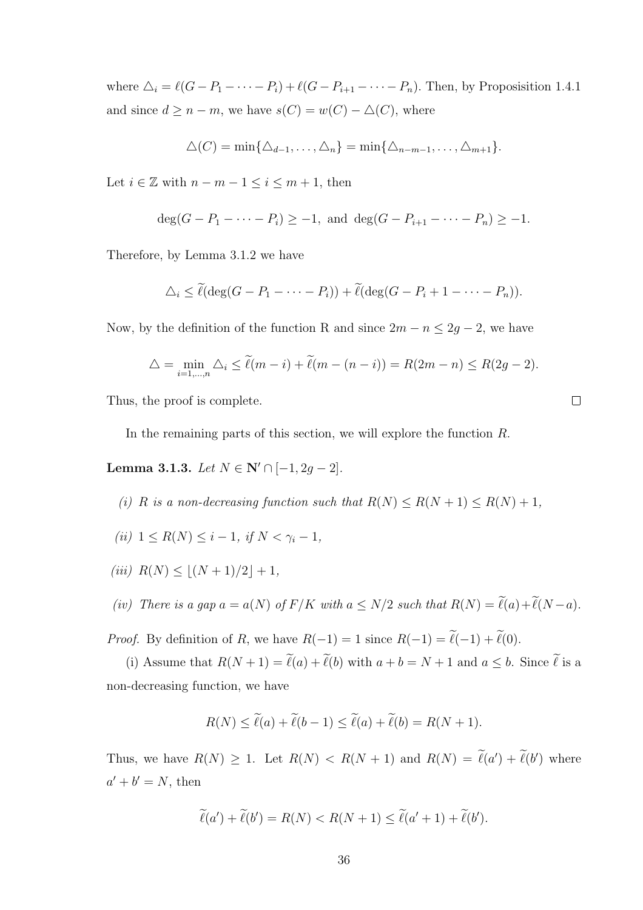where  $\Delta_i = \ell(G - P_1 - \cdots - P_i) + \ell(G - P_{i+1} - \cdots - P_n)$ . Then, by Proposisition 1.4.1 and since  $d \geq n - m$ , we have  $s(C) = w(C) - \Delta(C)$ , where

$$
\Delta(C) = \min\{\Delta_{d-1},\ldots,\Delta_n\} = \min\{\Delta_{n-m-1},\ldots,\Delta_{m+1}\}.
$$

Let  $i \in \mathbb{Z}$  with  $n - m - 1 \leq i \leq m + 1$ , then

$$
\deg(G - P_1 - \dots - P_i) \ge -1, \text{ and } \deg(G - P_{i+1} - \dots - P_n) \ge -1.
$$

Therefore, by Lemma 3.1.2 we have

$$
\Delta_i \leq \widetilde{\ell}(\deg(G - P_1 - \cdots - P_i)) + \widetilde{\ell}(\deg(G - P_i + 1 - \cdots - P_n)).
$$

Now, by the definition of the function R and since  $2m - n \le 2g - 2$ , we have

$$
\triangle = \min_{i=1,\dots,n} \triangle_i \le \tilde{\ell}(m-i) + \tilde{\ell}(m-(n-i)) = R(2m-n) \le R(2g-2).
$$

Thus, the proof is complete.

In the remaining parts of this section, we will explore the function R.

Lemma 3.1.3. Let  $N \in \mathbb{N}' \cap [-1, 2g - 2]$ .

- (i) R is a non-decreasing function such that  $R(N) \le R(N + 1) \le R(N) + 1$ ,
- (ii)  $1 \leq R(N) \leq i-1$ , if  $N \leq \gamma_i-1$ ,
- (iii)  $R(N) \leq |(N + 1)/2| + 1$ ,

(iv) There is a gap 
$$
a = a(N)
$$
 of  $F/K$  with  $a \le N/2$  such that  $R(N) = \ell(a) + \ell(N - a)$ .

*Proof.* By definition of R, we have  $R(-1) = 1$  since  $R(-1) = \tilde{\ell}(-1) + \tilde{\ell}(0)$ .

(i) Assume that  $R(N + 1) = \tilde{\ell}(a) + \tilde{\ell}(b)$  with  $a + b = N + 1$  and  $a \leq b$ . Since  $\tilde{\ell}$  is a non-decreasing function, we have

$$
R(N) \le \widetilde{\ell}(a) + \widetilde{\ell}(b-1) \le \widetilde{\ell}(a) + \widetilde{\ell}(b) = R(N+1).
$$

Thus, we have  $R(N) \ge 1$ . Let  $R(N) < R(N + 1)$  and  $R(N) = \ell(a') + \ell(b')$  where  $a'+b'=N$ , then

$$
\widetilde{\ell}(a') + \widetilde{\ell}(b') = R(N) < R(N+1) \le \widetilde{\ell}(a'+1) + \widetilde{\ell}(b').
$$

 $\Box$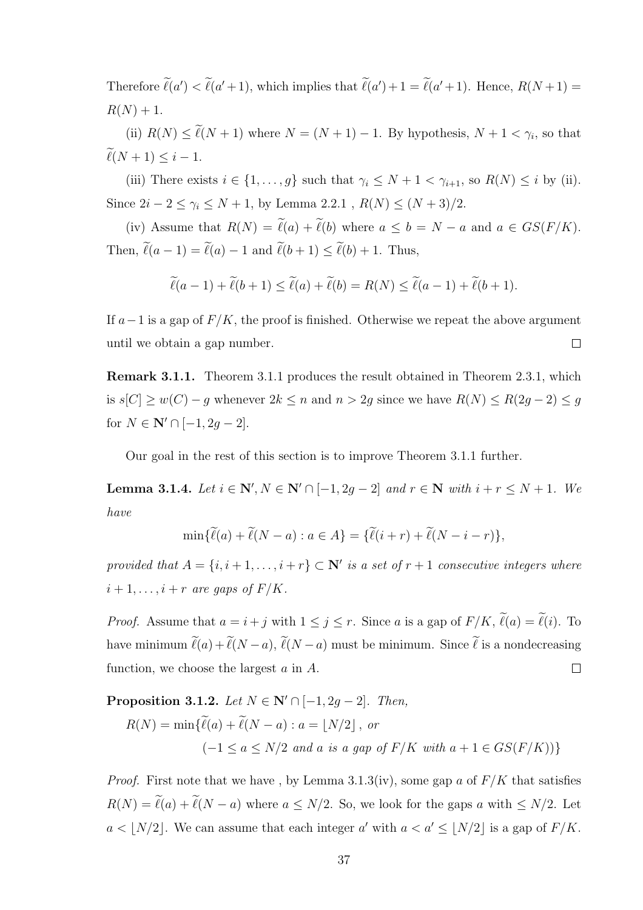Therefore  $\ell(a') < \ell(a'+1)$ , which implies that  $\ell(a')+1 = \ell(a'+1)$ . Hence,  $R(N+1) =$  $R(N) + 1.$ 

(ii)  $R(N) \leq \ell(N + 1)$  where  $N = (N + 1) - 1$ . By hypothesis,  $N + 1 < \gamma_i$ , so that  $\widetilde{\ell}(N + 1) \leq i - 1.$ 

(iii) There exists  $i \in \{1, ..., g\}$  such that  $\gamma_i \leq N + 1 < \gamma_{i+1}$ , so  $R(N) \leq i$  by (ii). Since  $2i - 2 \leq \gamma_i \leq N + 1$ , by Lemma 2.2.1,  $R(N) \leq (N + 3)/2$ .

(iv) Assume that  $R(N) = \tilde{\ell}(a) + \tilde{\ell}(b)$  where  $a \leq b = N - a$  and  $a \in GS(F/K)$ . Then,  $\widetilde{\ell}(a - 1) = \widetilde{\ell}(a) - 1$  and  $\widetilde{\ell}(b + 1) \leq \widetilde{\ell}(b) + 1$ . Thus,

$$
\widetilde{\ell}(a-1) + \widetilde{\ell}(b+1) \le \widetilde{\ell}(a) + \widetilde{\ell}(b) = R(N) \le \widetilde{\ell}(a-1) + \widetilde{\ell}(b+1).
$$

If  $a-1$  is a gap of  $F/K$ , the proof is finished. Otherwise we repeat the above argument until we obtain a gap number.  $\Box$ 

Remark 3.1.1. Theorem 3.1.1 produces the result obtained in Theorem 2.3.1, which is  $s[C] \geq w(C) - g$  whenever  $2k \leq n$  and  $n > 2g$  since we have  $R(N) \leq R(2g - 2) \leq g$ for  $N \in \mathbb{N}' \cap [-1, 2g - 2].$ 

Our goal in the rest of this section is to improve Theorem 3.1.1 further.

**Lemma 3.1.4.** Let  $i \in \mathbb{N}'$ ,  $N \in \mathbb{N}' \cap [-1, 2g - 2]$  and  $r \in \mathbb{N}$  with  $i + r \leq N + 1$ . We have

$$
\min\{\widetilde{\ell}(a)+\widetilde{\ell}(N-a):a\in A\}=\{\widetilde{\ell}(i+r)+\widetilde{\ell}(N-i-r)\},\,
$$

provided that  $A = \{i, i + 1, \ldots, i + r\} \subset \mathbb{N}'$  is a set of  $r + 1$  consecutive integers where  $i+1,\ldots,i+r$  are gaps of  $F/K$ .

*Proof.* Assume that  $a = i + j$  with  $1 \leq j \leq r$ . Since a is a gap of  $F/K$ ,  $\tilde{\ell}(a) = \tilde{\ell}(i)$ . To have minimum  $\tilde{\ell}(a) + \tilde{\ell}(N - a)$ ,  $\tilde{\ell}(N - a)$  must be minimum. Since  $\tilde{\ell}$  is a nondecreasing function, we choose the largest a in A.  $\Box$ 

**Proposition 3.1.2.** Let  $N \in \mathbb{N}' \cap [-1, 2g - 2]$ . Then,  $R(N) = \min\{ \widetilde{\ell}(a) + \widetilde{\ell}(N - a) : a = |N/2| \text{, or }$  $(-1 \le a \le N/2$  and a is a gap of  $F/K$  with  $a + 1 \in GS(F/K))$ }

*Proof.* First note that we have, by Lemma 3.1.3(iv), some gap a of  $F/K$  that satisfies  $R(N) = \tilde{\ell}(a) + \tilde{\ell}(N - a)$  where  $a \le N/2$ . So, we look for the gaps a with  $\le N/2$ . Let  $a < \lfloor N/2 \rfloor$ . We can assume that each integer a' with  $a < a' \leq \lfloor N/2 \rfloor$  is a gap of  $F/K$ .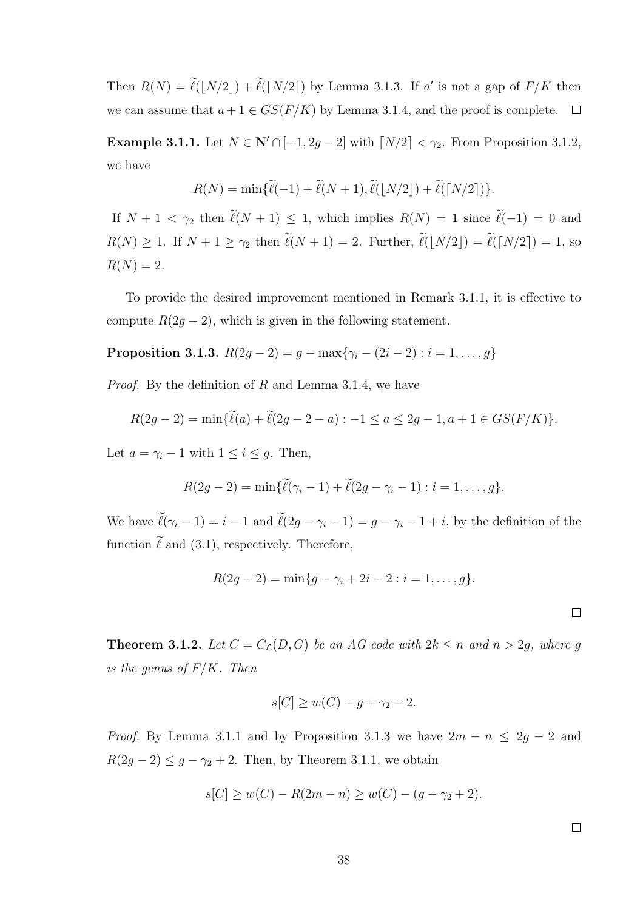Then  $R(N) = \ell(\lfloor N/2 \rfloor) + \ell(\lceil N/2 \rceil)$  by Lemma 3.1.3. If a' is not a gap of  $F/K$  then we can assume that  $a + 1 \in GS(F/K)$  by Lemma 3.1.4, and the proof is complete.  $\Box$ 

Example 3.1.1. Let  $N \in \mathbb{N}' \cap [-1, 2g - 2]$  with  $\lceil N/2 \rceil < \gamma_2$ . From Proposition 3.1.2, we have

$$
R(N) = \min{\{\widetilde{\ell}(-1) + \widetilde{\ell}(N+1), \widetilde{\ell}(\lfloor N/2 \rfloor) + \widetilde{\ell}(\lceil N/2 \rceil)\}}.
$$

If  $N + 1 < \gamma_2$  then  $\tilde{\ell}(N + 1) \leq 1$ , which implies  $R(N) = 1$  since  $\tilde{\ell}(-1) = 0$  and  $R(N) \ge 1$ . If  $N + 1 \ge \gamma_2$  then  $\widetilde{\ell}(N+1) = 2$ . Further,  $\widetilde{\ell}(\lfloor N/2 \rfloor) = \widetilde{\ell}(\lceil N/2 \rceil) = 1$ , so  $R(N) = 2.$ 

To provide the desired improvement mentioned in Remark 3.1.1, it is effective to compute  $R(2g-2)$ , which is given in the following statement.

**Proposition 3.1.3.** 
$$
R(2g-2) = g - \max\{\gamma_i - (2i-2) : i = 1, ..., g\}
$$

*Proof.* By the definition of R and Lemma 3.1.4, we have

$$
R(2g-2) = \min{\{\widetilde{\ell}(a) + \widetilde{\ell}(2g-2-a) : -1 \le a \le 2g-1, a+1 \in GS(F/K)\}}.
$$

Let  $a = \gamma_i - 1$  with  $1 \leq i \leq g$ . Then,

$$
R(2g-2) = \min{\{\widetilde{\ell}(\gamma_i-1) + \widetilde{\ell}(2g-\gamma_i-1) : i=1,\ldots,g\}}.
$$

We have  $\tilde{\ell}(\gamma_i - 1) = i - 1$  and  $\tilde{\ell}(2g - \gamma_i - 1) = g - \gamma_i - 1 + i$ , by the definition of the function  $\tilde{\ell}$  and (3.1), respectively. Therefore,

$$
R(2g-2) = \min\{g - \gamma_i + 2i - 2 : i = 1, ..., g\}.
$$

 $\Box$ 

**Theorem 3.1.2.** Let  $C = C_{\mathcal{L}}(D, G)$  be an AG code with  $2k \leq n$  and  $n > 2g$ , where g is the genus of  $F/K$ . Then

$$
s[C] \ge w(C) - g + \gamma_2 - 2.
$$

*Proof.* By Lemma 3.1.1 and by Proposition 3.1.3 we have  $2m - n \leq 2g - 2$  and  $R(2g-2) \leq g - \gamma_2 + 2$ . Then, by Theorem 3.1.1, we obtain

$$
s[C] \ge w(C) - R(2m - n) \ge w(C) - (g - \gamma_2 + 2).
$$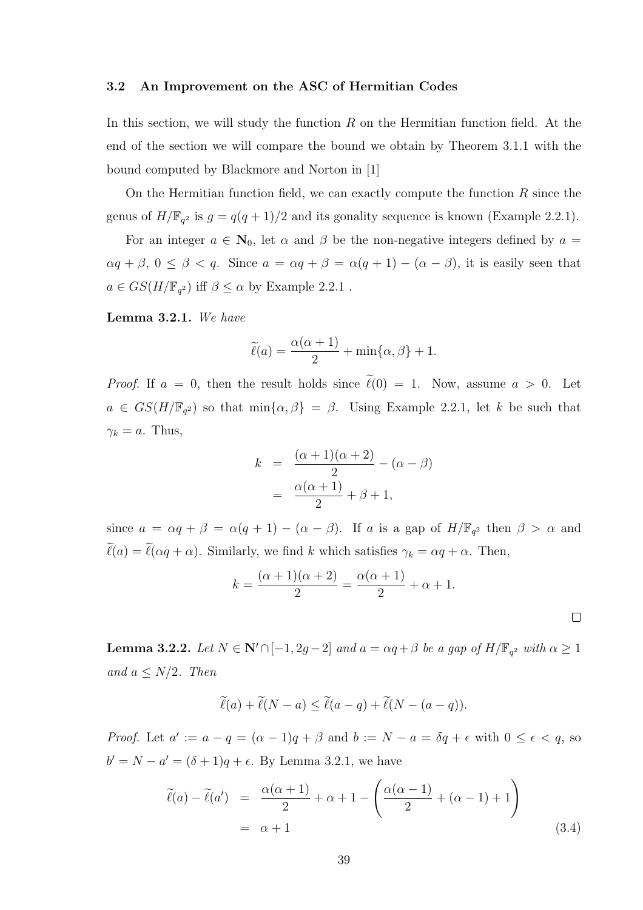## 3.2 An Improvement on the ASC of Hermitian Codes

In this section, we will study the function  $R$  on the Hermitian function field. At the end of the section we will compare the bound we obtain by Theorem 3.1.1 with the bound computed by Blackmore and Norton in [1]

On the Hermitian function field, we can exactly compute the function  $R$  since the genus of  $H/\mathbb{F}_{q^2}$  is  $g = q(q+1)/2$  and its gonality sequence is known (Example 2.2.1).

For an integer  $a \in \mathbb{N}_0$ , let  $\alpha$  and  $\beta$  be the non-negative integers defined by  $a =$  $\alpha q + \beta$ ,  $0 \le \beta < q$ . Since  $a = \alpha q + \beta = \alpha (q + 1) - (\alpha - \beta)$ , it is easily seen that  $a \in GS(H/\mathbb{F}_{q^2})$  iff  $\beta \leq \alpha$  by Example 2.2.1.

Lemma 3.2.1. We have

$$
\widetilde{\ell}(a) = \frac{\alpha(\alpha+1)}{2} + \min\{\alpha, \beta\} + 1.
$$

*Proof.* If  $a = 0$ , then the result holds since  $\tilde{\ell}(0) = 1$ . Now, assume  $a > 0$ . Let  $a \in GS(H/\mathbb{F}_{q^2})$  so that  $\min\{\alpha,\beta\} = \beta$ . Using Example 2.2.1, let k be such that  $\gamma_k = a$ . Thus,

$$
k = \frac{(\alpha + 1)(\alpha + 2)}{2} - (\alpha - \beta)
$$

$$
= \frac{\alpha(\alpha + 1)}{2} + \beta + 1,
$$

since  $a = \alpha q + \beta = \alpha (q + 1) - (\alpha - \beta)$ . If a is a gap of  $H/\mathbb{F}_{q^2}$  then  $\beta > \alpha$  and  $\tilde{\ell}(a) = \tilde{\ell}(\alpha q + \alpha)$ . Similarly, we find k which satisfies  $\gamma_k = \alpha q + \alpha$ . Then,

$$
k = \frac{(\alpha + 1)(\alpha + 2)}{2} = \frac{\alpha(\alpha + 1)}{2} + \alpha + 1.
$$

 $\Box$ 

**Lemma 3.2.2.** Let  $N \in \mathbb{N}' \cap [-1, 2g-2]$  and  $a = \alpha q + \beta$  be a gap of  $H/\mathbb{F}_{q^2}$  with  $\alpha \ge 1$ and  $a \leq N/2$ . Then

$$
\widetilde{\ell}(a) + \widetilde{\ell}(N - a) \le \widetilde{\ell}(a - q) + \widetilde{\ell}(N - (a - q)).
$$

*Proof.* Let  $a' := a - q = (\alpha - 1)q + \beta$  and  $b := N - a = \delta q + \epsilon$  with  $0 \le \epsilon < q$ , so  $b' = N - a' = (\delta + 1)q + \epsilon$ . By Lemma 3.2.1, we have

$$
\tilde{\ell}(a) - \tilde{\ell}(a') = \frac{\alpha(\alpha+1)}{2} + \alpha + 1 - \left(\frac{\alpha(\alpha-1)}{2} + (\alpha-1) + 1\right)
$$
  
=  $\alpha + 1$  (3.4)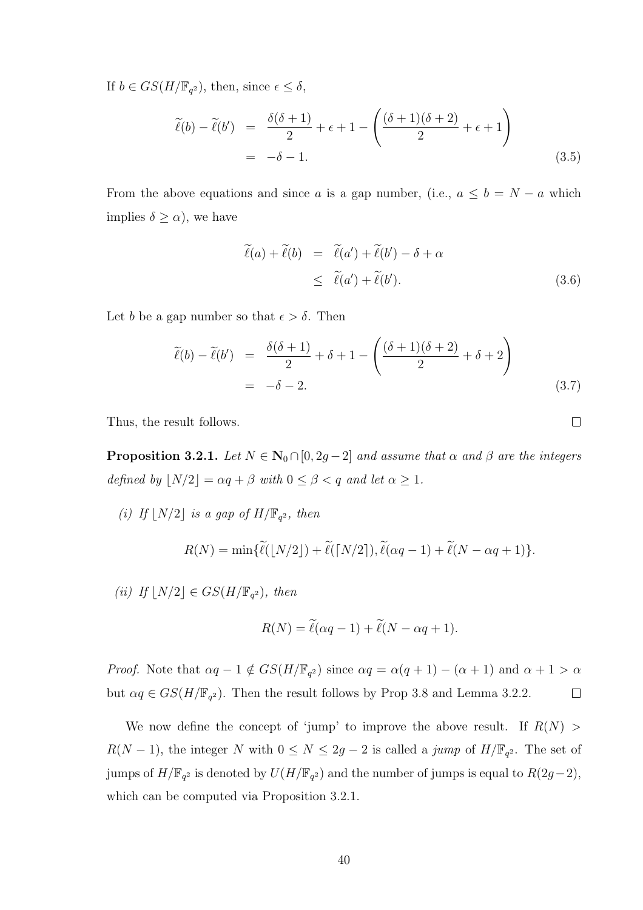If  $b \in GS(H/\mathbb{F}_{q^2})$ , then, since  $\epsilon \leq \delta$ ,

$$
\widetilde{\ell}(b) - \widetilde{\ell}(b') = \frac{\delta(\delta + 1)}{2} + \epsilon + 1 - \left(\frac{(\delta + 1)(\delta + 2)}{2} + \epsilon + 1\right)
$$
  
= -\delta - 1. (3.5)

From the above equations and since a is a gap number, (i.e.,  $a \leq b = N - a$  which implies  $\delta \geq \alpha$ , we have

$$
\begin{aligned}\n\widetilde{\ell}(a) + \widetilde{\ell}(b) &= \widetilde{\ell}(a') + \widetilde{\ell}(b') - \delta + \alpha \\
&\le \widetilde{\ell}(a') + \widetilde{\ell}(b').\n\end{aligned} \tag{3.6}
$$

Let b be a gap number so that  $\epsilon > \delta$ . Then

$$
\widetilde{\ell}(b) - \widetilde{\ell}(b') = \frac{\delta(\delta + 1)}{2} + \delta + 1 - \left(\frac{(\delta + 1)(\delta + 2)}{2} + \delta + 2\right)
$$
  
= -\delta - 2. (3.7)

Thus, the result follows.

**Proposition 3.2.1.** Let  $N \in \mathbb{N}_0 \cap [0, 2g - 2]$  and assume that  $\alpha$  and  $\beta$  are the integers defined by  $\lfloor N/2 \rfloor = \alpha q + \beta$  with  $0 \le \beta < q$  and let  $\alpha \ge 1$ .

(i) If  $\lfloor N/2 \rfloor$  is a gap of  $H/\mathbb{F}_{q^2}$ , then

$$
R(N) = \min{\{\widetilde{\ell}(\lfloor N/2 \rfloor) + \widetilde{\ell}(\lceil N/2 \rceil), \widetilde{\ell}(\alpha q - 1) + \widetilde{\ell}(N - \alpha q + 1)\}}.
$$

(ii) If  $\lfloor N/2 \rfloor \in GS(H/\mathbb{F}_{q^2})$ , then

$$
R(N) = \widetilde{\ell}(\alpha q - 1) + \widetilde{\ell}(N - \alpha q + 1).
$$

*Proof.* Note that  $\alpha q - 1 \notin GS(H/\mathbb{F}_{q^2})$  since  $\alpha q = \alpha(q + 1) - (\alpha + 1)$  and  $\alpha + 1 > \alpha$ but  $\alpha q \in GS(H/\mathbb{F}_{q^2})$ . Then the result follows by Prop 3.8 and Lemma 3.2.2.  $\Box$ 

We now define the concept of 'jump' to improve the above result. If  $R(N)$  $R(N-1)$ , the integer N with  $0 \leq N \leq 2g-2$  is called a jump of  $H/\mathbb{F}_{q^2}$ . The set of jumps of  $H/\mathbb{F}_{q^2}$  is denoted by  $U(H/\mathbb{F}_{q^2})$  and the number of jumps is equal to  $R(2g-2)$ , which can be computed via Proposition 3.2.1.

 $\Box$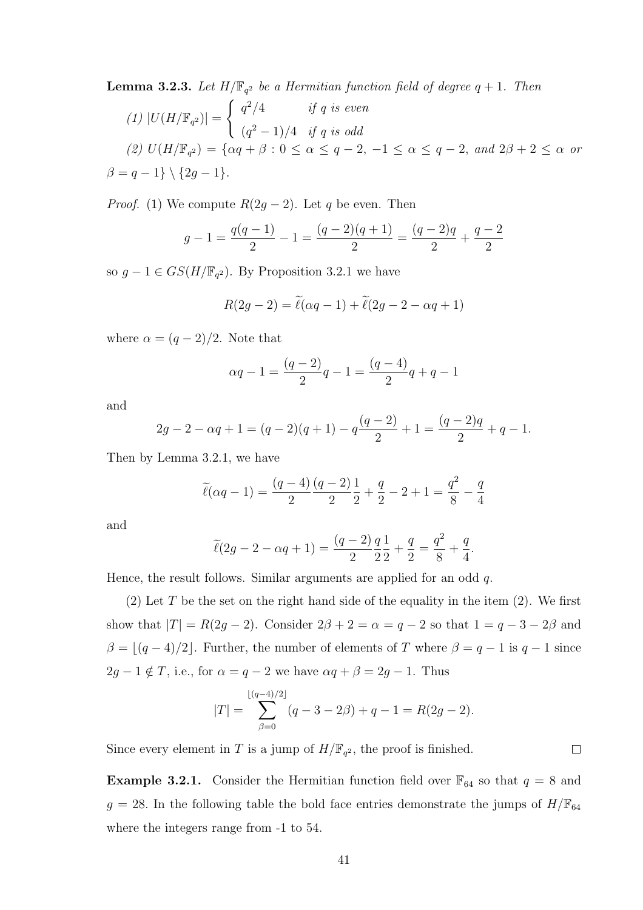**Lemma 3.2.3.** Let  $H/\mathbb{F}_{q^2}$  be a Hermitian function field of degree  $q + 1$ . Then

$$
(1) |U(H/\mathbb{F}_{q^2})| = \begin{cases} q^2/4 & \text{if } q \text{ is even} \\ (q^2 - 1)/4 & \text{if } q \text{ is odd} \end{cases}
$$
  

$$
(2) U(H/\mathbb{F}_{q^2}) = \{ \alpha q + \beta : 0 \le \alpha \le q - 2, -1 \le \alpha \le q - 2, \text{ and } 2\beta + 2 \le \alpha \text{ or } \beta = q - 1 \} \setminus \{ 2g - 1 \}.
$$

*Proof.* (1) We compute  $R(2g-2)$ . Let q be even. Then

$$
g - 1 = \frac{q(q - 1)}{2} - 1 = \frac{(q - 2)(q + 1)}{2} = \frac{(q - 2)q}{2} + \frac{q - 2}{2}
$$

so  $g - 1 \in GS(H/\mathbb{F}_{q^2})$ . By Proposition 3.2.1 we have

$$
R(2g-2) = \widetilde{\ell}(\alpha q - 1) + \widetilde{\ell}(2g - 2 - \alpha q + 1)
$$

where  $\alpha = (q-2)/2$ . Note that

$$
\alpha q - 1 = \frac{(q-2)}{2}q - 1 = \frac{(q-4)}{2}q + q - 1
$$

and

$$
2g - 2 - \alpha q + 1 = (q - 2)(q + 1) - q\frac{(q - 2)}{2} + 1 = \frac{(q - 2)q}{2} + q - 1.
$$

Then by Lemma 3.2.1, we have

$$
\widetilde{\ell}(\alpha q - 1) = \frac{(q - 4)}{2} \frac{(q - 2)}{2} \frac{1}{2} + \frac{q}{2} - 2 + 1 = \frac{q^2}{8} - \frac{q}{4}
$$

and

$$
\widetilde{\ell}(2g - 2 - \alpha q + 1) = \frac{(q-2)q}{2} \frac{1}{2} \frac{1}{2} + \frac{q}{2} = \frac{q^2}{8} + \frac{q}{4}.
$$

Hence, the result follows. Similar arguments are applied for an odd  $q$ .

(2) Let T be the set on the right hand side of the equality in the item  $(2)$ . We first show that  $|T| = R(2g - 2)$ . Consider  $2\beta + 2 = \alpha = q - 2$  so that  $1 = q - 3 - 2\beta$  and  $\beta = \lfloor (q - 4)/2 \rfloor$ . Further, the number of elements of T where  $\beta = q - 1$  is  $q - 1$  since  $2g - 1 \notin T$ , i.e., for  $\alpha = q - 2$  we have  $\alpha q + \beta = 2g - 1$ . Thus

$$
|T| = \sum_{\beta=0}^{\lfloor (q-4)/2 \rfloor} (q-3-2\beta) + q - 1 = R(2g-2).
$$

Since every element in T is a jump of  $H/\mathbb{F}_{q^2}$ , the proof is finished.

**Example 3.2.1.** Consider the Hermitian function field over  $\mathbb{F}_{64}$  so that  $q = 8$  and  $g = 28$ . In the following table the bold face entries demonstrate the jumps of  $H/\mathbb{F}_{64}$ where the integers range from -1 to 54.

 $\Box$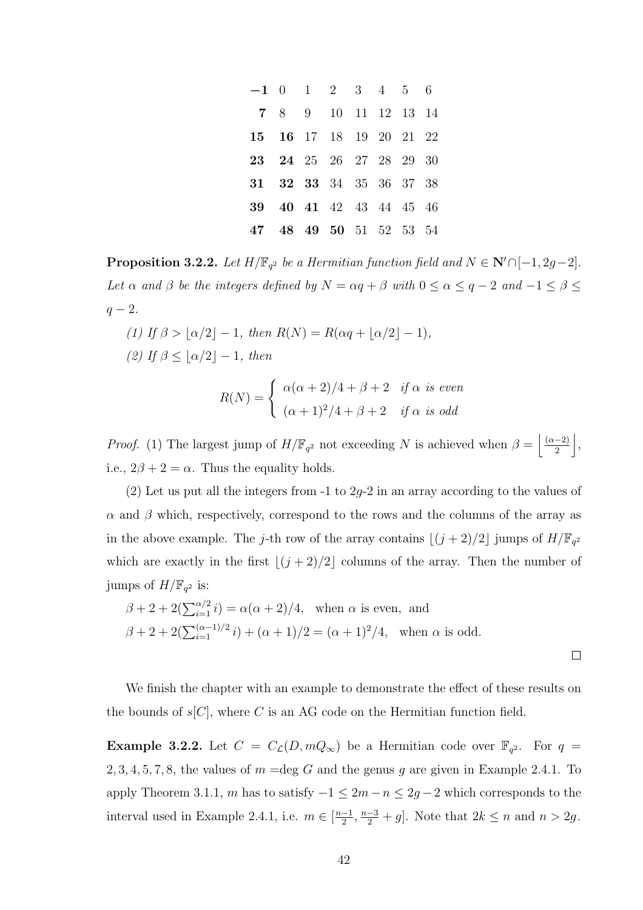|                         | $-1$ 0 1 2 3 4 5 6 |  |  |  |
|-------------------------|--------------------|--|--|--|
| 7 8 9 10 11 12 13 14    |                    |  |  |  |
| 15 16 17 18 19 20 21 22 |                    |  |  |  |
| 23 24 25 26 27 28 29 30 |                    |  |  |  |
| 31 32 33 34 35 36 37 38 |                    |  |  |  |
| 39 40 41 42 43 44 45 46 |                    |  |  |  |
| 47 48 49 50 51 52 53 54 |                    |  |  |  |

**Proposition 3.2.2.** Let  $H/\mathbb{F}_{q^2}$  be a Hermitian function field and  $N \in \mathbb{N}' \cap [-1, 2g-2]$ . Let  $\alpha$  and  $\beta$  be the integers defined by  $N = \alpha q + \beta$  with  $0 \le \alpha \le q - 2$  and  $-1 \le \beta \le$  $q-2$ .

(1) If  $\beta > \lfloor \alpha/2 \rfloor - 1$ , then  $R(N) = R(\alpha q + \lfloor \alpha/2 \rfloor - 1)$ , (2) If  $\beta < |\alpha/2| - 1$ , then

$$
R(N) = \begin{cases} \alpha(\alpha+2)/4 + \beta + 2 & \text{if } \alpha \text{ is even} \\ (\alpha+1)^2/4 + \beta + 2 & \text{if } \alpha \text{ is odd} \end{cases}
$$

*Proof.* (1) The largest jump of  $H/\mathbb{F}_{q^2}$  not exceeding N is achieved when  $\beta = \left\lfloor \frac{(\alpha-2)}{2} \right\rfloor$ 2  $\vert$ , i.e.,  $2\beta + 2 = \alpha$ . Thus the equality holds.

(2) Let us put all the integers from  $-1$  to 2g-2 in an array according to the values of  $\alpha$  and  $\beta$  which, respectively, correspond to the rows and the columns of the array as in the above example. The j-th row of the array contains  $\lfloor (j + 2)/2 \rfloor$  jumps of  $H/\mathbb{F}_{q^2}$ which are exactly in the first  $\lfloor (j + 2)/2 \rfloor$  columns of the array. Then the number of jumps of  $H/\mathbb{F}_{q^2}$  is:

$$
\beta + 2 + 2(\sum_{i=1}^{\alpha/2} i) = \alpha(\alpha + 2)/4, \text{ when } \alpha \text{ is even, and}
$$
  

$$
\beta + 2 + 2(\sum_{i=1}^{\alpha-1)/2} i) + (\alpha + 1)/2 = (\alpha + 1)^2/4, \text{ when } \alpha \text{ is odd.}
$$

We finish the chapter with an example to demonstrate the effect of these results on the bounds of  $s[C]$ , where C is an AG code on the Hermitian function field.

**Example 3.2.2.** Let  $C = C_{\mathcal{L}}(D, mQ_{\infty})$  be a Hermitian code over  $\mathbb{F}_{q^2}$ . For  $q =$ 2, 3, 4, 5, 7, 8, the values of  $m = \text{deg } G$  and the genus g are given in Example 2.4.1. To apply Theorem 3.1.1, m has to satisfy  $-1 \leq 2m - n \leq 2g - 2$  which corresponds to the interval used in Example 2.4.1, i.e.  $m \in \left[\frac{n-1}{2}\right]$  $\frac{-1}{2}, \frac{n-3}{2} + g$ . Note that  $2k \le n$  and  $n > 2g$ .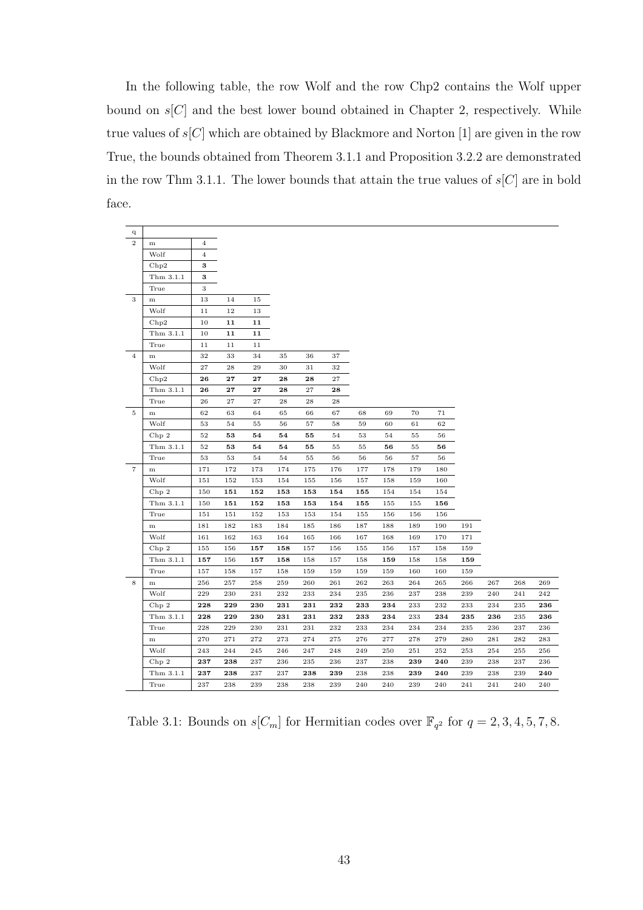In the following table, the row Wolf and the row Chp2 contains the Wolf upper bound on  $s[C]$  and the best lower bound obtained in Chapter 2, respectively. While true values of  $s[C]$  which are obtained by Blackmore and Norton [1] are given in the row True, the bounds obtained from Theorem 3.1.1 and Proposition 3.2.2 are demonstrated in the row Thm 3.1.1. The lower bounds that attain the true values of  $s[C]$  are in bold face.

| q                 |           |                |            |            |     |     |     |     |     |     |     |     |     |     |     |
|-------------------|-----------|----------------|------------|------------|-----|-----|-----|-----|-----|-----|-----|-----|-----|-----|-----|
| $\overline{2}$    | m         | $\overline{4}$ |            |            |     |     |     |     |     |     |     |     |     |     |     |
|                   | Wolf      | $\overline{4}$ |            |            |     |     |     |     |     |     |     |     |     |     |     |
|                   | Chp2      | 3              |            |            |     |     |     |     |     |     |     |     |     |     |     |
|                   | Thm 3.1.1 | 3              |            |            |     |     |     |     |     |     |     |     |     |     |     |
|                   | True      | 3              |            |            |     |     |     |     |     |     |     |     |     |     |     |
| 3                 | m         | 13             | 14         | 15         |     |     |     |     |     |     |     |     |     |     |     |
|                   | Wolf      | 11             | 12         | 13         |     |     |     |     |     |     |     |     |     |     |     |
|                   | Chp2      | 10             | 11         | 11         |     |     |     |     |     |     |     |     |     |     |     |
|                   | Thm 3.1.1 | 10             | 11         | 11         |     |     |     |     |     |     |     |     |     |     |     |
|                   | True      | 11             | 11         | 11         |     |     |     |     |     |     |     |     |     |     |     |
| $\overline{4}$    | ${\bf m}$ | 32             | 33         | 34         | 35  | 36  | 37  |     |     |     |     |     |     |     |     |
|                   | Wolf      | 27             | 28         | 29         | 30  | 31  | 32  |     |     |     |     |     |     |     |     |
|                   | Chp2      | 26             | ${\bf 27}$ | ${\bf 27}$ | 28  | 28  | 27  |     |     |     |     |     |     |     |     |
|                   | Thm 3.1.1 | 26             | 27         | 27         | 28  | 27  | 28  |     |     |     |     |     |     |     |     |
|                   | True      | 26             | 27         | 27         | 28  | 28  | 28  |     |     |     |     |     |     |     |     |
| $\overline{5}$    | ${\bf m}$ | 62             | 63         | 64         | 65  | 66  | 67  | 68  | 69  | 70  | 71  |     |     |     |     |
|                   | Wolf      | 53             | 54         | 55         | 56  | 57  | 58  | 59  | 60  | 61  | 62  |     |     |     |     |
|                   | Chp2      | 52             | 53         | 54         | 54  | 55  | 54  | 53  | 54  | 55  | 56  |     |     |     |     |
|                   | Thm 3.1.1 | 52             | 53         | 54         | 54  | 55  | 55  | 55  | 56  | 55  | 56  |     |     |     |     |
|                   | True      | 53             | 53         | 54         | 54  | 55  | 56  | 56  | 56  | 57  | 56  |     |     |     |     |
| $\scriptstyle{7}$ | m         | 171            | 172        | 173        | 174 | 175 | 176 | 177 | 178 | 179 | 180 |     |     |     |     |
|                   | Wolf      | 151            | 152        | 153        | 154 | 155 | 156 | 157 | 158 | 159 | 160 |     |     |     |     |
|                   | Chp 2     | 150            | 151        | 152        | 153 | 153 | 154 | 155 | 154 | 154 | 154 |     |     |     |     |
|                   | Thm 3.1.1 | 150            | 151        | 152        | 153 | 153 | 154 | 155 | 155 | 155 | 156 |     |     |     |     |
|                   | True      | 151            | 151        | 152        | 153 | 153 | 154 | 155 | 156 | 156 | 156 |     |     |     |     |
|                   | ${\bf m}$ | 181            | 182        | 183        | 184 | 185 | 186 | 187 | 188 | 189 | 190 | 191 |     |     |     |
|                   | Wolf      | 161            | 162        | 163        | 164 | 165 | 166 | 167 | 168 | 169 | 170 | 171 |     |     |     |
|                   | Chp 2     | 155            | 156        | 157        | 158 | 157 | 156 | 155 | 156 | 157 | 158 | 159 |     |     |     |
|                   | Thm 3.1.1 | 157            | 156        | 157        | 158 | 158 | 157 | 158 | 159 | 158 | 158 | 159 |     |     |     |
|                   | True      | 157            | 158        | 157        | 158 | 159 | 159 | 159 | 159 | 160 | 160 | 159 |     |     |     |
| 8                 | ${\bf m}$ | 256            | 257        | 258        | 259 | 260 | 261 | 262 | 263 | 264 | 265 | 266 | 267 | 268 | 269 |
|                   | Wolf      | 229            | 230        | 231        | 232 | 233 | 234 | 235 | 236 | 237 | 238 | 239 | 240 | 241 | 242 |
|                   | Chp 2     | 228            | 229        | 230        | 231 | 231 | 232 | 233 | 234 | 233 | 232 | 233 | 234 | 235 | 236 |
|                   | Thm 3.1.1 | 228            | 229        | 230        | 231 | 231 | 232 | 233 | 234 | 233 | 234 | 235 | 236 | 235 | 236 |
|                   | True      | 228            | 229        | 230        | 231 | 231 | 232 | 233 | 234 | 234 | 234 | 235 | 236 | 237 | 236 |
|                   | ${\bf m}$ | 270            | 271        | 272        | 273 | 274 | 275 | 276 | 277 | 278 | 279 | 280 | 281 | 282 | 283 |
|                   | Wolf      | 243            | 244        | 245        | 246 | 247 | 248 | 249 | 250 | 251 | 252 | 253 | 254 | 255 | 256 |
|                   | Chp 2     | 237            | 238        | 237        | 236 | 235 | 236 | 237 | 238 | 239 | 240 | 239 | 238 | 237 | 236 |
|                   | Thm 3.1.1 | 237            | 238        | 237        | 237 | 238 | 239 | 238 | 238 | 239 | 240 | 239 | 238 | 239 | 240 |
|                   | True      | 237            | 238        | 239        | 238 | 238 | 239 | 240 | 240 | 239 | 240 | 241 | 241 | 240 | 240 |

Table 3.1: Bounds on  $s[C_m]$  for Hermitian codes over  $\mathbb{F}_{q^2}$  for  $q=2,3,4,5,7,8$ .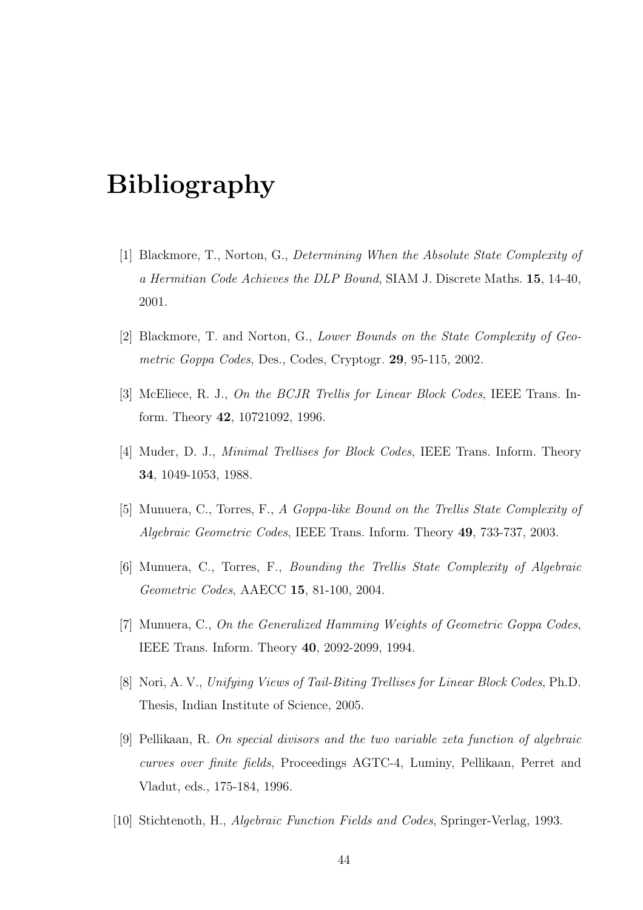# Bibliography

- [1] Blackmore, T., Norton, G., Determining When the Absolute State Complexity of a Hermitian Code Achieves the DLP Bound, SIAM J. Discrete Maths. 15, 14-40, 2001.
- [2] Blackmore, T. and Norton, G., Lower Bounds on the State Complexity of Geometric Goppa Codes, Des., Codes, Cryptogr. 29, 95-115, 2002.
- [3] McEliece, R. J., On the BCJR Trellis for Linear Block Codes, IEEE Trans. Inform. Theory 42, 10721092, 1996.
- [4] Muder, D. J., Minimal Trellises for Block Codes, IEEE Trans. Inform. Theory 34, 1049-1053, 1988.
- [5] Munuera, C., Torres, F., A Goppa-like Bound on the Trellis State Complexity of Algebraic Geometric Codes, IEEE Trans. Inform. Theory 49, 733-737, 2003.
- [6] Munuera, C., Torres, F., Bounding the Trellis State Complexity of Algebraic Geometric Codes, AAECC 15, 81-100, 2004.
- [7] Munuera, C., On the Generalized Hamming Weights of Geometric Goppa Codes, IEEE Trans. Inform. Theory 40, 2092-2099, 1994.
- [8] Nori, A. V., Unifying Views of Tail-Biting Trellises for Linear Block Codes, Ph.D. Thesis, Indian Institute of Science, 2005.
- [9] Pellikaan, R. On special divisors and the two variable zeta function of algebraic curves over finite fields, Proceedings AGTC-4, Luminy, Pellikaan, Perret and Vladut, eds., 175-184, 1996.
- [10] Stichtenoth, H., Algebraic Function Fields and Codes, Springer-Verlag, 1993.